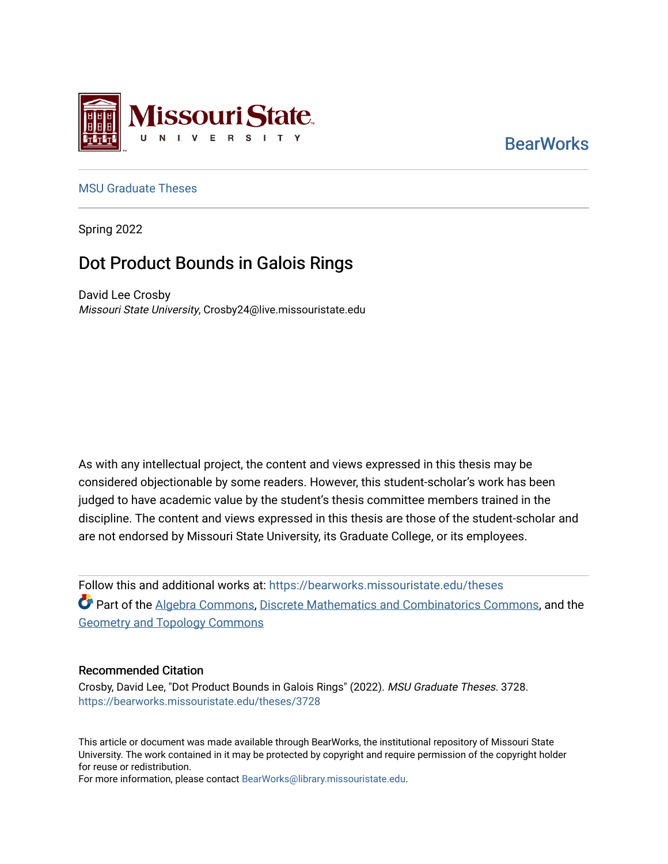

# **BearWorks**

### [MSU Graduate Theses](https://bearworks.missouristate.edu/theses)

Spring 2022

# Dot Product Bounds in Galois Rings

David Lee Crosby Missouri State University, Crosby24@live.missouristate.edu

As with any intellectual project, the content and views expressed in this thesis may be considered objectionable by some readers. However, this student-scholar's work has been judged to have academic value by the student's thesis committee members trained in the discipline. The content and views expressed in this thesis are those of the student-scholar and are not endorsed by Missouri State University, its Graduate College, or its employees.

Follow this and additional works at: [https://bearworks.missouristate.edu/theses](https://bearworks.missouristate.edu/theses?utm_source=bearworks.missouristate.edu%2Ftheses%2F3728&utm_medium=PDF&utm_campaign=PDFCoverPages)  Part of the [Algebra Commons](https://network.bepress.com/hgg/discipline/175?utm_source=bearworks.missouristate.edu%2Ftheses%2F3728&utm_medium=PDF&utm_campaign=PDFCoverPages), [Discrete Mathematics and Combinatorics Commons](https://network.bepress.com/hgg/discipline/178?utm_source=bearworks.missouristate.edu%2Ftheses%2F3728&utm_medium=PDF&utm_campaign=PDFCoverPages), and the [Geometry and Topology Commons](https://network.bepress.com/hgg/discipline/180?utm_source=bearworks.missouristate.edu%2Ftheses%2F3728&utm_medium=PDF&utm_campaign=PDFCoverPages) 

### Recommended Citation

Crosby, David Lee, "Dot Product Bounds in Galois Rings" (2022). MSU Graduate Theses. 3728. [https://bearworks.missouristate.edu/theses/3728](https://bearworks.missouristate.edu/theses/3728?utm_source=bearworks.missouristate.edu%2Ftheses%2F3728&utm_medium=PDF&utm_campaign=PDFCoverPages) 

This article or document was made available through BearWorks, the institutional repository of Missouri State University. The work contained in it may be protected by copyright and require permission of the copyright holder for reuse or redistribution.

For more information, please contact [BearWorks@library.missouristate.edu.](mailto:BearWorks@library.missouristate.edu)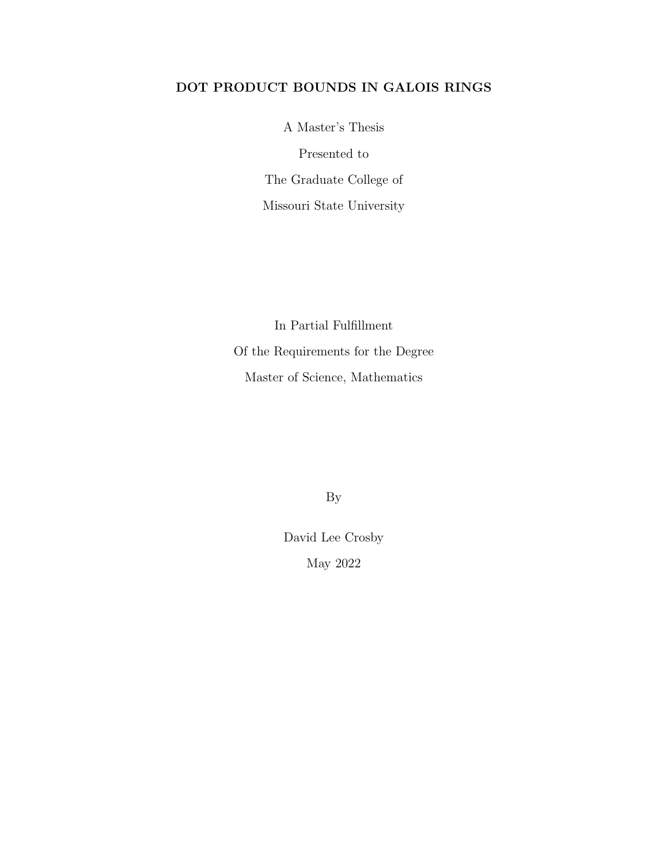### DOT PRODUCT BOUNDS IN GALOIS RINGS

A Master's Thesis Presented to The Graduate College of Missouri State University

In Partial Fulfillment Of the Requirements for the Degree Master of Science, Mathematics

By

David Lee Crosby May 2022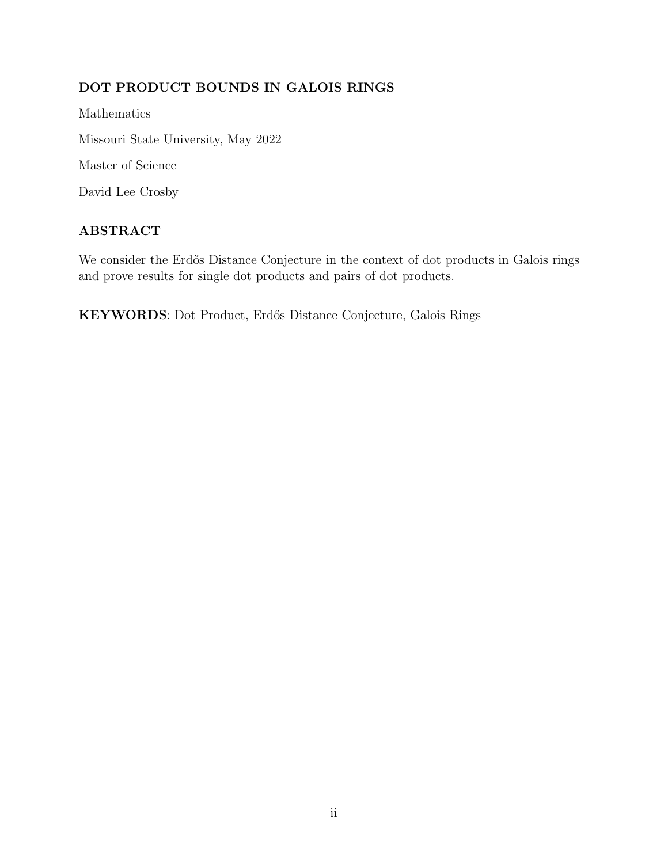## DOT PRODUCT BOUNDS IN GALOIS RINGS

Mathematics Missouri State University, May 2022 Master of Science

David Lee Crosby

### ABSTRACT

We consider the Erdős Distance Conjecture in the context of dot products in Galois rings and prove results for single dot products and pairs of dot products.

KEYWORDS: Dot Product, Erd˝os Distance Conjecture, Galois Rings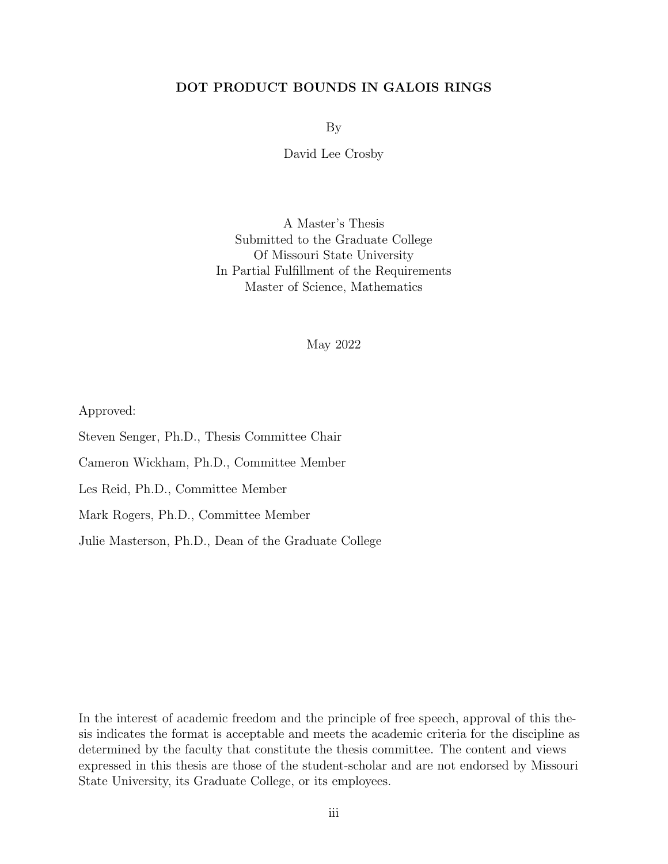### DOT PRODUCT BOUNDS IN GALOIS RINGS

By

David Lee Crosby

A Master's Thesis Submitted to the Graduate College Of Missouri State University In Partial Fulfillment of the Requirements Master of Science, Mathematics

May 2022

Approved:

Steven Senger, Ph.D., Thesis Committee Chair

Cameron Wickham, Ph.D., Committee Member

Les Reid, Ph.D., Committee Member

Mark Rogers, Ph.D., Committee Member

Julie Masterson, Ph.D., Dean of the Graduate College

In the interest of academic freedom and the principle of free speech, approval of this thesis indicates the format is acceptable and meets the academic criteria for the discipline as determined by the faculty that constitute the thesis committee. The content and views expressed in this thesis are those of the student-scholar and are not endorsed by Missouri State University, its Graduate College, or its employees.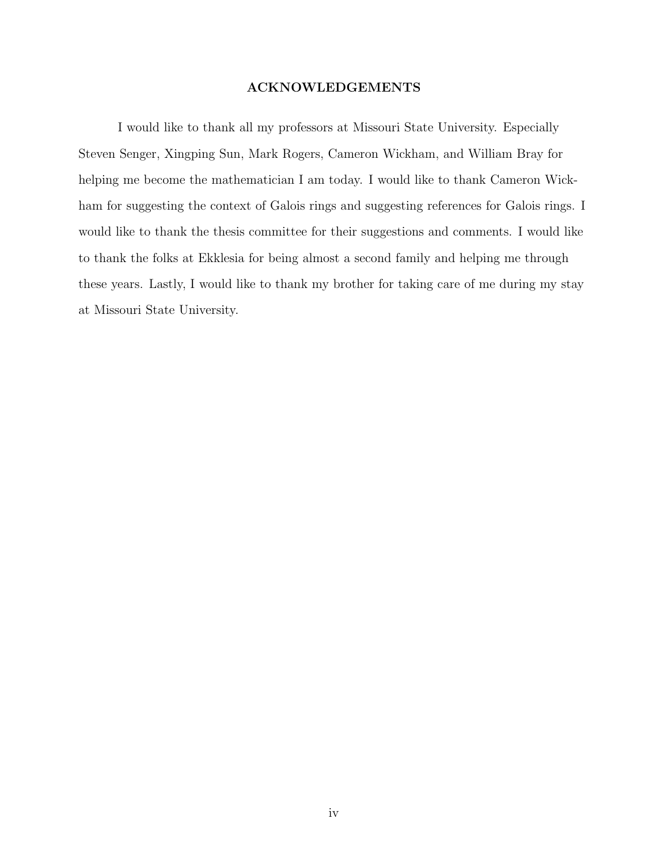### ACKNOWLEDGEMENTS

I would like to thank all my professors at Missouri State University. Especially Steven Senger, Xingping Sun, Mark Rogers, Cameron Wickham, and William Bray for helping me become the mathematician I am today. I would like to thank Cameron Wickham for suggesting the context of Galois rings and suggesting references for Galois rings. I would like to thank the thesis committee for their suggestions and comments. I would like to thank the folks at Ekklesia for being almost a second family and helping me through these years. Lastly, I would like to thank my brother for taking care of me during my stay at Missouri State University.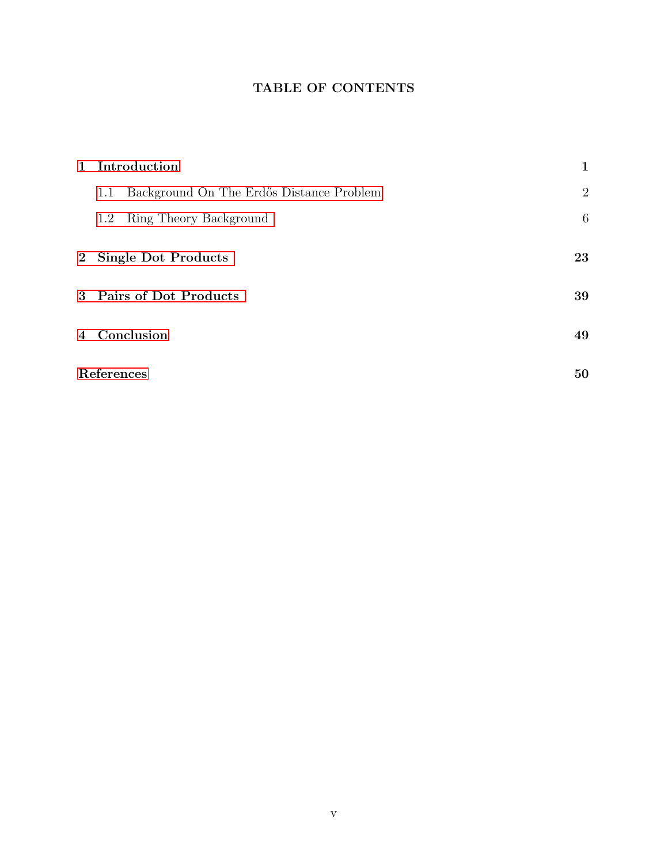## TABLE OF CONTENTS

| 1 Introduction                                  | 1              |
|-------------------------------------------------|----------------|
| Background On The Erdős Distance Problem<br>1.1 | $\overline{2}$ |
| Ring Theory Background<br>1.2                   | 6              |
| 2 Single Dot Products                           | 23             |
| 3 Pairs of Dot Products                         | 39             |
| 4 Conclusion                                    | 49             |
| References                                      | 50             |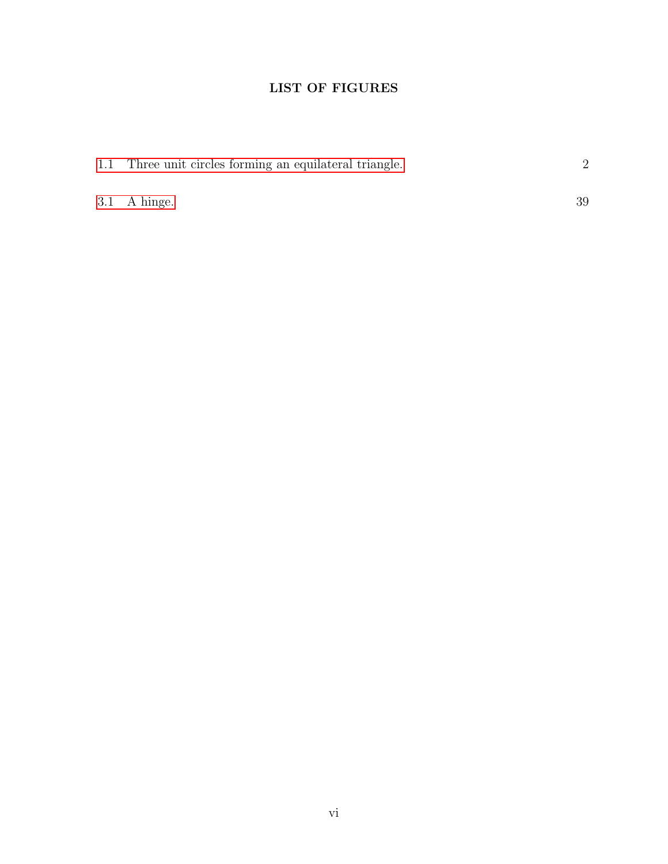### LIST OF FIGURES

| 1.1 Three unit circles forming an equilateral triangle. |    |  |
|---------------------------------------------------------|----|--|
|                                                         |    |  |
| $3.1$ A hinge.                                          | 39 |  |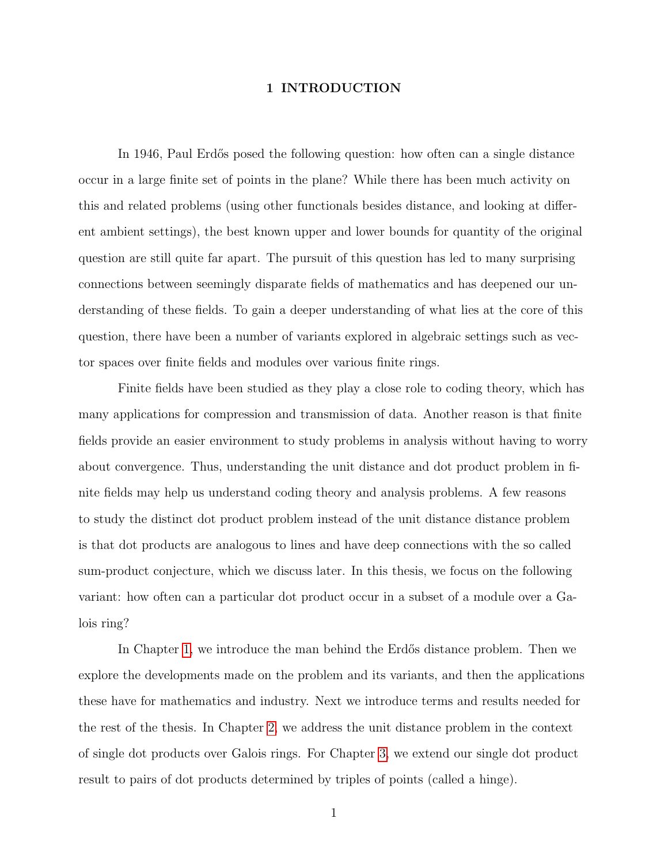### 1 INTRODUCTION

<span id="page-7-0"></span>In 1946, Paul Erdős posed the following question: how often can a single distance occur in a large finite set of points in the plane? While there has been much activity on this and related problems (using other functionals besides distance, and looking at different ambient settings), the best known upper and lower bounds for quantity of the original question are still quite far apart. The pursuit of this question has led to many surprising connections between seemingly disparate fields of mathematics and has deepened our understanding of these fields. To gain a deeper understanding of what lies at the core of this question, there have been a number of variants explored in algebraic settings such as vector spaces over finite fields and modules over various finite rings.

Finite fields have been studied as they play a close role to coding theory, which has many applications for compression and transmission of data. Another reason is that finite fields provide an easier environment to study problems in analysis without having to worry about convergence. Thus, understanding the unit distance and dot product problem in finite fields may help us understand coding theory and analysis problems. A few reasons to study the distinct dot product problem instead of the unit distance distance problem is that dot products are analogous to lines and have deep connections with the so called sum-product conjecture, which we discuss later. In this thesis, we focus on the following variant: how often can a particular dot product occur in a subset of a module over a Galois ring?

In Chapter [1,](#page-7-0) we introduce the man behind the Erdős distance problem. Then we explore the developments made on the problem and its variants, and then the applications these have for mathematics and industry. Next we introduce terms and results needed for the rest of the thesis. In Chapter [2,](#page-29-0) we address the unit distance problem in the context of single dot products over Galois rings. For Chapter [3,](#page-45-0) we extend our single dot product result to pairs of dot products determined by triples of points (called a hinge).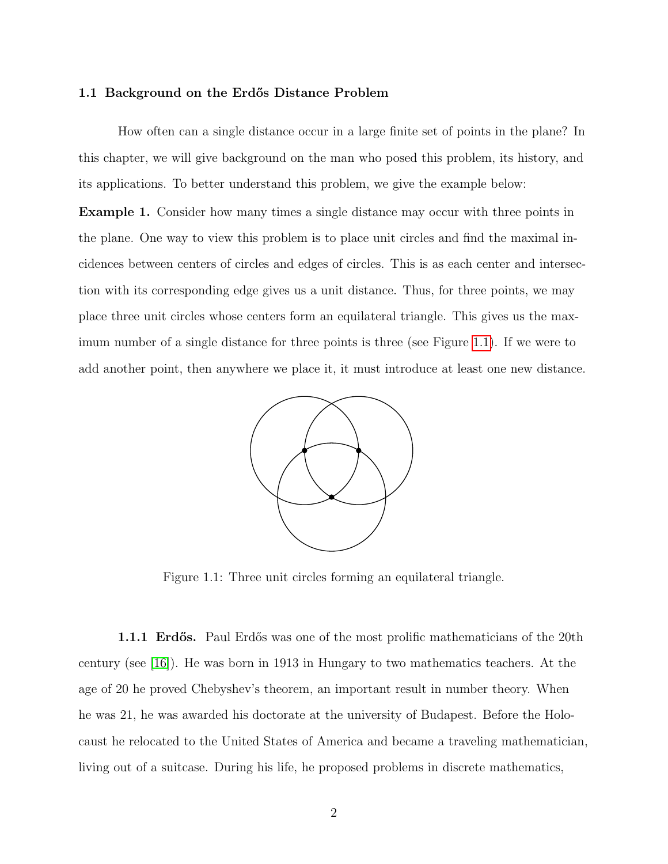#### <span id="page-8-0"></span>1.1 Background on the Erdős Distance Problem

How often can a single distance occur in a large finite set of points in the plane? In this chapter, we will give background on the man who posed this problem, its history, and its applications. To better understand this problem, we give the example below:

<span id="page-8-2"></span>Example 1. Consider how many times a single distance may occur with three points in the plane. One way to view this problem is to place unit circles and find the maximal incidences between centers of circles and edges of circles. This is as each center and intersection with its corresponding edge gives us a unit distance. Thus, for three points, we may place three unit circles whose centers form an equilateral triangle. This gives us the maximum number of a single distance for three points is three (see Figure [1.1\)](#page-8-1). If we were to add another point, then anywhere we place it, it must introduce at least one new distance.

<span id="page-8-1"></span>

Figure 1.1: Three unit circles forming an equilateral triangle.

**1.1.1 Erdős.** Paul Erdős was one of the most prolific mathematicians of the 20th century (see [\[16\]](#page-57-0)). He was born in 1913 in Hungary to two mathematics teachers. At the age of 20 he proved Chebyshev's theorem, an important result in number theory. When he was 21, he was awarded his doctorate at the university of Budapest. Before the Holocaust he relocated to the United States of America and became a traveling mathematician, living out of a suitcase. During his life, he proposed problems in discrete mathematics,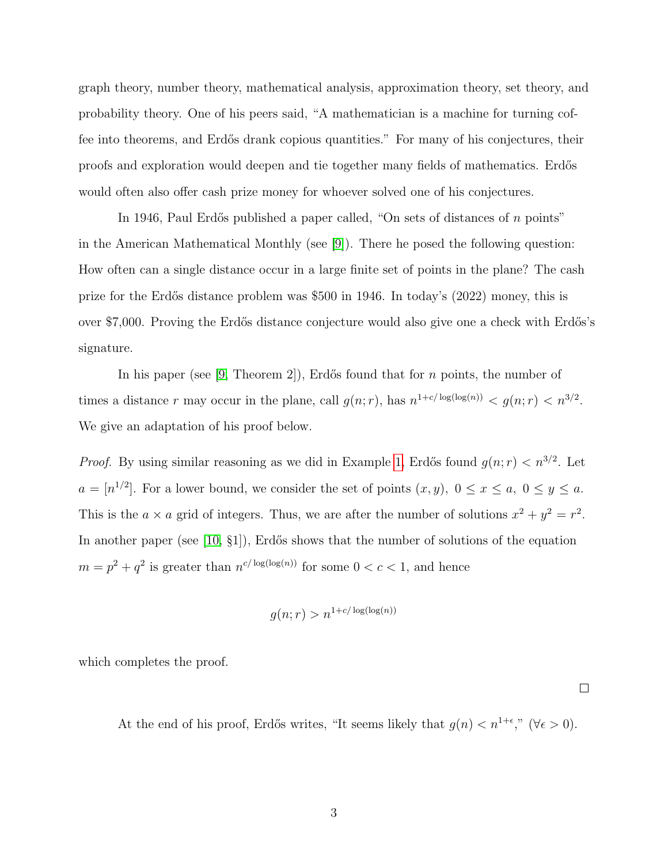graph theory, number theory, mathematical analysis, approximation theory, set theory, and probability theory. One of his peers said, "A mathematician is a machine for turning coffee into theorems, and Erdős drank copious quantities." For many of his conjectures, their proofs and exploration would deepen and tie together many fields of mathematics. Erdős would often also offer cash prize money for whoever solved one of his conjectures.

In 1946, Paul Erdős published a paper called, "On sets of distances of  $n$  points" in the American Mathematical Monthly (see [\[9\]](#page-56-0)). There he posed the following question: How often can a single distance occur in a large finite set of points in the plane? The cash prize for the Erd˝os distance problem was \$500 in 1946. In today's (2022) money, this is over \$7,000. Proving the Erd˝os distance conjecture would also give one a check with Erd˝os's signature.

In his paper (see [\[9,](#page-56-0) Theorem 2]), Erdős found that for n points, the number of times a distance r may occur in the plane, call  $g(n;r)$ , has  $n^{1+c/\log(\log(n))} < g(n;r) < n^{3/2}$ . We give an adaptation of his proof below.

*Proof.* By using similar reasoning as we did in Example [1,](#page-8-2) Erdős found  $g(n; r) < n^{3/2}$ . Let  $a = [n^{1/2}]$ . For a lower bound, we consider the set of points  $(x, y)$ ,  $0 \le x \le a$ ,  $0 \le y \le a$ . This is the  $a \times a$  grid of integers. Thus, we are after the number of solutions  $x^2 + y^2 = r^2$ . In another paper (see [\[10,](#page-56-1)  $\S1$ ), Erdős shows that the number of solutions of the equation  $m = p^2 + q^2$  is greater than  $n^{c/\log(\log(n))}$  for some  $0 < c < 1$ , and hence

$$
g(n;r) > n^{1+c/\log(\log(n))}
$$

which completes the proof.

At the end of his proof, Erdős writes, "It seems likely that  $g(n) < n^{1+\epsilon}$ ," ( $\forall \epsilon > 0$ ).

 $\Box$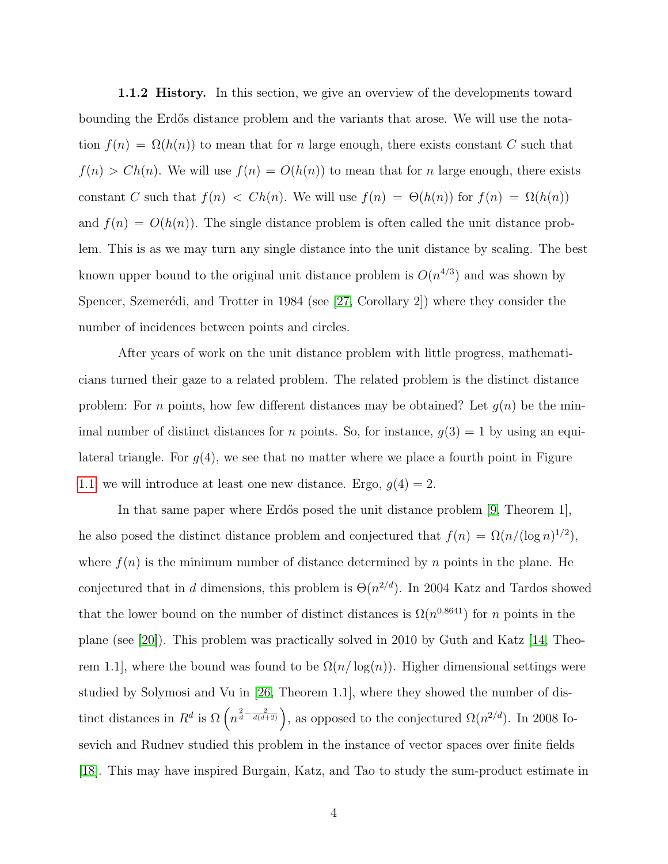1.1.2 History. In this section, we give an overview of the developments toward bounding the Erdős distance problem and the variants that arose. We will use the notation  $f(n) = \Omega(h(n))$  to mean that for n large enough, there exists constant C such that  $f(n) > Ch(n)$ . We will use  $f(n) = O(h(n))$  to mean that for n large enough, there exists constant C such that  $f(n) < Ch(n)$ . We will use  $f(n) = \Theta(h(n))$  for  $f(n) = \Omega(h(n))$ and  $f(n) = O(h(n))$ . The single distance problem is often called the unit distance problem. This is as we may turn any single distance into the unit distance by scaling. The best known upper bound to the original unit distance problem is  $O(n^{4/3})$  and was shown by Spencer, Szemerédi, and Trotter in 1984 (see [\[27,](#page-58-0) Corollary 2]) where they consider the number of incidences between points and circles.

After years of work on the unit distance problem with little progress, mathematicians turned their gaze to a related problem. The related problem is the distinct distance problem: For n points, how few different distances may be obtained? Let  $g(n)$  be the minimal number of distinct distances for *n* points. So, for instance,  $g(3) = 1$  by using an equilateral triangle. For  $g(4)$ , we see that no matter where we place a fourth point in Figure [1.1,](#page-8-1) we will introduce at least one new distance. Ergo,  $g(4) = 2$ .

In that same paper where Erdős posed the unit distance problem  $[9,$  Theorem 1], he also posed the distinct distance problem and conjectured that  $f(n) = \Omega(n/(\log n)^{1/2}),$ where  $f(n)$  is the minimum number of distance determined by n points in the plane. He conjectured that in d dimensions, this problem is  $\Theta(n^{2/d})$ . In 2004 Katz and Tardos showed that the lower bound on the number of distinct distances is  $\Omega(n^{0.8641})$  for n points in the plane (see [\[20\]](#page-57-1)). This problem was practically solved in 2010 by Guth and Katz [\[14,](#page-57-2) Theorem 1.1, where the bound was found to be  $\Omega(n/\log(n))$ . Higher dimensional settings were studied by Solymosi and Vu in [\[26,](#page-58-1) Theorem 1.1], where they showed the number of distinct distances in  $R^d$  is  $\Omega\left(n^{\frac{2}{d}-\frac{2}{d(d+2)}}\right)$ , as opposed to the conjectured  $\Omega(n^{2/d})$ . In 2008 Iosevich and Rudnev studied this problem in the instance of vector spaces over finite fields [\[18\]](#page-57-3). This may have inspired Burgain, Katz, and Tao to study the sum-product estimate in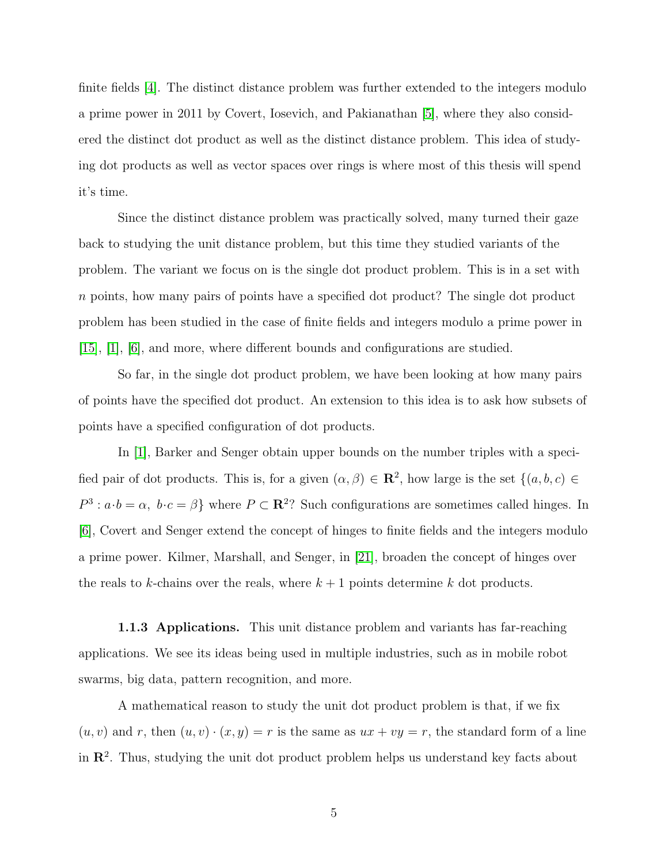finite fields [\[4\]](#page-56-2). The distinct distance problem was further extended to the integers modulo a prime power in 2011 by Covert, Iosevich, and Pakianathan [\[5\]](#page-56-3), where they also considered the distinct dot product as well as the distinct distance problem. This idea of studying dot products as well as vector spaces over rings is where most of this thesis will spend it's time.

Since the distinct distance problem was practically solved, many turned their gaze back to studying the unit distance problem, but this time they studied variants of the problem. The variant we focus on is the single dot product problem. This is in a set with n points, how many pairs of points have a specified dot product? The single dot product problem has been studied in the case of finite fields and integers modulo a prime power in [\[15\]](#page-57-4), [\[1\]](#page-56-4), [\[6\]](#page-56-5), and more, where different bounds and configurations are studied.

So far, in the single dot product problem, we have been looking at how many pairs of points have the specified dot product. An extension to this idea is to ask how subsets of points have a specified configuration of dot products.

In [\[1\]](#page-56-4), Barker and Senger obtain upper bounds on the number triples with a specified pair of dot products. This is, for a given  $(\alpha, \beta) \in \mathbb{R}^2$ , how large is the set  $\{(a, b, c) \in$  $P^3: a \cdot b = \alpha, b \cdot c = \beta$  where  $P \subset \mathbb{R}^2$ ? Such configurations are sometimes called hinges. In [\[6\]](#page-56-5), Covert and Senger extend the concept of hinges to finite fields and the integers modulo a prime power. Kilmer, Marshall, and Senger, in [\[21\]](#page-58-2), broaden the concept of hinges over the reals to k-chains over the reals, where  $k+1$  points determine k dot products.

1.1.3 Applications. This unit distance problem and variants has far-reaching applications. We see its ideas being used in multiple industries, such as in mobile robot swarms, big data, pattern recognition, and more.

A mathematical reason to study the unit dot product problem is that, if we fix  $(u, v)$  and r, then  $(u, v) \cdot (x, y) = r$  is the same as  $ux + vy = r$ , the standard form of a line in  $\mathbb{R}^2$ . Thus, studying the unit dot product problem helps us understand key facts about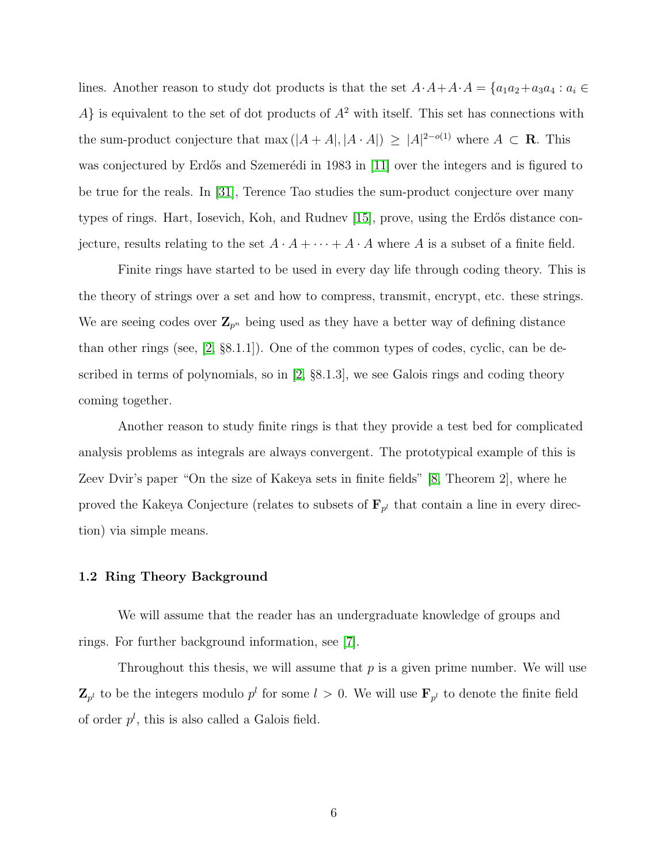lines. Another reason to study dot products is that the set  $A \cdot A + A \cdot A = \{a_1a_2 + a_3a_4 : a_i \in A \cdot A + A \cdot A = a_1a_2 + a_2a_3 \}$ A} is equivalent to the set of dot products of  $A^2$  with itself. This set has connections with the sum-product conjecture that max  $(|A + A|, |A \cdot A|) \geq |A|^{2-o(1)}$  where  $A \subset \mathbf{R}$ . This was conjectured by Erdős and Szemerédi in 1983 in [\[11\]](#page-57-5) over the integers and is figured to be true for the reals. In [\[31\]](#page-58-3), Terence Tao studies the sum-product conjecture over many types of rings. Hart, Iosevich, Koh, and Rudnev  $[15]$ , prove, using the Erdős distance conjecture, results relating to the set  $A \cdot A + \cdots + A \cdot A$  where A is a subset of a finite field.

Finite rings have started to be used in every day life through coding theory. This is the theory of strings over a set and how to compress, transmit, encrypt, etc. these strings. We are seeing codes over  $\mathbf{Z}_{p^n}$  being used as they have a better way of defining distance than other rings (see, [\[2,](#page-56-6) §8.1.1]). One of the common types of codes, cyclic, can be described in terms of polynomials, so in [\[2,](#page-56-6) §8.1.3], we see Galois rings and coding theory coming together.

Another reason to study finite rings is that they provide a test bed for complicated analysis problems as integrals are always convergent. The prototypical example of this is Zeev Dvir's paper "On the size of Kakeya sets in finite fields" [\[8,](#page-56-7) Theorem 2], where he proved the Kakeya Conjecture (relates to subsets of  $\mathbf{F}_{p^l}$  that contain a line in every direction) via simple means.

### <span id="page-12-0"></span>1.2 Ring Theory Background

We will assume that the reader has an undergraduate knowledge of groups and rings. For further background information, see [\[7\]](#page-56-8).

Throughout this thesis, we will assume that  $p$  is a given prime number. We will use  $\mathbf{Z}_{p^l}$  to be the integers modulo  $p^l$  for some  $l > 0$ . We will use  $\mathbf{F}_{p^l}$  to denote the finite field of order  $p^{l}$ , this is also called a Galois field.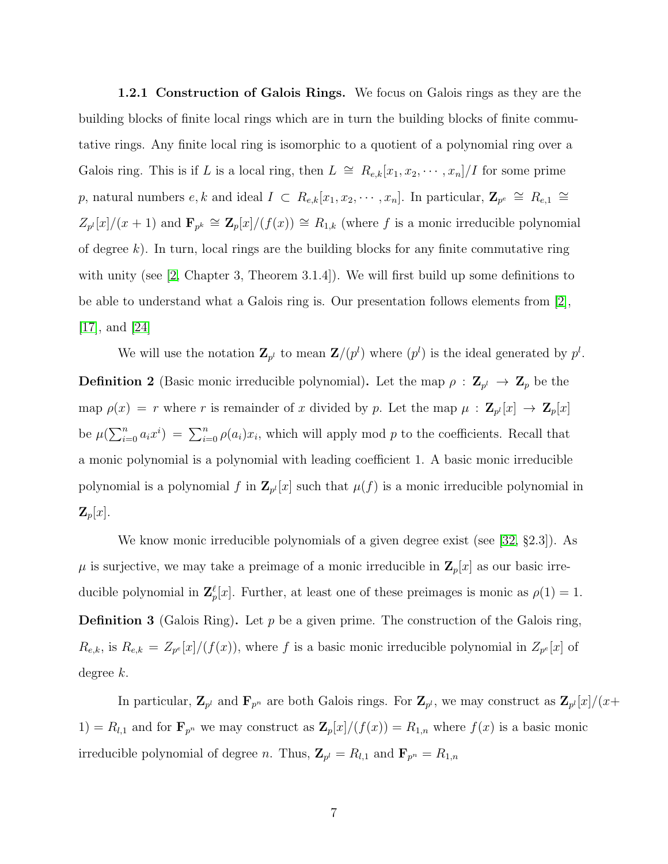1.2.1 Construction of Galois Rings. We focus on Galois rings as they are the building blocks of finite local rings which are in turn the building blocks of finite commutative rings. Any finite local ring is isomorphic to a quotient of a polynomial ring over a Galois ring. This is if L is a local ring, then  $L \cong R_{e,k}[x_1, x_2, \cdots, x_n]/I$  for some prime p, natural numbers  $e, k$  and ideal  $I \subset R_{e,k}[x_1, x_2, \cdots, x_n]$ . In particular,  $\mathbf{Z}_{p^e} \cong R_{e,1} \cong R_{e,2}$  $Z_{p^l}[x]/(x+1)$  and  $\mathbf{F}_{p^k} \cong \mathbf{Z}_p[x]/(f(x)) \cong R_{1,k}$  (where f is a monic irreducible polynomial of degree  $k$ ). In turn, local rings are the building blocks for any finite commutative ring with unity (see [\[2,](#page-56-6) Chapter 3, Theorem 3.1.4]). We will first build up some definitions to be able to understand what a Galois ring is. Our presentation follows elements from [\[2\]](#page-56-6), [\[17\]](#page-57-6), and [\[24\]](#page-58-4)

<span id="page-13-0"></span>We will use the notation  $\mathbf{Z}_{p^l}$  to mean  $\mathbf{Z}/(p^l)$  where  $(p^l)$  is the ideal generated by  $p^l$ . **Definition 2** (Basic monic irreducible polynomial). Let the map  $\rho : \mathbf{Z}_{p^l} \to \mathbf{Z}_p$  be the map  $\rho(x) = r$  where r is remainder of x divided by p. Let the map  $\mu : \mathbf{Z}_{p^l}[x] \to \mathbf{Z}_p[x]$ be  $\mu(\sum_{i=0}^n a_i x^i) = \sum_{i=0}^n \rho(a_i) x_i$ , which will apply mod p to the coefficients. Recall that a monic polynomial is a polynomial with leading coefficient 1. A basic monic irreducible polynomial is a polynomial f in  $\mathbb{Z}_{p^l}[x]$  such that  $\mu(f)$  is a monic irreducible polynomial in  $\mathbf{Z}_p[x]$ .

We know monic irreducible polynomials of a given degree exist (see [\[32,](#page-59-0) §2.3]). As  $\mu$  is surjective, we may take a preimage of a monic irreducible in  $\mathbb{Z}_p[x]$  as our basic irreducible polynomial in  $\mathbf{Z}_{p}^{\ell}[x]$ . Further, at least one of these preimages is monic as  $\rho(1) = 1$ . **Definition 3** (Galois Ring). Let p be a given prime. The construction of the Galois ring,  $R_{e,k}$ , is  $R_{e,k} = Z_{p^e}[x]/(f(x))$ , where f is a basic monic irreducible polynomial in  $Z_{p^e}[x]$  of degree k.

In particular,  $\mathbf{Z}_{p^l}$  and  $\mathbf{F}_{p^n}$  are both Galois rings. For  $\mathbf{Z}_{p^l}$ , we may construct as  $\mathbf{Z}_{p^l}[x]/(x+)$ 1) =  $R_{l,1}$  and for  $\mathbf{F}_{p^n}$  we may construct as  $\mathbf{Z}_p[x]/(f(x)) = R_{1,n}$  where  $f(x)$  is a basic monic irreducible polynomial of degree *n*. Thus,  $\mathbf{Z}_{p^l} = R_{l,1}$  and  $\mathbf{F}_{p^n} = R_{1,n}$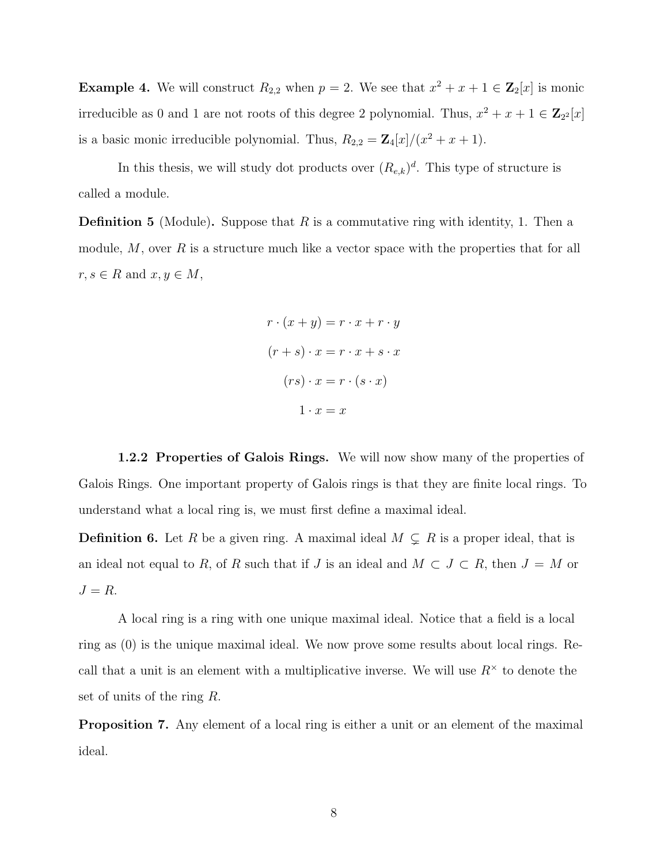**Example 4.** We will construct  $R_{2,2}$  when  $p = 2$ . We see that  $x^2 + x + 1 \in \mathbb{Z}_2[x]$  is monic irreducible as 0 and 1 are not roots of this degree 2 polynomial. Thus,  $x^2 + x + 1 \in \mathbb{Z}_{2^2}[x]$ is a basic monic irreducible polynomial. Thus,  $R_{2,2} = \mathbf{Z}_4[x]/(x^2 + x + 1)$ .

In this thesis, we will study dot products over  $(R_{e,k})^d$ . This type of structure is called a module.

**Definition 5** (Module). Suppose that R is a commutative ring with identity, 1. Then a module,  $M$ , over  $R$  is a structure much like a vector space with the properties that for all  $r, s \in R$  and  $x, y \in M$ ,

$$
r \cdot (x + y) = r \cdot x + r \cdot y
$$

$$
(r + s) \cdot x = r \cdot x + s \cdot x
$$

$$
(rs) \cdot x = r \cdot (s \cdot x)
$$

$$
1 \cdot x = x
$$

1.2.2 Properties of Galois Rings. We will now show many of the properties of Galois Rings. One important property of Galois rings is that they are finite local rings. To understand what a local ring is, we must first define a maximal ideal.

**Definition 6.** Let R be a given ring. A maximal ideal  $M \subsetneq R$  is a proper ideal, that is an ideal not equal to R, of R such that if J is an ideal and  $M \subset J \subset R$ , then  $J = M$  or  $J = R$ .

A local ring is a ring with one unique maximal ideal. Notice that a field is a local ring as (0) is the unique maximal ideal. We now prove some results about local rings. Recall that a unit is an element with a multiplicative inverse. We will use  $R^{\times}$  to denote the set of units of the ring R.

Proposition 7. Any element of a local ring is either a unit or an element of the maximal ideal.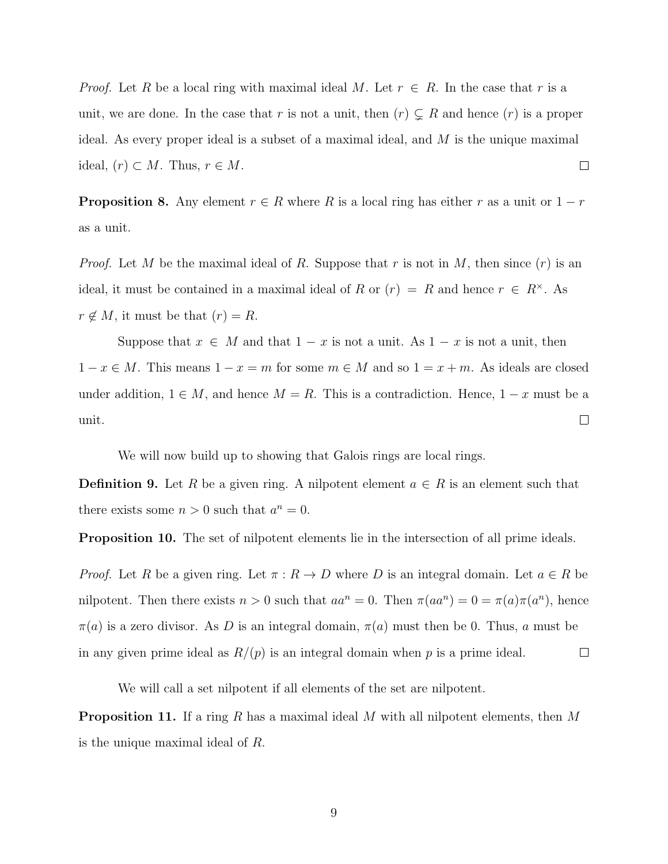*Proof.* Let R be a local ring with maximal ideal M. Let  $r \in R$ . In the case that r is a unit, we are done. In the case that r is not a unit, then  $(r) \subsetneq R$  and hence  $(r)$  is a proper ideal. As every proper ideal is a subset of a maximal ideal, and  $M$  is the unique maximal ideal,  $(r) \subset M$ . Thus,  $r \in M$ .  $\Box$ 

**Proposition 8.** Any element  $r \in R$  where R is a local ring has either r as a unit or  $1 - r$ as a unit.

*Proof.* Let M be the maximal ideal of R. Suppose that r is not in M, then since  $(r)$  is an ideal, it must be contained in a maximal ideal of R or  $(r) = R$  and hence  $r \in R^{\times}$ . As  $r \notin M$ , it must be that  $(r) = R$ .

Suppose that  $x \in M$  and that  $1 - x$  is not a unit. As  $1 - x$  is not a unit, then  $1 - x \in M$ . This means  $1 - x = m$  for some  $m \in M$  and so  $1 = x + m$ . As ideals are closed under addition,  $1 \in M$ , and hence  $M = R$ . This is a contradiction. Hence,  $1 - x$  must be a unit.  $\Box$ 

We will now build up to showing that Galois rings are local rings.

**Definition 9.** Let R be a given ring. A nilpotent element  $a \in R$  is an element such that there exists some  $n > 0$  such that  $a^n = 0$ .

<span id="page-15-0"></span>Proposition 10. The set of nilpotent elements lie in the intersection of all prime ideals.

*Proof.* Let R be a given ring. Let  $\pi : R \to D$  where D is an integral domain. Let  $a \in R$  be nilpotent. Then there exists  $n > 0$  such that  $aa^n = 0$ . Then  $\pi(aa^n) = 0 = \pi(a)\pi(a^n)$ , hence  $\pi(a)$  is a zero divisor. As D is an integral domain,  $\pi(a)$  must then be 0. Thus, a must be in any given prime ideal as  $R/(p)$  is an integral domain when p is a prime ideal.  $\Box$ 

We will call a set nilpotent if all elements of the set are nilpotent.

<span id="page-15-1"></span>**Proposition 11.** If a ring R has a maximal ideal M with all nilpotent elements, then M is the unique maximal ideal of R.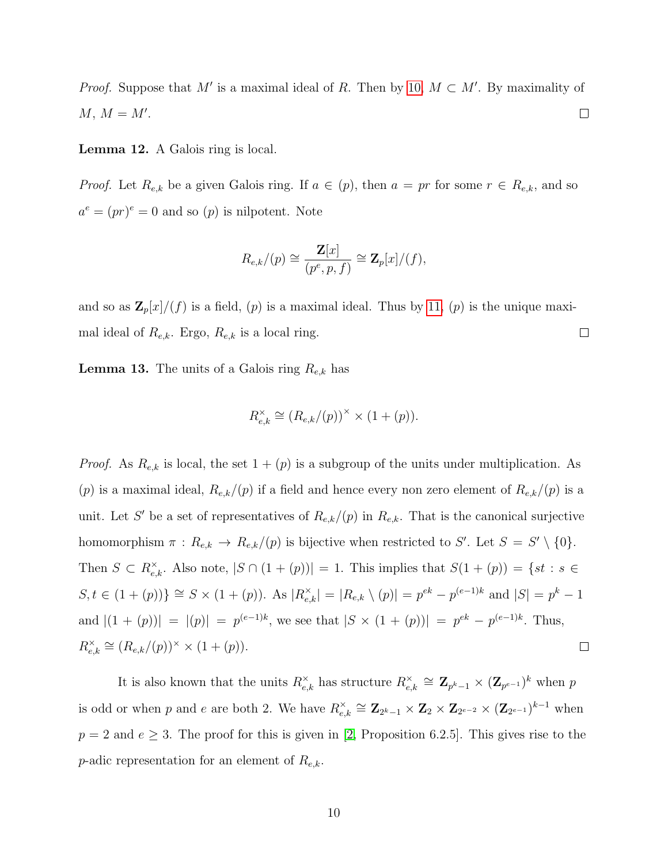*Proof.* Suppose that M' is a maximal ideal of R. Then by [10,](#page-15-0)  $M \subset M'$ . By maximality of  $M, M = M'.$  $\Box$ 

Lemma 12. A Galois ring is local.

*Proof.* Let  $R_{e,k}$  be a given Galois ring. If  $a \in (p)$ , then  $a = pr$  for some  $r \in R_{e,k}$ , and so  $a^e = (pr)^e = 0$  and so  $(p)$  is nilpotent. Note

$$
R_{e,k}/(p) \cong \frac{\mathbf{Z}[x]}{(p^e, p, f)} \cong \mathbf{Z}_p[x]/(f),
$$

and so as  $\mathbb{Z}_p[x]/(f)$  is a field,  $(p)$  is a maximal ideal. Thus by [11,](#page-15-1)  $(p)$  is the unique maxi- $\Box$ mal ideal of  $R_{e,k}$ . Ergo,  $R_{e,k}$  is a local ring.

**Lemma 13.** The units of a Galois ring  $R_{e,k}$  has

$$
R_{e,k}^{\times} \cong (R_{e,k}/(p))^{\times} \times (1+(p)).
$$

*Proof.* As  $R_{e,k}$  is local, the set  $1 + (p)$  is a subgroup of the units under multiplication. As (p) is a maximal ideal,  $R_{e,k}/(p)$  if a field and hence every non zero element of  $R_{e,k}/(p)$  is a unit. Let S' be a set of representatives of  $R_{e,k}/(p)$  in  $R_{e,k}$ . That is the canonical surjective homomorphism  $\pi: R_{e,k} \to R_{e,k}/(p)$  is bijective when restricted to S'. Let  $S = S' \setminus \{0\}.$ Then  $S \subset R_{e,k}^{\times}$ . Also note,  $|S \cap (1 + (p))| = 1$ . This implies that  $S(1 + (p)) = \{st : s \in$  $S, t \in (1 + (p))$   $\cong S \times (1 + (p))$ . As  $|R_{e,k}^{\times}| = |R_{e,k} \setminus (p)| = p^{ek} - p^{(e-1)k}$  and  $|S| = p^k - 1$ and  $|(1 + (p))| = |(p)| = p^{(e-1)k}$ , we see that  $|S \times (1 + (p))| = p^{ek} - p^{(e-1)k}$ . Thus,  $e_{e,k}^{\times} \cong (R_{e,k}/(p))^{\times} \times (1+(p)).$  $R_{e}^{\times}$  $\Box$ 

It is also known that the units  $R_{e,k}^{\times}$  has structure  $R_{e,\epsilon}^{\times}$  $\mathbf{z}_{e,k}^{\times} \cong \mathbf{Z}_{p^k-1} \times (\mathbf{Z}_{p^{e-1}})^k$  when  $p$ is odd or when p and e are both 2. We have  $R_{e}^{\times}$  $\mathbf{z}_{e,k}^{\times} \cong \mathbf{Z}_{2^k-1} \times \mathbf{Z}_2 \times \mathbf{Z}_{2^{e-2}} \times (\mathbf{Z}_{2^{e-1}})^{k-1}$  when  $p = 2$  and  $e \geq 3$ . The proof for this is given in [\[2,](#page-56-6) Proposition 6.2.5]. This gives rise to the *p*-adic representation for an element of  $R_{e,k}$ .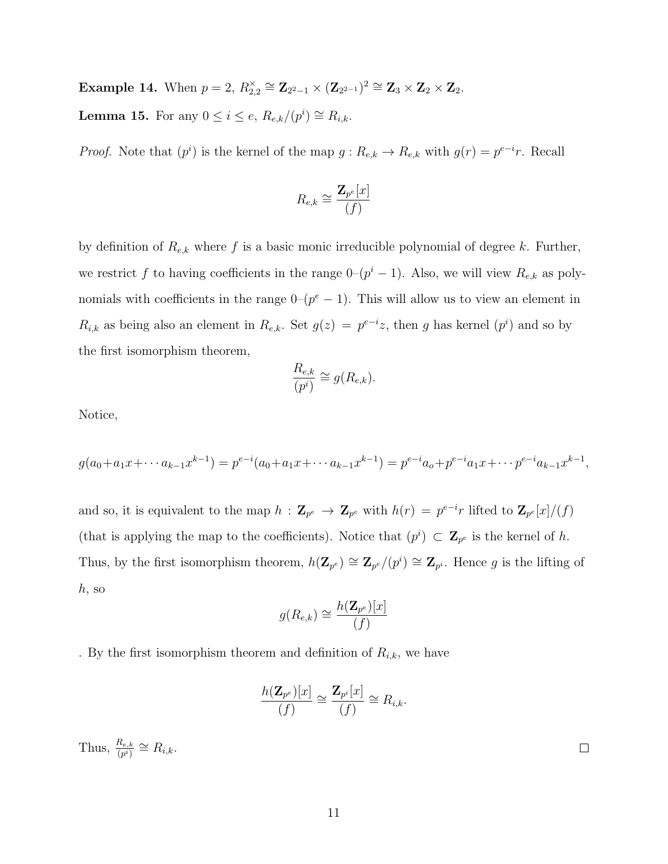<span id="page-17-0"></span>**Example 14.** When  $p = 2$ ,  $R_{2,2}^{\times} \cong \mathbb{Z}_{2^2-1} \times (\mathbb{Z}_{2^{2-1}})^2 \cong \mathbb{Z}_3 \times \mathbb{Z}_2 \times \mathbb{Z}_2$ . **Lemma 15.** For any  $0 \leq i \leq e$ ,  $R_{e,k}/(p^i) \cong R_{i,k}$ .

*Proof.* Note that  $(p^i)$  is the kernel of the map  $g: R_{e,k} \to R_{e,k}$  with  $g(r) = p^{e-i}r$ . Recall

$$
R_{e,k} \cong \frac{\mathbf{Z}_{p^e}[x]}{(f)}
$$

by definition of  $R_{e,k}$  where f is a basic monic irreducible polynomial of degree k. Further, we restrict f to having coefficients in the range  $0-(p^{i}-1)$ . Also, we will view  $R_{e,k}$  as polynomials with coefficients in the range  $0-(p^e-1)$ . This will allow us to view an element in  $R_{i,k}$  as being also an element in  $R_{e,k}$ . Set  $g(z) = p^{e-i}z$ , then g has kernel  $(p^i)$  and so by the first isomorphism theorem,

$$
\frac{R_{e,k}}{(p^i)} \cong g(R_{e,k}).
$$

Notice,

$$
g(a_0 + a_1 x + \dots + a_{k-1} x^{k-1}) = p^{e-i}(a_0 + a_1 x + \dots + a_{k-1} x^{k-1}) = p^{e-i} a_0 + p^{e-i} a_1 x + \dots + p^{e-i} a_{k-1} x^{k-1},
$$

and so, it is equivalent to the map  $h: \mathbf{Z}_{p^e} \to \mathbf{Z}_{p^e}$  with  $h(r) = p^{e-i}r$  lifted to  $\mathbf{Z}_{p^e}[x]/(f)$ (that is applying the map to the coefficients). Notice that  $(p^i) \subset \mathbb{Z}_{p^e}$  is the kernel of h. Thus, by the first isomorphism theorem,  $h(\mathbf{Z}_{p^e}) \cong \mathbf{Z}_{p^e}/(p^i) \cong \mathbf{Z}_{p^i}$ . Hence g is the lifting of h, so

$$
g(R_{e,k}) \cong \frac{h(\mathbf{Z}_{p^e})[x]}{(f)}
$$

. By the first isomorphism theorem and definition of  $R_{i,k}$ , we have

$$
\frac{h(\mathbf{Z}_{p^e})[x]}{(f)} \cong \frac{\mathbf{Z}_{p^i}[x]}{(f)} \cong R_{i,k}.
$$

<span id="page-17-1"></span>Thus,  $\frac{R_{e,k}}{(p^i)} \cong R_{i,k}$ .

 $\Box$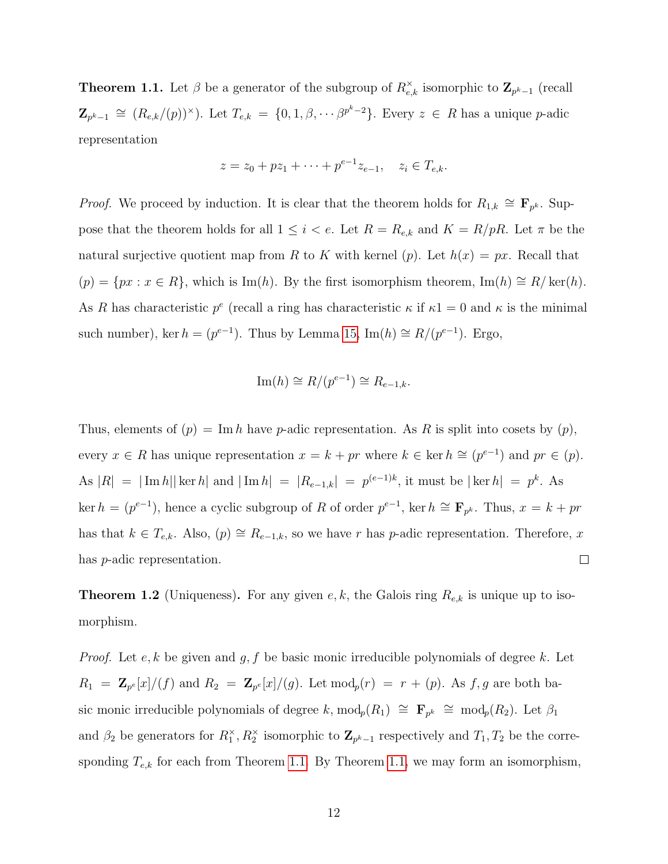**Theorem 1.1.** Let  $\beta$  be a generator of the subgroup of  $R_{e,k}^{\times}$  isomorphic to  $\mathbf{Z}_{p^k-1}$  (recall  $\mathbf{Z}_{p^k-1} \cong (R_{e,k}/(p))^{\times}$ ). Let  $T_{e,k} = \{0,1,\beta,\cdots\beta^{p^k-2}\}$ . Every  $z \in R$  has a unique p-adic representation

$$
z = z_0 + pz_1 + \dots + p^{e-1} z_{e-1}, \quad z_i \in T_{e,k}.
$$

*Proof.* We proceed by induction. It is clear that the theorem holds for  $R_{1,k} \cong \mathbf{F}_{p^k}$ . Suppose that the theorem holds for all  $1 \leq i < e$ . Let  $R = R_{e,k}$  and  $K = R/pR$ . Let  $\pi$  be the natural surjective quotient map from R to K with kernel (p). Let  $h(x) = px$ . Recall that  $(p) = \{px : x \in R\}$ , which is Im(h). By the first isomorphism theorem, Im(h) ≅ R/ker(h). As R has characteristic  $p^e$  (recall a ring has characteristic  $\kappa$  if  $\kappa$ 1 = 0 and  $\kappa$  is the minimal such number), ker  $h = (p^{e-1})$ . Thus by Lemma [15,](#page-17-0) Im $(h) \cong R/(p^{e-1})$ . Ergo,

$$
\operatorname{Im}(h) \cong R/(p^{e-1}) \cong R_{e-1,k}.
$$

Thus, elements of  $(p) = \text{Im } h$  have p-adic representation. As R is split into cosets by  $(p)$ , every  $x \in R$  has unique representation  $x = k + pr$  where  $k \in \text{ker } h \cong (p^{e-1})$  and  $pr \in (p)$ . As  $|R| = |\text{Im } h| |\ker h|$  and  $|\text{Im } h| = |R_{e-1,k}| = p^{(e-1)k}$ , it must be  $|\ker h| = p^k$ . As ker  $h = (p^{e-1})$ , hence a cyclic subgroup of R of order  $p^{e-1}$ , ker  $h \cong \mathbf{F}_{p^k}$ . Thus,  $x = k + pr$ has that  $k \in T_{e,k}$ . Also,  $(p) \cong R_{e-1,k}$ , so we have r has p-adic representation. Therefore, x has p-adic representation.  $\Box$ 

**Theorem 1.2** (Uniqueness). For any given  $e, k$ , the Galois ring  $R_{e,k}$  is unique up to isomorphism.

*Proof.* Let  $e, k$  be given and  $g, f$  be basic monic irreducible polynomials of degree k. Let  $R_1 = \mathbb{Z}_{p^e}[x]/(f)$  and  $R_2 = \mathbb{Z}_{p^e}[x]/(g)$ . Let  $\text{mod}_p(r) = r + (p)$ . As  $f, g$  are both basic monic irreducible polynomials of degree k, mod<sub>p</sub> $(R_1) \cong \mathbf{F}_{p^k} \cong \text{mod}_p(R_2)$ . Let  $\beta_1$ and  $\beta_2$  be generators for  $R_1^{\times}, R_2^{\times}$  isomorphic to  $\mathbb{Z}_{p^k-1}$  respectively and  $T_1, T_2$  be the corresponding  $T_{e,k}$  for each from Theorem [1.1.](#page-17-1) By Theorem [1.1,](#page-17-1) we may form an isomorphism,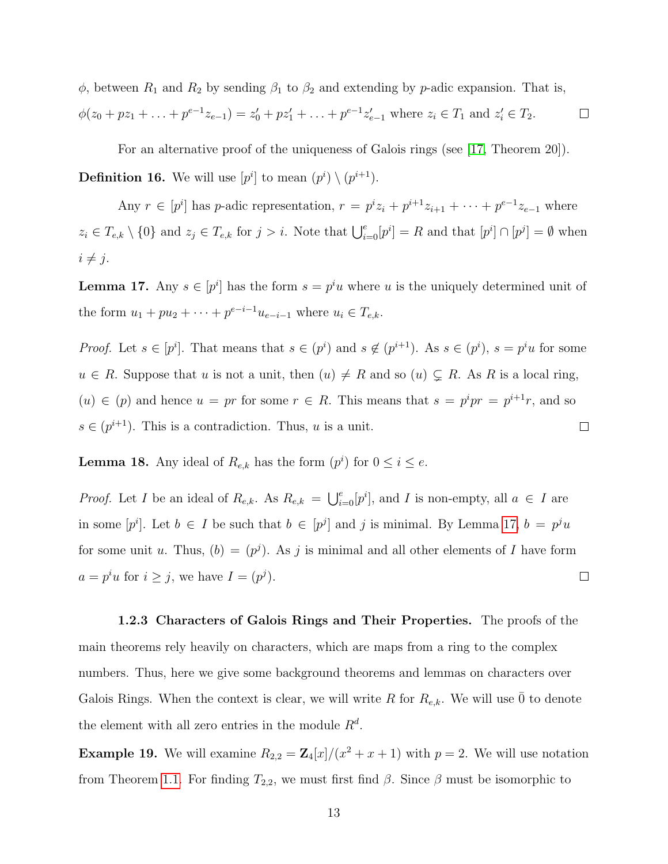$\phi$ , between  $R_1$  and  $R_2$  by sending  $\beta_1$  to  $\beta_2$  and extending by p-adic expansion. That is,

$$
\phi(z_0 + pz_1 + \ldots + p^{e-1}z_{e-1}) = z'_0 + pz'_1 + \ldots + p^{e-1}z'_{e-1} \text{ where } z_i \in T_1 \text{ and } z'_i \in T_2.
$$

For an alternative proof of the uniqueness of Galois rings (see [\[17,](#page-57-6) Theorem 20]).

**Definition 16.** We will use  $[p^i]$  to mean  $(p^i) \setminus (p^{i+1})$ .

Any  $r \in [p^i]$  has p-adic representation,  $r = p^i z_i + p^{i+1} z_{i+1} + \cdots + p^{e-1} z_{e-1}$  where  $z_i \in T_{e,k} \setminus \{0\}$  and  $z_j \in T_{e,k}$  for  $j > i$ . Note that  $\bigcup_{i=0}^{e} [p^i] = R$  and that  $[p^i] \cap [p^j] = \emptyset$  when  $i \neq j$ .

<span id="page-19-0"></span>**Lemma 17.** Any  $s \in [p^i]$  has the form  $s = p^i u$  where u is the uniquely determined unit of the form  $u_1 + pu_2 + \cdots + p^{e-i-1}u_{e-i-1}$  where  $u_i \in T_{e,k}$ .

*Proof.* Let  $s \in [p^i]$ . That means that  $s \in (p^i)$  and  $s \notin (p^{i+1})$ . As  $s \in (p^i)$ ,  $s = p^i u$  for some  $u \in R$ . Suppose that u is not a unit, then  $(u) \neq R$  and so  $(u) \subsetneq R$ . As R is a local ring,  $(u) \in (p)$  and hence  $u = pr$  for some  $r \in R$ . This means that  $s = p^i pr = p^{i+1}r$ , and so  $s \in (p^{i+1})$ . This is a contradiction. Thus, u is a unit.  $\Box$ 

**Lemma 18.** Any ideal of  $R_{e,k}$  has the form  $(p^i)$  for  $0 \le i \le e$ .

*Proof.* Let I be an ideal of  $R_{e,k}$ . As  $R_{e,k} = \bigcup_{i=0}^{e} [p^i]$ , and I is non-empty, all  $a \in I$  are in some  $[p^i]$ . Let  $b \in I$  be such that  $b \in [p^j]$  and j is minimal. By Lemma [17,](#page-19-0)  $b = p^j u$ for some unit u. Thus,  $(b) = (p^{j})$ . As j is minimal and all other elements of I have form  $a = p^i u$  for  $i \geq j$ , we have  $I = (p^j)$ .  $\Box$ 

1.2.3 Characters of Galois Rings and Their Properties. The proofs of the main theorems rely heavily on characters, which are maps from a ring to the complex numbers. Thus, here we give some background theorems and lemmas on characters over Galois Rings. When the context is clear, we will write R for  $R_{e,k}$ . We will use  $\overline{0}$  to denote the element with all zero entries in the module  $R^d$ .

**Example 19.** We will examine  $R_{2,2} = \mathbb{Z}_4[x]/(x^2 + x + 1)$  with  $p = 2$ . We will use notation from Theorem [1.1.](#page-17-1) For finding  $T_{2,2}$ , we must first find  $\beta$ . Since  $\beta$  must be isomorphic to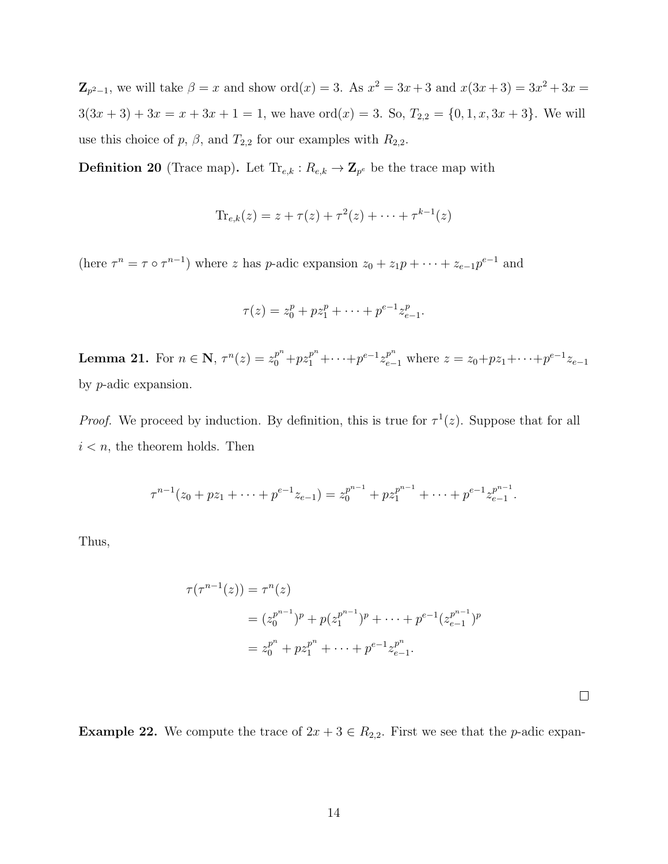$\mathbb{Z}_{p^2-1}$ , we will take  $\beta = x$  and show  $\text{ord}(x) = 3$ . As  $x^2 = 3x + 3$  and  $x(3x+3) = 3x^2 + 3x = 3$  $3(3x + 3) + 3x = x + 3x + 1 = 1$ , we have  $\text{ord}(x) = 3$ . So,  $T_{2,2} = \{0, 1, x, 3x + 3\}$ . We will use this choice of p,  $\beta$ , and  $T_{2,2}$  for our examples with  $R_{2,2}$ .

<span id="page-20-0"></span>**Definition 20** (Trace map). Let  $\text{Tr}_{e,k}: R_{e,k} \to \mathbf{Z}_{p^e}$  be the trace map with

$$
\text{Tr}_{e,k}(z) = z + \tau(z) + \tau^2(z) + \dots + \tau^{k-1}(z)
$$

(here  $\tau^n = \tau \circ \tau^{n-1}$ ) where z has p-adic expansion  $z_0 + z_1 p + \cdots + z_{e-1} p^{e-1}$  and

$$
\tau(z) = z_0^p + pz_1^p + \dots + p^{e-1} z_{e-1}^p.
$$

**Lemma 21.** For  $n \in \mathbb{N}$ ,  $\tau^n(z) = z_0^{p^n} + pz_1^{p^n} + \cdots + p^{e-1} z_{e-1}^{p^n}$  where  $z = z_0 + pz_1 + \cdots + p^{e-1} z_{e-1}$ by p-adic expansion.

*Proof.* We proceed by induction. By definition, this is true for  $\tau^1(z)$ . Suppose that for all  $i < n$ , the theorem holds. Then

$$
\tau^{n-1}(z_0 + pz_1 + \dots + p^{e-1}z_{e-1}) = z_0^{p^{n-1}} + pz_1^{p^{n-1}} + \dots + p^{e-1}z_{e-1}^{p^{n-1}}.
$$

Thus,

$$
\tau(\tau^{n-1}(z)) = \tau^n(z)
$$
  
=  $(z_0^{p^{n-1}})^p + p(z_1^{p^{n-1}})^p + \dots + p^{e-1}(z_{e-1}^{p^{n-1}})^p$   
=  $z_0^{p^n} + pz_1^{p^n} + \dots + p^{e-1}z_{e-1}^{p^n}.$ 

 $\Box$ 

**Example 22.** We compute the trace of  $2x + 3 \in R_{2,2}$ . First we see that the *p*-adic expan-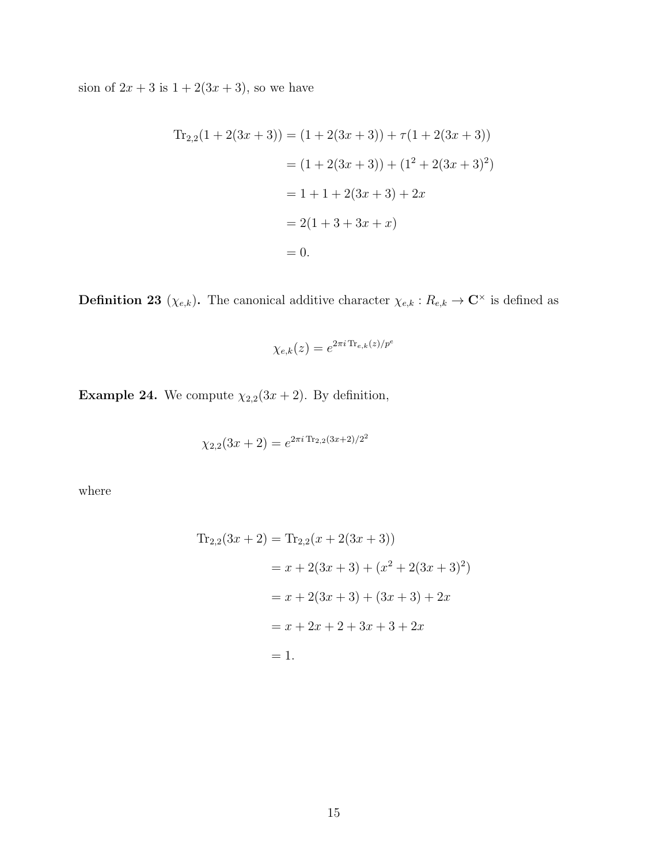sion of  $2x + 3$  is  $1 + 2(3x + 3)$ , so we have

$$
Tr_{2,2}(1 + 2(3x + 3)) = (1 + 2(3x + 3)) + \tau(1 + 2(3x + 3))
$$
  
= (1 + 2(3x + 3)) + (1<sup>2</sup> + 2(3x + 3)<sup>2</sup>)  
= 1 + 1 + 2(3x + 3) + 2x  
= 2(1 + 3 + 3x + x)  
= 0.

<span id="page-21-0"></span>**Definition 23** ( $\chi_{e,k}$ ). The canonical additive character  $\chi_{e,k} : R_{e,k} \to \mathbb{C}^{\times}$  is defined as

$$
\chi_{e,k}(z) = e^{2\pi i \operatorname{Tr}_{e,k}(z)/p^e}
$$

**Example 24.** We compute  $\chi_{2,2}(3x+2)$ . By definition,

$$
\chi_{2,2}(3x+2) = e^{2\pi i \operatorname{Tr}_{2,2}(3x+2)/2^2}
$$

where

$$
Tr_{2,2}(3x + 2) = Tr_{2,2}(x + 2(3x + 3))
$$
  
=  $x + 2(3x + 3) + (x^2 + 2(3x + 3)^2)$   
=  $x + 2(3x + 3) + (3x + 3) + 2x$   
=  $x + 2x + 2 + 3x + 3 + 2x$   
= 1.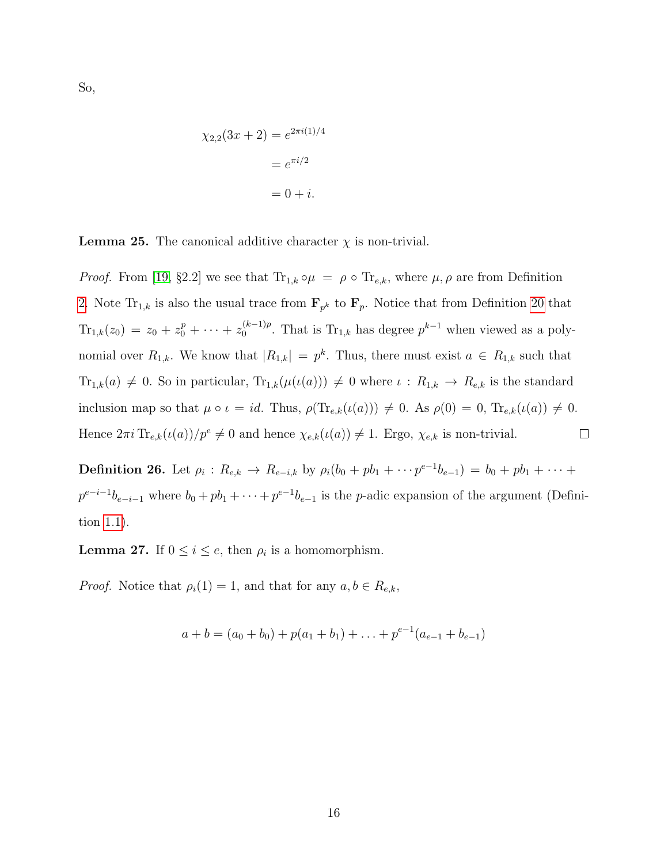So,

$$
\chi_{2,2}(3x+2) = e^{2\pi i(1)/4}
$$

$$
= e^{\pi i/2}
$$

$$
= 0 + i.
$$

<span id="page-22-0"></span>**Lemma 25.** The canonical additive character  $\chi$  is non-trivial.

*Proof.* From [\[19,](#page-57-7) §2.2] we see that  $Tr_{1,k} \circ \mu = \rho \circ Tr_{e,k}$ , where  $\mu, \rho$  are from Definition [2.](#page-13-0) Note  $\text{Tr}_{1,k}$  is also the usual trace from  $\mathbf{F}_{p^k}$  to  $\mathbf{F}_p$ . Notice that from Definition [20](#page-20-0) that  $\text{Tr}_{1,k}(z_0) = z_0 + z_0^p + \cdots + z_0^{(k-1)p}$  $0^{(k-1)p}$ . That is Tr<sub>1,k</sub> has degree  $p^{k-1}$  when viewed as a polynomial over  $R_{1,k}$ . We know that  $|R_{1,k}| = p^k$ . Thus, there must exist  $a \in R_{1,k}$  such that  $\text{Tr}_{1,k}(a) \neq 0$ . So in particular,  $\text{Tr}_{1,k}(\mu(\iota(a))) \neq 0$  where  $\iota : R_{1,k} \to R_{e,k}$  is the standard inclusion map so that  $\mu \circ \iota = id$ . Thus,  $\rho(\text{Tr}_{e,k}(\iota(a))) \neq 0$ . As  $\rho(0) = 0$ ,  $\text{Tr}_{e,k}(\iota(a)) \neq 0$ . Hence  $2\pi i \text{Tr}_{e,k}(\iota(a))/p^e \neq 0$  and hence  $\chi_{e,k}(\iota(a)) \neq 1$ . Ergo,  $\chi_{e,k}$  is non-trivial.  $\Box$ 

**Definition 26.** Let  $\rho_i$  :  $R_{e,k} \to R_{e-i,k}$  by  $\rho_i(b_0 + pb_1 + \cdots p^{e-1}b_{e-1}) = b_0 + pb_1 + \cdots$  $p^{e-i-1}b_{e-i-1}$  where  $b_0 + pb_1 + \cdots + p^{e-1}b_{e-1}$  is the *p*-adic expansion of the argument (Definition [1.1\)](#page-17-1).

**Lemma 27.** If  $0 \le i \le e$ , then  $\rho_i$  is a homomorphism.

*Proof.* Notice that  $\rho_i(1) = 1$ , and that for any  $a, b \in R_{e,k}$ ,

$$
a + b = (a_0 + b_0) + p(a_1 + b_1) + \ldots + p^{e-1}(a_{e-1} + b_{e-1})
$$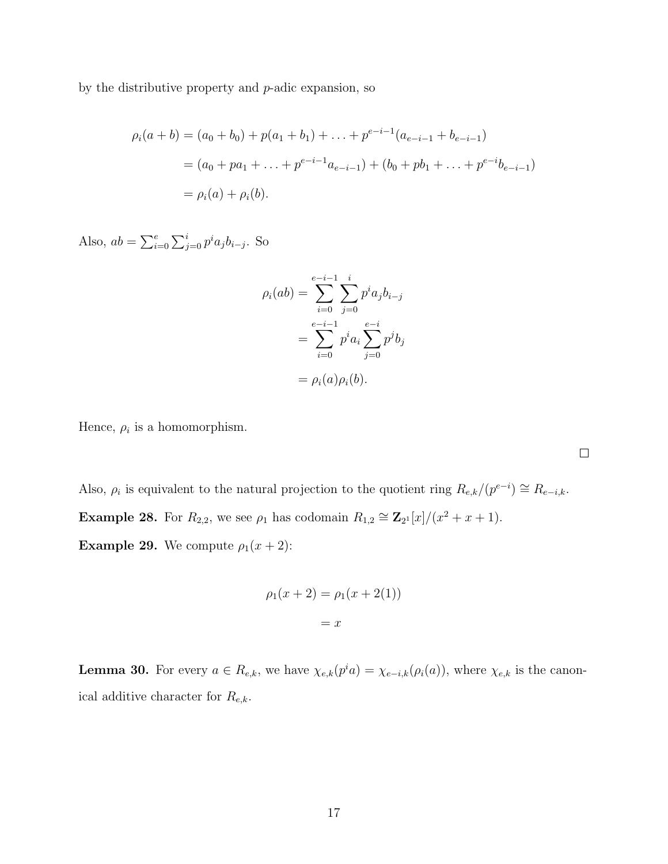by the distributive property and  $p$ -adic expansion, so

$$
\rho_i(a+b) = (a_0 + b_0) + p(a_1 + b_1) + \dots + p^{e-i-1}(a_{e-i-1} + b_{e-i-1})
$$
  
=  $(a_0 + pa_1 + \dots + p^{e-i-1}a_{e-i-1}) + (b_0 + pb_1 + \dots + p^{e-i}b_{e-i-1})$   
=  $\rho_i(a) + \rho_i(b)$ .

Also,  $ab = \sum_{i=0}^{e} \sum_{j=0}^{i} p^{i} a_{j} b_{i-j}$ . So

$$
\rho_i(ab) = \sum_{i=0}^{e-i-1} \sum_{j=0}^i p^i a_j b_{i-j}
$$

$$
= \sum_{i=0}^{e-i-1} p^i a_i \sum_{j=0}^{e-i} p^j b_j
$$

$$
= \rho_i(a)\rho_i(b).
$$

Hence,  $\rho_i$  is a homomorphism.

Also,  $\rho_i$  is equivalent to the natural projection to the quotient ring  $R_{e,k}/(p^{e-i}) \cong R_{e-i,k}$ . **Example 28.** For  $R_{2,2}$ , we see  $\rho_1$  has codomain  $R_{1,2} \cong \mathbb{Z}_{2^1}[x]/(x^2 + x + 1)$ . **Example 29.** We compute  $\rho_1(x+2)$ :

$$
\rho_1(x+2) = \rho_1(x+2(1))
$$
  
= x

<span id="page-23-0"></span>**Lemma 30.** For every  $a \in R_{e,k}$ , we have  $\chi_{e,k}(p^i a) = \chi_{e-i,k}(\rho_i(a))$ , where  $\chi_{e,k}$  is the canonical additive character for  $R_{e,k}$ .

 $\Box$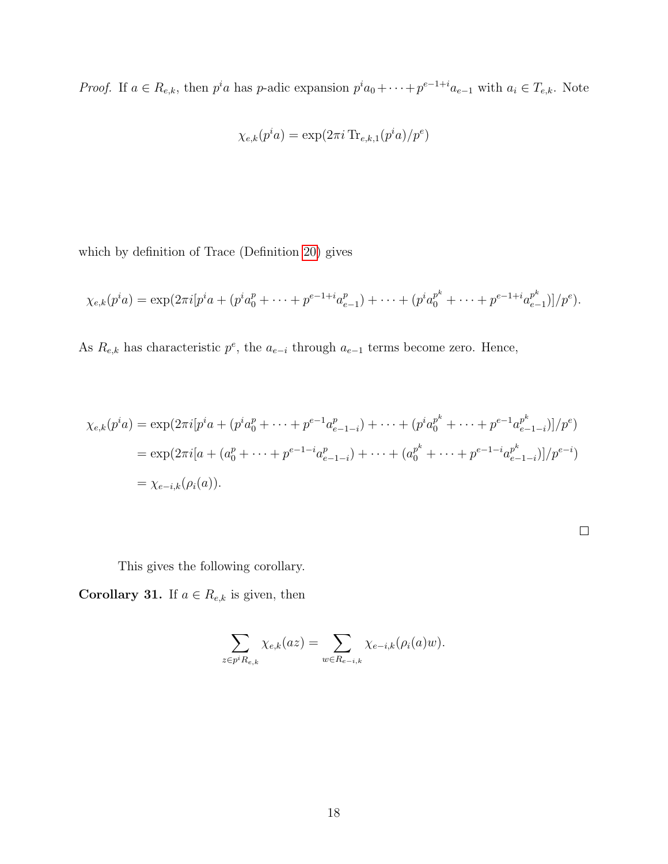*Proof.* If  $a \in R_{e,k}$ , then  $p^i a$  has p-adic expansion  $p^i a_0 + \cdots + p^{e-1+i} a_{e-1}$  with  $a_i \in T_{e,k}$ . Note

$$
\chi_{e,k}(p^ia) = \exp(2\pi i \operatorname{Tr}_{e,k,1}(p^ia)/p^e)
$$

which by definition of Trace (Definition [20\)](#page-20-0) gives

$$
\chi_{e,k}(p^ia) = \exp(2\pi i [p^ia + (p^ia_0^p + \dots + p^{e-1+i}a_{e-1}^p) + \dots + (p^ia_0^{p^k} + \dots + p^{e-1+i}a_{e-1}^{p^k})]/p^e).
$$

As  $R_{e,k}$  has characteristic  $p^e$ , the  $a_{e-i}$  through  $a_{e-1}$  terms become zero. Hence,

$$
\chi_{e,k}(p^i a) = \exp(2\pi i [p^i a + (p^i a_0^p + \dots + p^{e-1} a_{e-1-i}^p) + \dots + (p^i a_0^{p^k} + \dots + p^{e-1} a_{e-1-i}^{p^k})]/p^e)
$$
  
= 
$$
\exp(2\pi i [a + (a_0^p + \dots + p^{e-1-i} a_{e-1-i}^p) + \dots + (a_0^{p^k} + \dots + p^{e-1-i} a_{e-1-i}^{p^k})]/p^{e-i})
$$
  
= 
$$
\chi_{e-i,k}(\rho_i(a)).
$$

This gives the following corollary.

<span id="page-24-0"></span>**Corollary 31.** If  $a \in R_{e,k}$  is given, then

$$
\sum_{z \in p^i R_{e,k}} \chi_{e,k}(az) = \sum_{w \in R_{e-i,k}} \chi_{e-i,k}(\rho_i(a)w).
$$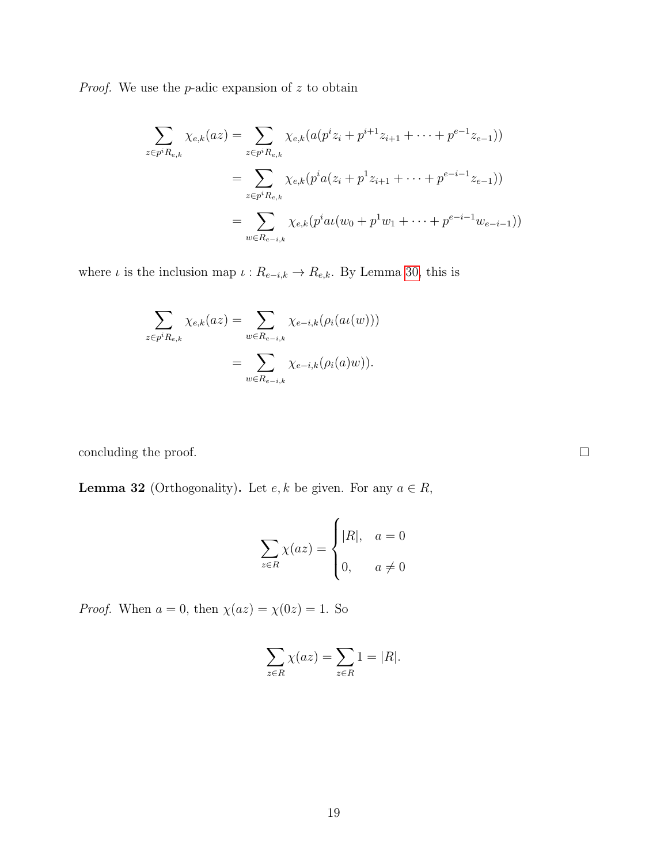*Proof.* We use the  $p$ -adic expansion of  $z$  to obtain

$$
\sum_{z \in p^i R_{e,k}} \chi_{e,k}(az) = \sum_{z \in p^i R_{e,k}} \chi_{e,k}(a(p^i z_i + p^{i+1} z_{i+1} + \dots + p^{e-1} z_{e-1}))
$$
\n
$$
= \sum_{z \in p^i R_{e,k}} \chi_{e,k}(p^i a(z_i + p^1 z_{i+1} + \dots + p^{e-i-1} z_{e-1}))
$$
\n
$$
= \sum_{w \in R_{e-i,k}} \chi_{e,k}(p^i a(w_0 + p^1 w_1 + \dots + p^{e-i-1} w_{e-i-1}))
$$

where  $\iota$  is the inclusion map  $\iota : R_{e-i,k} \to R_{e,k}$ . By Lemma [30,](#page-23-0) this is

$$
\sum_{z \in p^i R_{e,k}} \chi_{e,k}(az) = \sum_{w \in R_{e-i,k}} \chi_{e-i,k}(\rho_i(au(w)))
$$

$$
= \sum_{w \in R_{e-i,k}} \chi_{e-i,k}(\rho_i(a)w)).
$$

concluding the proof.

<span id="page-25-0"></span>**Lemma 32** (Orthogonality). Let  $e, k$  be given. For any  $a \in R$ ,

$$
\sum_{z \in R} \chi(az) = \begin{cases} |R|, & a = 0\\ 0, & a \neq 0 \end{cases}
$$

*Proof.* When  $a = 0$ , then  $\chi(az) = \chi(0z) = 1$ . So

$$
\sum_{z \in R} \chi(az) = \sum_{z \in R} 1 = |R|.
$$

 $\Box$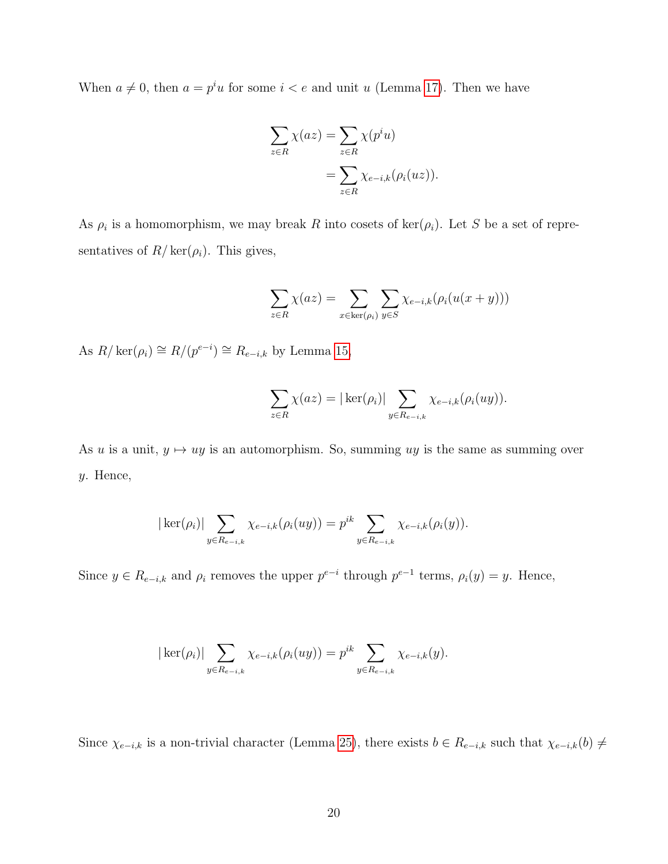When  $a \neq 0$ , then  $a = p^i u$  for some  $i < e$  and unit u (Lemma [17\)](#page-19-0). Then we have

$$
\sum_{z \in R} \chi(az) = \sum_{z \in R} \chi(p^i u)
$$

$$
= \sum_{z \in R} \chi_{e-i,k}(\rho_i(uz)).
$$

As  $\rho_i$  is a homomorphism, we may break R into cosets of ker( $\rho_i$ ). Let S be a set of representatives of  $R/\text{ker}(\rho_i)$ . This gives,

$$
\sum_{z \in R} \chi(az) = \sum_{x \in \ker(\rho_i)} \sum_{y \in S} \chi_{e-i,k}(\rho_i(u(x+y)))
$$

As  $R/\ker(\rho_i) \cong R/(p^{e-i}) \cong R_{e-i,k}$  by Lemma [15,](#page-17-0)

$$
\sum_{z \in R} \chi(az) = |\ker(\rho_i)| \sum_{y \in R_{e-i,k}} \chi_{e-i,k}(\rho_i(uy)).
$$

As u is a unit,  $y \mapsto uy$  is an automorphism. So, summing uy is the same as summing over y. Hence,

$$
|\ker(\rho_i)| \sum_{y \in R_{e-i,k}} \chi_{e-i,k}(\rho_i(uy)) = p^{ik} \sum_{y \in R_{e-i,k}} \chi_{e-i,k}(\rho_i(y)).
$$

Since  $y \in R_{e-i,k}$  and  $\rho_i$  removes the upper  $p^{e-i}$  through  $p^{e-1}$  terms,  $\rho_i(y) = y$ . Hence,

$$
|\ker(\rho_i)| \sum_{y \in R_{e-i,k}} \chi_{e-i,k}(\rho_i(uy)) = p^{ik} \sum_{y \in R_{e-i,k}} \chi_{e-i,k}(y).
$$

Since  $\chi_{e-i,k}$  is a non-trivial character (Lemma [25\)](#page-22-0), there exists  $b \in R_{e-i,k}$  such that  $\chi_{e-i,k}(b) \neq$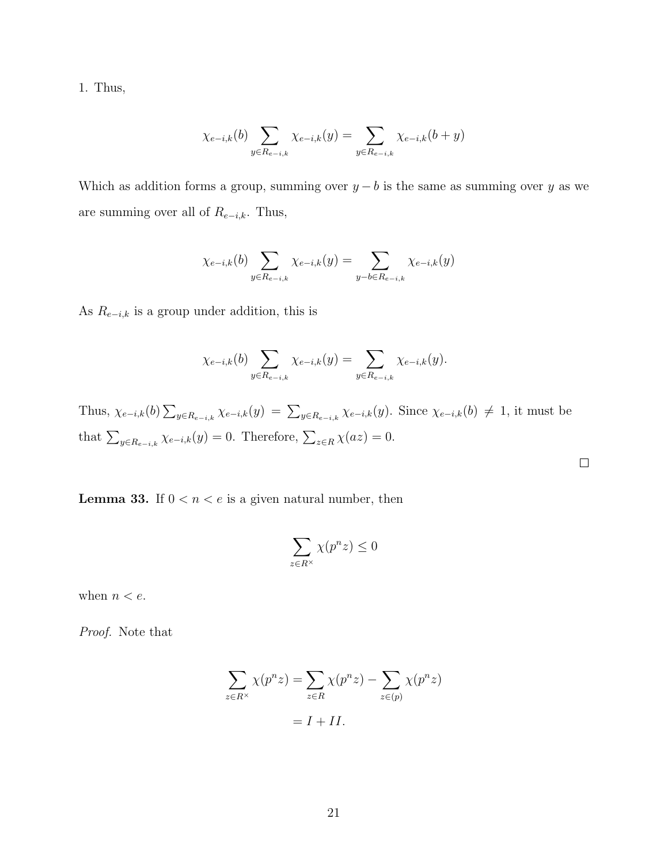1. Thus,

$$
\chi_{e-i,k}(b) \sum_{y \in R_{e-i,k}} \chi_{e-i,k}(y) = \sum_{y \in R_{e-i,k}} \chi_{e-i,k}(b+y)
$$

Which as addition forms a group, summing over  $y - b$  is the same as summing over y as we are summing over all of  $R_{e-i,k}$ . Thus,

$$
\chi_{e-i,k}(b) \sum_{y \in R_{e-i,k}} \chi_{e-i,k}(y) = \sum_{y-b \in R_{e-i,k}} \chi_{e-i,k}(y)
$$

As  $R_{e-i,k}$  is a group under addition, this is

$$
\chi_{e-i,k}(b) \sum_{y \in R_{e-i,k}} \chi_{e-i,k}(y) = \sum_{y \in R_{e-i,k}} \chi_{e-i,k}(y).
$$

Thus,  $\chi_{e-i,k}(b) \sum_{y \in R_{e-i,k}} \chi_{e-i,k}(y) = \sum_{y \in R_{e-i,k}} \chi_{e-i,k}(y)$ . Since  $\chi_{e-i,k}(b) \neq 1$ , it must be that  $\sum_{y \in R_{e-i,k}} \chi_{e-i,k}(y) = 0$ . Therefore,  $\sum_{z \in R} \chi(az) = 0$ .

 $\Box$ 

<span id="page-27-0"></span>**Lemma 33.** If  $0 < n < e$  is a given natural number, then

$$
\sum_{z\in R^\times}\chi(p^nz)\leq 0
$$

when  $n < e$ .

Proof. Note that

$$
\sum_{z \in R^{\times}} \chi(p^n z) = \sum_{z \in R} \chi(p^n z) - \sum_{z \in (p)} \chi(p^n z)
$$

$$
= I + II.
$$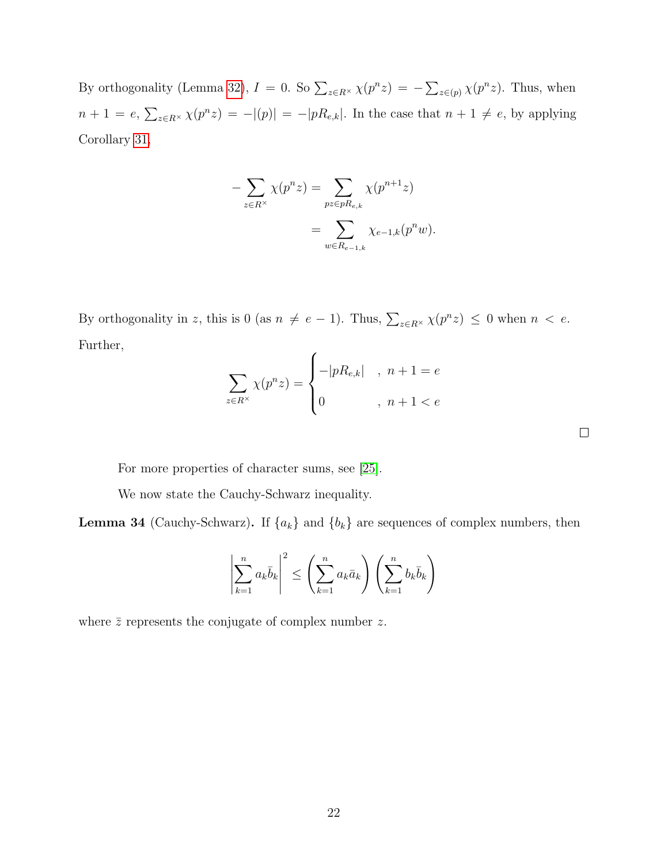By orthogonality (Lemma [32\)](#page-25-0),  $I = 0$ . So  $\sum_{z \in R^{\times}} \chi(p^n z) = -\sum_{z \in (p)} \chi(p^n z)$ . Thus, when  $n+1 = e, \sum_{z \in R^{\times}} \chi(p^n z) = -|(p)| = -|p R_{e,k}|.$  In the case that  $n+1 \neq e$ , by applying Corollary [31,](#page-24-0)

$$
-\sum_{z \in R^{\times}} \chi(p^{n} z) = \sum_{p z \in pR_{e,k}} \chi(p^{n+1} z)
$$
  
= 
$$
\sum_{w \in R_{e-1,k}} \chi_{e-1,k}(p^{n} w).
$$

By orthogonality in z, this is 0 (as  $n \neq e-1$ ). Thus,  $\sum_{z \in R^{\times}} \chi(p^n z) \leq 0$  when  $n < e$ . Further,

$$
\sum_{z \in R^{\times}} \chi(p^n z) = \begin{cases} -|p R_{e,k}|, & n+1 = e \\ 0, & n+1 < e \end{cases}
$$

For more properties of character sums, see [\[25\]](#page-58-5).

We now state the Cauchy-Schwarz inequality.

<span id="page-28-0"></span>**Lemma 34** (Cauchy-Schwarz). If  $\{a_k\}$  and  $\{b_k\}$  are sequences of complex numbers, then

$$
\left|\sum_{k=1}^n a_k \bar{b}_k\right|^2 \le \left(\sum_{k=1}^n a_k \bar{a}_k\right) \left(\sum_{k=1}^n b_k \bar{b}_k\right)
$$

where  $\bar{z}$  represents the conjugate of complex number z.

 $\Box$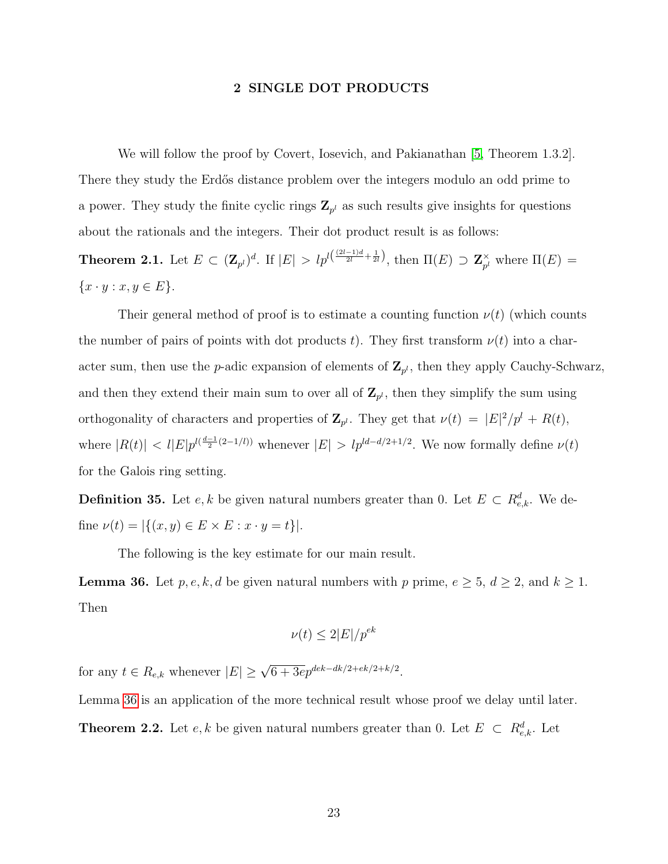#### 2 SINGLE DOT PRODUCTS

<span id="page-29-0"></span>We will follow the proof by Covert, Iosevich, and Pakianathan [\[5,](#page-56-3) Theorem 1.3.2]. There they study the Erdős distance problem over the integers modulo an odd prime to a power. They study the finite cyclic rings  $\mathbf{Z}_{p^l}$  as such results give insights for questions about the rationals and the integers. Their dot product result is as follows:

**Theorem 2.1.** Let  $E \subset (\mathbf{Z}_{p^l})^d$ . If  $|E| > lp^{l(\frac{(2l-1)d}{2l} + \frac{1}{2l})}$ , then  $\Pi(E) \supset \mathbf{Z}_{p^l}^{\times}$  $_{p^{l}}^{\times}$  where  $\Pi(E) =$  $\{x \cdot y : x, y \in E\}.$ 

Their general method of proof is to estimate a counting function  $\nu(t)$  (which counts the number of pairs of points with dot products t). They first transform  $\nu(t)$  into a character sum, then use the *p*-adic expansion of elements of  $\mathbf{Z}_{p^l}$ , then they apply Cauchy-Schwarz, and then they extend their main sum to over all of  $\mathbf{Z}_{p^l}$ , then they simplify the sum using orthogonality of characters and properties of  $\mathbf{Z}_{p^l}$ . They get that  $\nu(t) = |E|^2/p^l + R(t)$ , where  $|R(t)| < l |E| p^{l(\frac{d-1}{2}(2-l/l))}$  whenever  $|E| > l p^{ld-d/2+1/2}$ . We now formally define  $\nu(t)$ for the Galois ring setting.

**Definition 35.** Let  $e, k$  be given natural numbers greater than 0. Let  $E \subset R_{e,k}^d$ . We define  $\nu(t) = |\{(x, y) \in E \times E : x \cdot y = t\}|.$ 

The following is the key estimate for our main result.

<span id="page-29-1"></span>**Lemma 36.** Let  $p, e, k, d$  be given natural numbers with p prime,  $e \ge 5$ ,  $d \ge 2$ , and  $k \ge 1$ . Then

$$
\nu(t) \le 2|E|/p^{ek}
$$

for any  $t \in R_{e,k}$  whenever  $|E| \ge \sqrt{6 + 3e} p^{dek - dk/2 + ek/2 + k/2}$ .

<span id="page-29-2"></span>Lemma [36](#page-29-1) is an application of the more technical result whose proof we delay until later.

**Theorem 2.2.** Let  $e, k$  be given natural numbers greater than 0. Let  $E \subset R_{e,k}^d$ . Let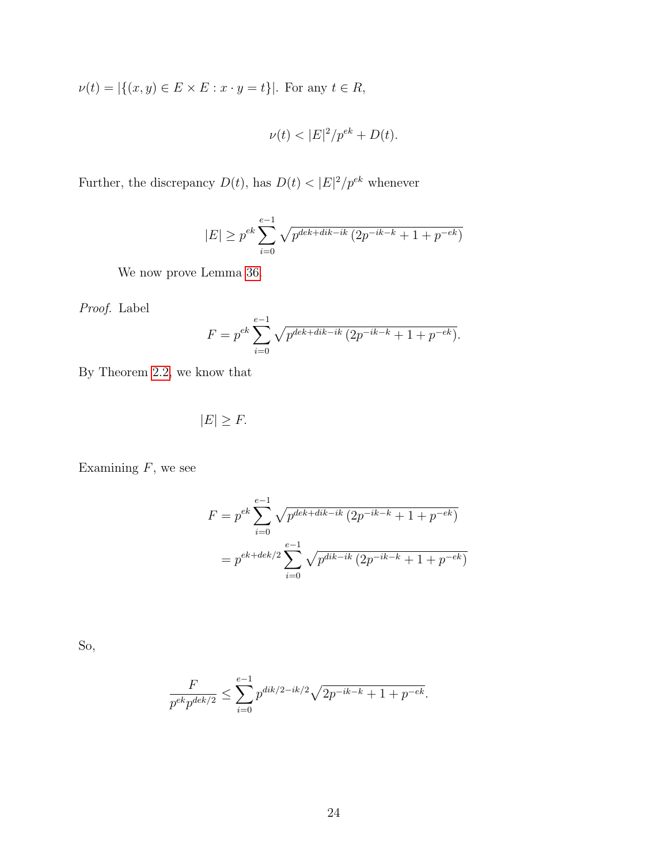$\nu(t) = |\{(x, y) \in E \times E : x \cdot y = t\}|$ . For any  $t \in R$ ,

$$
\nu(t) < |E|^2 / p^{ek} + D(t).
$$

Further, the discrepancy  $D(t)$ , has  $D(t) < |E|^2/p^{ek}$  whenever

$$
|E| \ge p^{ek} \sum_{i=0}^{e-1} \sqrt{p^{dek+dk-ik} (2p^{-ik-k} + 1 + p^{-ek})}
$$

We now prove Lemma [36.](#page-29-1)

Proof. Label

$$
F = p^{ek} \sum_{i=0}^{e-1} \sqrt{p^{dek+dk-ik} (2p^{-ik-k} + 1 + p^{-ek})}.
$$

By Theorem [2.2,](#page-29-2) we know that

$$
|E| \geq F.
$$

Examining  $F$ , we see

$$
F = p^{ek} \sum_{i=0}^{e-1} \sqrt{p^{dek+dk-ik} (2p^{-ik-k} + 1 + p^{-ek})}
$$

$$
= p^{ek+dek/2} \sum_{i=0}^{e-1} \sqrt{p^{dik-ik} (2p^{-ik-k} + 1 + p^{-ek})}
$$

So,

$$
\frac{F}{p^{ek}p^{dek/2}} \le \sum_{i=0}^{e-1} p^{dik/2 - ik/2} \sqrt{2p^{-ik-k} + 1 + p^{-ek}}.
$$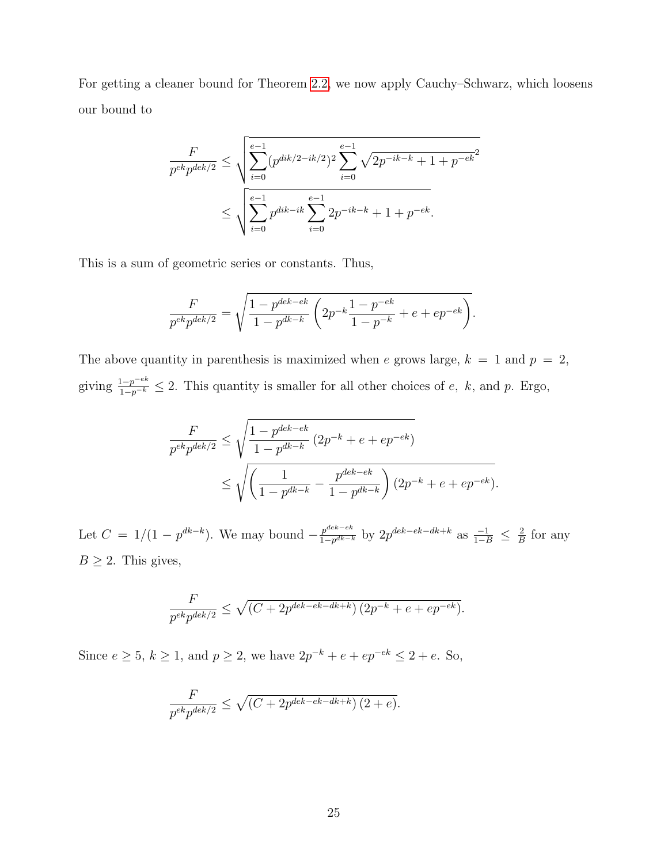For getting a cleaner bound for Theorem [2.2,](#page-29-2) we now apply Cauchy–Schwarz, which loosens our bound to

$$
\frac{F}{p^{ek}p^{dek/2}} \le \sqrt{\sum_{i=0}^{e-1} (p^{dik/2 - ik/2})^2 \sum_{i=0}^{e-1} \sqrt{2p^{-ik-k} + 1 + p^{-ek}^2}}
$$
  

$$
\le \sqrt{\sum_{i=0}^{e-1} p^{dik-ik} \sum_{i=0}^{e-1} 2p^{-ik-k} + 1 + p^{-ek}}.
$$

This is a sum of geometric series or constants. Thus,

$$
\frac{F}{p^{ek}p^{dek/2}} = \sqrt{\frac{1 - p^{dek-ek}}{1 - p^{dk-k}} \left( 2p^{-k} \frac{1 - p^{-ek}}{1 - p^{-k}} + e + ep^{-ek} \right)}.
$$

The above quantity in parenthesis is maximized when e grows large,  $k = 1$  and  $p = 2$ , giving  $\frac{1-p^{-ek}}{1-p^{-k}} \leq 2$ . This quantity is smaller for all other choices of e, k, and p. Ergo,

$$
\frac{F}{p^{ek}p^{dek/2}} \le \sqrt{\frac{1 - p^{dek - ek}}{1 - p^{dk - k}} (2p^{-k} + e + ep^{-ek})}
$$
  
 
$$
\le \sqrt{\left(\frac{1}{1 - p^{dk - k}} - \frac{p^{dek - ek}}{1 - p^{dk - k}}\right) (2p^{-k} + e + ep^{-ek}).}
$$

Let  $C = 1/(1 - p^{dk-k})$ . We may bound  $-\frac{p^{dek - ek}}{1 - n^{dk-1}}$  $\frac{p^{dek-ek}}{1-p^{dk-k}}$  by  $2p^{dek-ek-dk+k}$  as  $\frac{-1}{1-B}$  ≤  $\frac{2}{B}$  $\frac{2}{B}$  for any  $B \geq 2$ . This gives,

$$
\frac{F}{p^{ek}p^{dek/2}} \le \sqrt{(C + 2p^{dek - ek - dk + k}) (2p^{-k} + e + ep^{-ek})}.
$$

Since  $e \geq 5$ ,  $k \geq 1$ , and  $p \geq 2$ , we have  $2p^{-k} + e + ep^{-ek} \leq 2 + e$ . So,

$$
\frac{F}{p^{ek}p^{dek/2}} \le \sqrt{(C+2p^{dek-ek-dk+k}) (2+e)}.
$$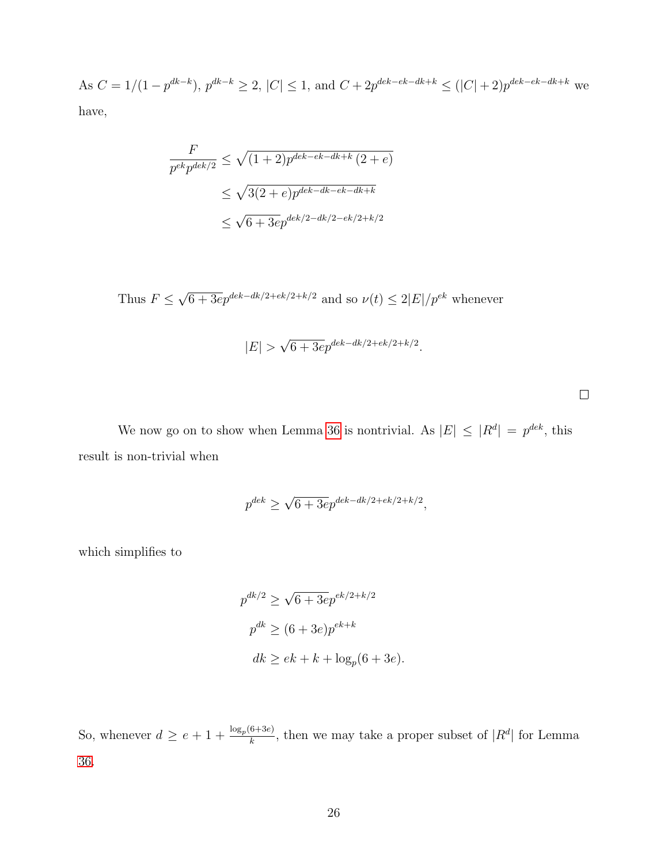As  $C = 1/(1-p^{dk-k})$ ,  $p^{dk-k} \geq 2$ ,  $|C| \leq 1$ , and  $C + 2p^{dek-ek-dk+k} \leq (|C|+2)p^{dek-ek-dk+k}$  we have,

$$
\frac{F}{p^{ek}p^{dek/2}} \le \sqrt{(1+2)p^{dek-ek-dk+k} (2+e)}
$$
  

$$
\le \sqrt{3(2+e)p^{dek-dk-ek-dk+k}}
$$
  

$$
\le \sqrt{6+3e}p^{dek/2-dk/2-ek/2+k/2}
$$

Thus  $F \leq$ √  $6 + 3e^{q}e^{4k - dk/2 + ek/2 + k/2}$  and so  $\nu(t) \leq 2|E|/p^{ek}$  whenever

$$
|E| > \sqrt{6 + 3e} p^{dek - dk/2 + ek/2 + k/2}.
$$

 $\Box$ 

We now go on to show when Lemma [36](#page-29-1) is nontrivial. As  $|E| \leq |R^d| = p^{dek}$ , this result is non-trivial when

$$
p^{dek} \ge \sqrt{6 + 3e} p^{dek - dk/2 + ek/2 + k/2},
$$

which simplifies to

$$
p^{dk/2} \ge \sqrt{6 + 3e} p^{ek/2 + k/2}
$$
  

$$
p^{dk} \ge (6 + 3e) p^{ek+k}
$$
  

$$
dk \ge ek + k + \log_p(6 + 3e).
$$

So, whenever  $d \geq e + 1 + \frac{\log_p(6+3e)}{h}$  $\frac{6+3e}{k}$ , then we may take a proper subset of  $|R^d|$  for Lemma [36.](#page-29-1)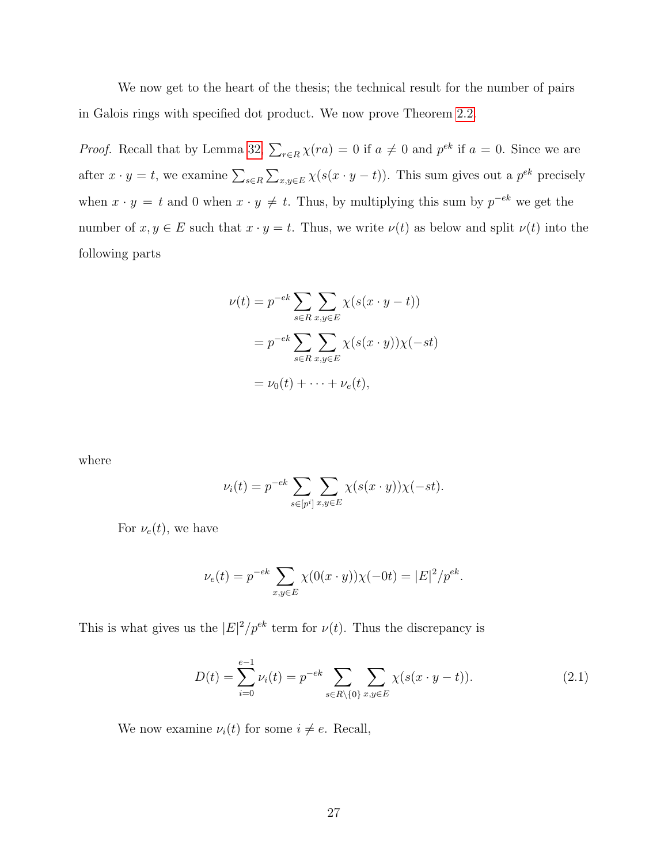We now get to the heart of the thesis; the technical result for the number of pairs in Galois rings with specified dot product. We now prove Theorem [2.2.](#page-29-2)

*Proof.* Recall that by Lemma [32,](#page-25-0)  $\sum_{r \in R} \chi(ra) = 0$  if  $a \neq 0$  and  $p^{ek}$  if  $a = 0$ . Since we are after  $x \cdot y = t$ , we examine  $\sum_{s \in R} \sum_{x, y \in E} \chi(s(x \cdot y - t))$ . This sum gives out a  $p^{ek}$  precisely when  $x \cdot y = t$  and 0 when  $x \cdot y \neq t$ . Thus, by multiplying this sum by  $p^{-ek}$  we get the number of  $x, y \in E$  such that  $x \cdot y = t$ . Thus, we write  $\nu(t)$  as below and split  $\nu(t)$  into the following parts

$$
\nu(t) = p^{-ek} \sum_{s \in R} \sum_{x,y \in E} \chi(s(x \cdot y - t))
$$

$$
= p^{-ek} \sum_{s \in R} \sum_{x,y \in E} \chi(s(x \cdot y)) \chi(-st)
$$

$$
= \nu_0(t) + \dots + \nu_e(t),
$$

where

$$
\nu_i(t) = p^{-ek} \sum_{s \in [p^i]} \sum_{x, y \in E} \chi(s(x \cdot y)) \chi(-st).
$$

For  $\nu_e(t)$ , we have

$$
\nu_e(t) = p^{-ek} \sum_{x,y \in E} \chi(0(x \cdot y)) \chi(-0t) = |E|^2 / p^{ek}.
$$

This is what gives us the  $|E|^2/p^{ek}$  term for  $\nu(t)$ . Thus the discrepancy is

<span id="page-33-0"></span>
$$
D(t) = \sum_{i=0}^{e-1} \nu_i(t) = p^{-ek} \sum_{s \in R \setminus \{0\}} \sum_{x, y \in E} \chi(s(x \cdot y - t)).
$$
 (2.1)

We now examine  $\nu_i(t)$  for some  $i \neq e$ . Recall,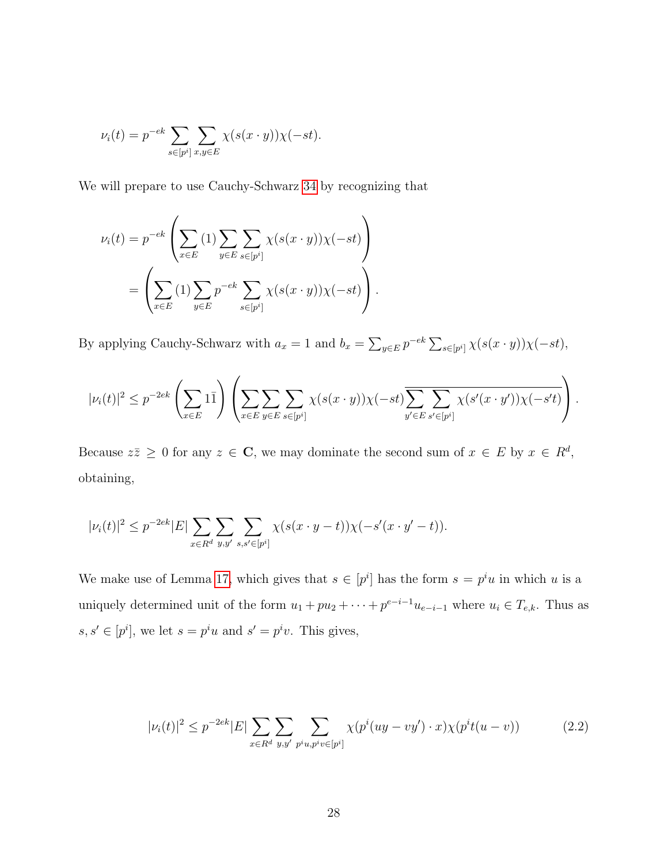$$
\nu_i(t) = p^{-ek} \sum_{s \in [p^i]} \sum_{x, y \in E} \chi(s(x \cdot y)) \chi(-st).
$$

We will prepare to use Cauchy-Schwarz [34](#page-28-0) by recognizing that

$$
\nu_i(t) = p^{-ek} \left( \sum_{x \in E} (1) \sum_{y \in E} \sum_{s \in [p^i]} \chi(s(x \cdot y)) \chi(-st) \right)
$$

$$
= \left( \sum_{x \in E} (1) \sum_{y \in E} p^{-ek} \sum_{s \in [p^i]} \chi(s(x \cdot y)) \chi(-st) \right).
$$

By applying Cauchy-Schwarz with  $a_x = 1$  and  $b_x = \sum_{y \in E} p^{-ek} \sum_{s \in [p^i]} \chi(s(x \cdot y)) \chi(-st)$ ,

$$
|\nu_i(t)|^2 \le p^{-2ek} \left(\sum_{x \in E} 1\bar{1}\right) \left(\sum_{x \in E} \sum_{y \in E} \sum_{s \in [p^i]} \chi(s(x \cdot y))\chi(-st) \overline{\sum_{y' \in E} \sum_{s' \in [p^i]} \chi(s'(x \cdot y'))\chi(-s't)}\right).
$$

Because  $z\overline{z} \geq 0$  for any  $z \in \mathbb{C}$ , we may dominate the second sum of  $x \in E$  by  $x \in R^d$ , obtaining,

$$
|\nu_i(t)|^2 \le p^{-2ek} |E| \sum_{x \in R^d} \sum_{y, y'} \sum_{s, s' \in [p^i]} \chi(s(x \cdot y - t)) \chi(-s'(x \cdot y' - t)).
$$

We make use of Lemma [17,](#page-19-0) which gives that  $s \in [p^i]$  has the form  $s = p^i u$  in which u is a uniquely determined unit of the form  $u_1 + pu_2 + \cdots + p^{e-i-1}u_{e-i-1}$  where  $u_i \in T_{e,k}$ . Thus as  $s, s' \in [p^i]$ , we let  $s = p^i u$  and  $s' = p^i v$ . This gives,

<span id="page-34-0"></span>
$$
|\nu_i(t)|^2 \le p^{-2ek} |E| \sum_{x \in R^d} \sum_{y, y'} \sum_{p^i u, p^i v \in [p^i]} \chi(p^i (uy - vy') \cdot x) \chi(p^i t(u - v)) \tag{2.2}
$$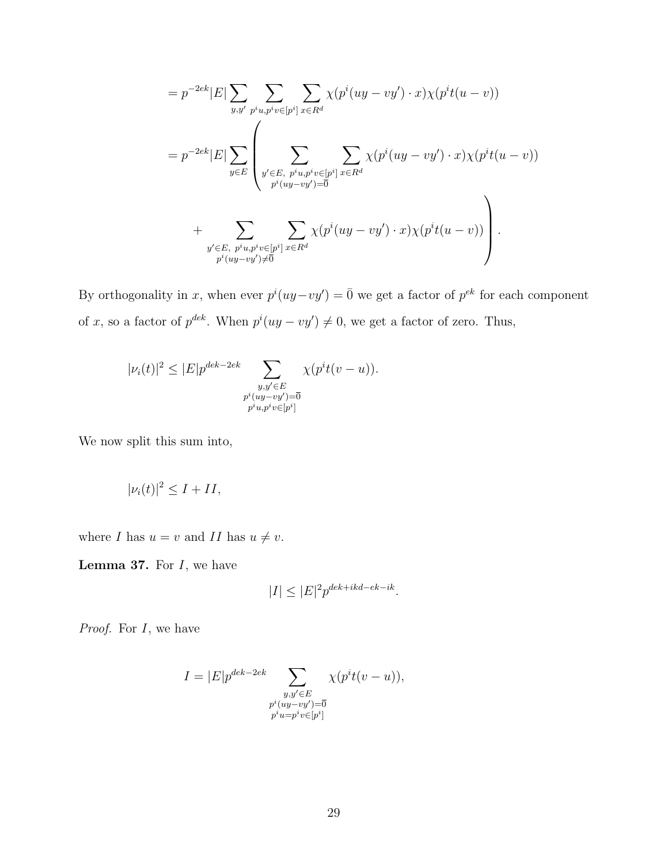$$
=p^{-2ek}|E|\sum_{y,y'}\sum_{p^iu,p^iv\in[p^i]}\sum_{x\in R^d}\chi(p^i(uy-vy')\cdot x)\chi(p^it(u-v))
$$
  

$$
=p^{-2ek}|E|\sum_{y\in E}\left(\sum_{\substack{y'\in E,\ p^iu,p^iv\in[p^i] \\ p^i(uy-vy')=0}}\sum_{x\in R^d}\chi(p^i(uy-vy')\cdot x)\chi(p^it(u-v))\right)
$$
  

$$
+\sum_{\substack{y'\in E,\ p^iu,p^iv\in[p^i] \\ p^i(uy-vy')\neq\overline{0}}}\sum_{x\in R^d}\chi(p^i(uy-vy')\cdot x)\chi(p^it(u-v))\right).
$$

By orthogonality in x, when ever  $p^{i}(uy-vy') = \overline{0}$  we get a factor of  $p^{ek}$  for each component of x, so a factor of  $p^{dek}$ . When  $p^{i}(uy - vy') \neq 0$ , we get a factor of zero. Thus,

$$
|\nu_i(t)|^2 \le |E|p^{dek-2ek} \sum_{\substack{y,y'\in E\\p^i(uy-vy')=\overline{0}\\p^iu, p^iv\in [p^i]}} \chi(p^it(v-u)).
$$

We now split this sum into,

$$
|\nu_i(t)|^2 \le I + II,
$$

<span id="page-35-0"></span>where  $I$  has  $u = v$  and  $II$  has  $u \neq v$ .

**Lemma 37.** For  $I$ , we have

$$
|I| \leq |E|^2 p^{dek + ikd - ek - ik}.
$$

Proof. For I, we have

$$
I = |E|p^{dek-2ek} \sum_{\substack{y,y' \in E \\ p^i(uy-vy') = \overline{0} \\ p^iw = p^iv \in [p^i]}} \chi(p^it(v-u)),
$$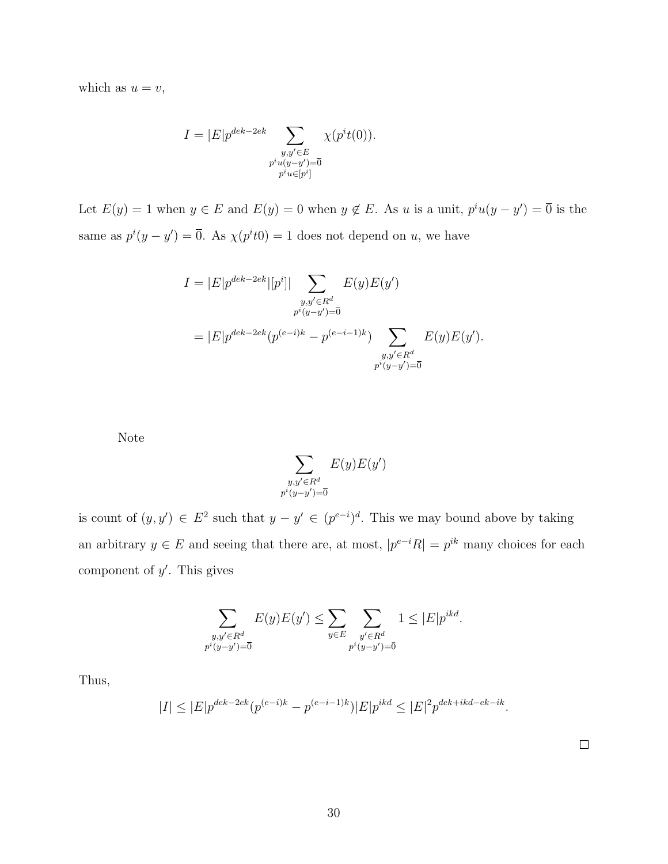which as  $u = v$ ,

$$
I = |E|p^{dek-2ek} \sum_{\substack{y,y' \in E \\ p^i u(y-y') = \overline{0} \\ p^i u \in [p^i]}} \chi(p^i t(0)).
$$

Let  $E(y) = 1$  when  $y \in E$  and  $E(y) = 0$  when  $y \notin E$ . As u is a unit,  $p^i u(y - y') = 0$  is the same as  $p^{i}(y-y') = \overline{0}$ . As  $\chi(p^{i}t) = 1$  does not depend on u, we have

$$
I = |E|p^{dek-2ek}|[p^i]| \sum_{\substack{y,y' \in R^d \\ p^i(y-y') = \overline{0} \\ p^i(y-y') = \overline{0}}} E(y)E(y')
$$
  
= 
$$
|E|p^{dek-2ek}(p^{(e-i)k} - p^{(e-i-1)k}) \sum_{\substack{y,y' \in R^d \\ p^i(y-y') = \overline{0}}} E(y)E(y').
$$

Note

$$
\sum_{\substack{y,y'\in R^d\\p^i(y-y')=\overline{0}}} E(y)E(y')
$$

is count of  $(y, y') \in E^2$  such that  $y - y' \in (p^{e-i})^d$ . This we may bound above by taking an arbitrary  $y \in E$  and seeing that there are, at most,  $|p^{e-i}R| = p^{ik}$  many choices for each component of  $y'$ . This gives

$$
\sum_{\substack{y,y' \in R^d \\ p^i(y-y') = \bar{0}}} E(y)E(y') \le \sum_{y \in E} \sum_{\substack{y' \in R^d \\ p^i(y-y') = \bar{0}}} 1 \le |E|p^{ikd}.
$$

Thus,

$$
|I| \le |E| p^{dek - 2ek} (p^{(e-i)k} - p^{(e-i-1)k}) |E| p^{ikd} \le |E|^2 p^{dek + ikd - ek - ik}.
$$

 $\Box$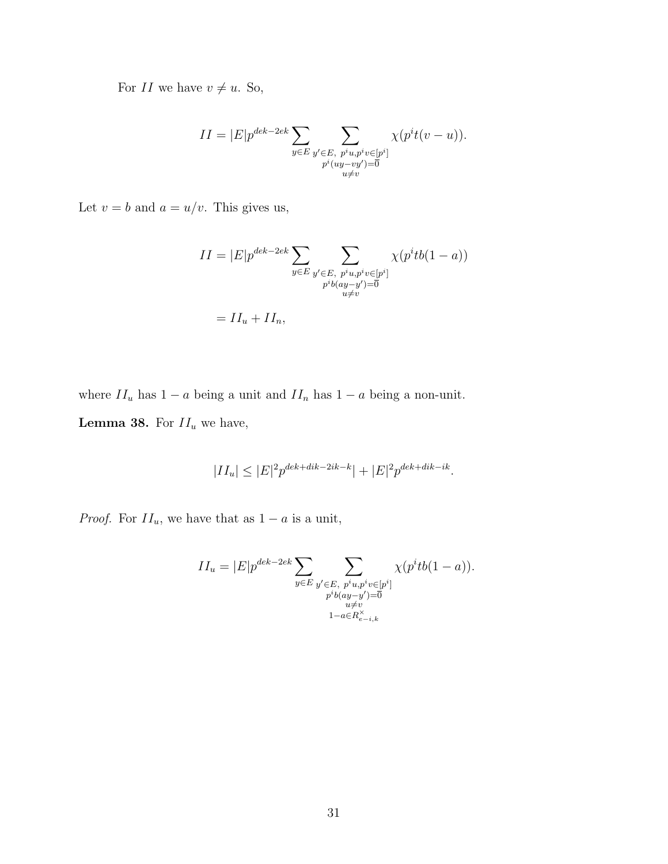For  $II$  we have  $v \neq u.$  So,

$$
II = |E|p^{dek-2ek} \sum_{y \in E} \sum_{\substack{y' \in E, p^i u, p^i v \in [p^i] \\ p^i (u y - v y') = 0}} \chi(p^i t (v - u)).
$$

Let  $v = b$  and  $a = u/v$ . This gives us,

$$
II = |E|p^{dek-2ek} \sum_{y \in E} \sum_{\substack{y' \in E, \ p^i u, p^i v \in [p^i] \\ p^i b(ay-y') = 0}} \chi(p^i t b(1-a))
$$
  
= 
$$
II_u + II_n,
$$

<span id="page-37-0"></span>where  $II_u$  has  $1 - a$  being a unit and  $II_n$  has  $1 - a$  being a non-unit.

**Lemma 38.** For  $II_u$  we have,

$$
|II_u| \leq |E|^2 p^{dek + dik - 2ik - k} | + |E|^2 p^{dek + dik - ik}.
$$

*Proof.* For  $II_u$ , we have that as  $1 - a$  is a unit,

$$
II_u = |E|p^{dek-2ek} \sum_{y \in E} \sum_{\substack{y' \in E, \ p^i u, p^i v \in [p^i] \\ p^i b (ay - y') = 0 \\ u \neq v}} \chi(p^i t b(1 - a)).
$$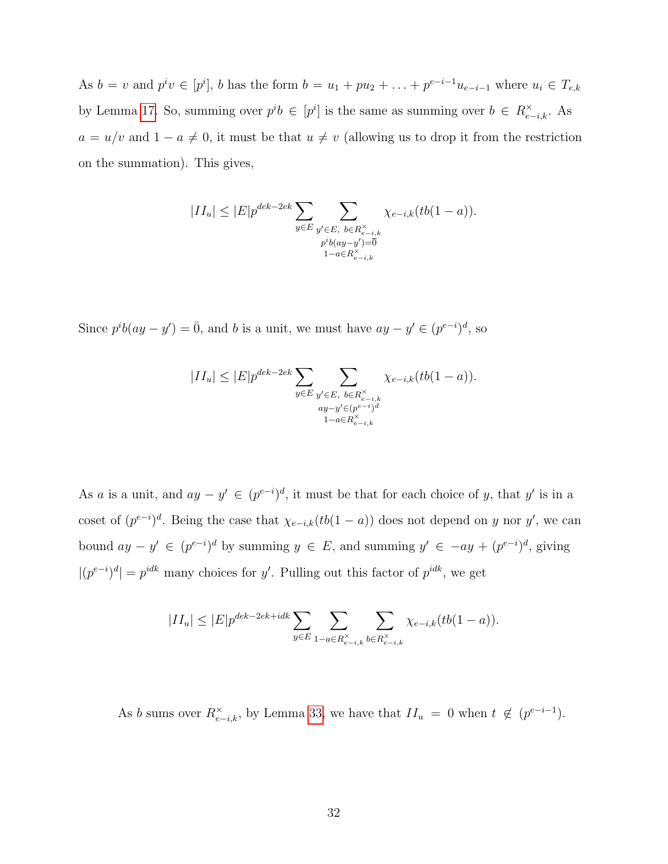As  $b = v$  and  $p^i v \in [p^i]$ , b has the form  $b = u_1 + pu_2 + \ldots + p^{e-i-1}u_{e-i-1}$  where  $u_i \in T_{e,k}$ by Lemma [17.](#page-19-0) So, summing over  $p^i b \in [p^i]$  is the same as summing over  $b \in R_{e-i,k}^{\times}$ . As  $a = u/v$  and  $1 - a \neq 0$ , it must be that  $u \neq v$  (allowing us to drop it from the restriction on the summation). This gives,

$$
|II_u| \le |E| p^{dek-2ek} \sum_{y \in E} \sum_{\substack{y' \in E, \ b \in R_{e-i,k}^{\times} \\ p^ib(ay-y') = 0 \\ 1 - a \in R_{e-i,k}^{\times}}} \chi_{e-i,k}(tb(1-a)).
$$

Since  $p^{i}b(ay - y') = \overline{0}$ , and b is a unit, we must have  $ay - y' \in (p^{e-i})^d$ , so

$$
|II_u| \le |E| p^{dek-2ek} \sum_{y \in E} \sum_{\substack{y' \in E, \ b \in R_{e-i,k}^{\times} \\ ay - y' \in (p^{e-i})^d \\ 1 - a \in R_{e-i,k}^{\times}}} \chi_{e-i,k}(tb(1-a)).
$$

As a is a unit, and  $ay - y' \in (p^{e-i})^d$ , it must be that for each choice of y, that y' is in a coset of  $(p^{e-i})^d$ . Being the case that  $\chi_{e-i,k}(tb(1-a))$  does not depend on y nor y', we can bound  $ay - y' \in (p^{e-i})^d$  by summing  $y \in E$ , and summing  $y' \in -ay + (p^{e-i})^d$ , giving  $|(p^{e-i})^d| = p^{idk}$  many choices for y'. Pulling out this factor of  $p^{idk}$ , we get

$$
|II_u| \leq |E| p^{dek-2ek+idk} \sum_{y \in E} \sum_{1-a \in R_{e-i,k}^\times} \sum_{b \in R_{e-i,k}^\times} \chi_{e-i,k}(tb(1-a)).
$$

As b sums over  $R_{e-i,k}^{\times}$ , by Lemma [33,](#page-27-0) we have that  $II_u = 0$  when  $t \notin (p^{e-i-1})$ .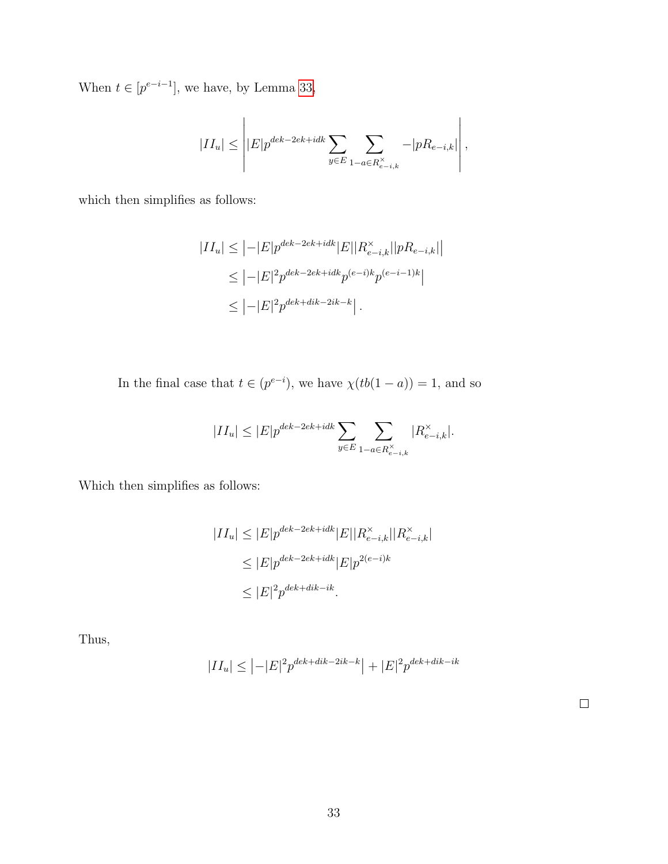When  $t \in [p^{e-i-1}]$ , we have, by Lemma [33,](#page-27-0)

$$
|II_u| \leq \left| |E| p^{dek-2ek+idk} \sum_{y \in E} \sum_{1-a \in R_{e-i,k}^{\times}} -|p R_{e-i,k}| \right|,
$$

which then simplifies as follows:

$$
|II_u| \leq |-|E|p^{dek-2ek+idk}|E||R_{e-i,k}^{\times}||pR_{e-i,k}|
$$
  
\n
$$
\leq |-|E|^2 p^{dek-2ek+idk} p^{(e-i)k} p^{(e-i-1)k}|
$$
  
\n
$$
\leq |-|E|^2 p^{dek+dik-2ik-k}|.
$$

In the final case that  $t \in (p^{e-i})$ , we have  $\chi(tb(1-a)) = 1$ , and so

$$
|II_u|\leq |E|p^{dek-2ek+idk}\sum_{y\in E}\sum_{1-a\in R_{e-i,k}^\times}|R_{e-i,k}^\times|.
$$

Which then simplifies as follows:

$$
|II_u| \le |E|p^{dek-2ek+idk}|E||R_{e-i,k}^{\times}||R_{e-i,k}^{\times}|
$$
  
\n
$$
\le |E|p^{dek-2ek+idk}|E|p^{2(e-i)k}
$$
  
\n
$$
\le |E|^2p^{dek+dk-ik}.
$$

<span id="page-39-0"></span>Thus,

$$
|II_u| \leq |-|E|^2 p^{dek + dik - 2ik - k} + |E|^2 p^{dek + dik - ik}
$$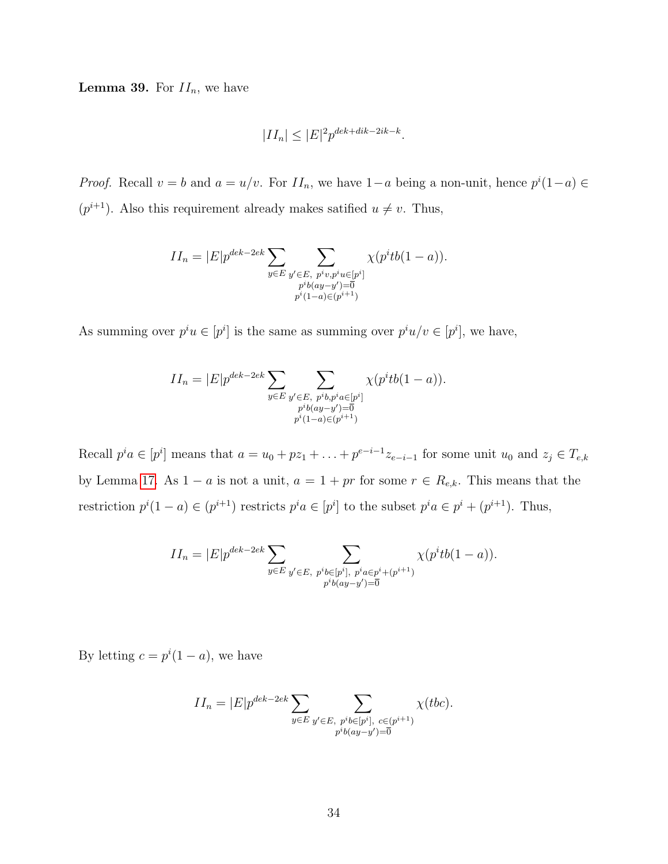**Lemma 39.** For  $II_n$ , we have

$$
|II_n| \le |E|^2 p^{dek + dik - 2ik - k}.
$$

*Proof.* Recall  $v = b$  and  $a = u/v$ . For  $II_n$ , we have  $1-a$  being a non-unit, hence  $p^{i}(1-a) \in$  $(p^{i+1})$ . Also this requirement already makes satified  $u \neq v$ . Thus,

$$
II_n = |E|p^{dek-2ek} \sum_{y \in E} \sum_{\substack{y' \in E, \ p^iv, p^iu \in [p^i] \\ p^ib(ay-y') = \overline{0} \\ p^i(1-a) \in (p^{i+1})}} \chi(p^i t b(1-a)).
$$

As summing over  $p^i u \in [p^i]$  is the same as summing over  $p^i u/v \in [p^i]$ , we have,

$$
II_n = |E|p^{dek-2ek} \sum_{y \in E} \sum_{\substack{y' \in E, \ p^ib, p^ia \in [p^i] \\ p^ib(ay-y') = \overline{0} \\ p^i(1-a) \in (p^{i+1})}} \chi(p^ib(1-a)).
$$

Recall  $p^i a \in [p^i]$  means that  $a = u_0 + pz_1 + \ldots + p^{e-i-1} z_{e-i-1}$  for some unit  $u_0$  and  $z_j \in T_{e,k}$ by Lemma [17.](#page-19-0) As  $1 - a$  is not a unit,  $a = 1 + pr$  for some  $r \in R_{e,k}$ . This means that the restriction  $p^{i}(1-a) \in (p^{i+1})$  restricts  $p^{i}a \in [p^{i}]$  to the subset  $p^{i}a \in p^{i} + (p^{i+1})$ . Thus,

$$
II_n = |E|p^{dek-2ek} \sum_{y \in E} \sum_{\substack{y' \in E, \ p^ib \in [p^i], \ p^ia \in p^i + (p^{i+1}) \\ p^ib(ay - y') = 0}} \chi(p^ib(1-a)).
$$

By letting  $c = p^{i}(1 - a)$ , we have

$$
II_n = |E|p^{dek-2ek} \sum_{y \in E} \sum_{\substack{y' \in E, \ p^i b \in [p^i], \ c \in (p^{i+1}) \\ p^i b(ay-y') = \overline{0}}} \chi(bc).
$$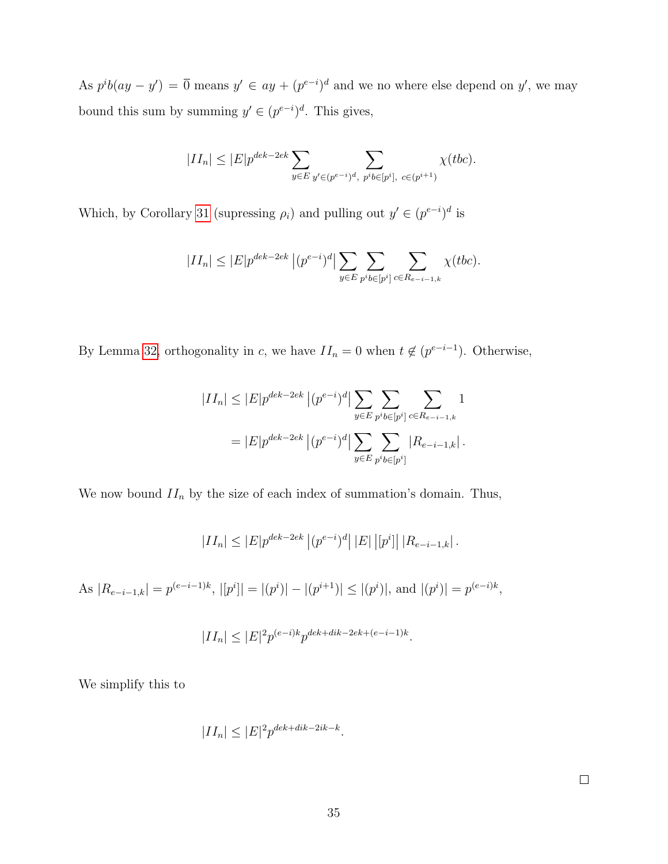As  $p^{i}b(ay - y') = \overline{0}$  means  $y' \in ay + (p^{e-i})^d$  and we no where else depend on y', we may bound this sum by summing  $y' \in (p^{e-i})^d$ . This gives,

$$
|II_n| \le |E| p^{dek-2ek} \sum_{y \in E} \sum_{y' \in (p^{e-i})^d, \ p^i b \in [p^i], \ c \in (p^{i+1})} \chi(tbc).
$$

Which, by Corollary [31](#page-24-0) (supressing  $\rho_i$ ) and pulling out  $y' \in (p^{e-i})^d$  is

$$
|II_n| \le |E| p^{dek - 2ek} |(p^{e-i})^d| \sum_{y \in E} \sum_{p^i b \in [p^i]} \sum_{c \in R_{e-i-1,k}} \chi(tbc).
$$

By Lemma [32,](#page-25-0) orthogonality in c, we have  $II_n = 0$  when  $t \notin (p^{e-i-1})$ . Otherwise,

$$
|II_n| \le |E|p^{dek-2ek} |(p^{e-i})^d| \sum_{y \in E} \sum_{p^i b \in [p^i]} \sum_{c \in R_{e-i-1,k}} 1
$$
  
=  $|E|p^{dek-2ek} |(p^{e-i})^d| \sum_{y \in E} \sum_{p^i b \in [p^i]} |R_{e-i-1,k}|.$ 

We now bound  $II_n$  by the size of each index of summation's domain. Thus,

$$
|II_n| \le |E| p^{dek - 2ek} |(p^{e-i})^d| |E| |[p^i]| |R_{e-i-1,k}|.
$$

As  $|R_{e-i-1,k}| = p^{(e-i-1)k}, |[p^i]| = |(p^i)| - |(p^{i+1})| \le |(p^i)|$ , and  $|(p^i)| = p^{(e-i)k}$ ,

$$
|II_n| \le |E|^2 p^{(e-i)k} p^{dek + dik - 2ek + (e-i-1)k}.
$$

We simplify this to

$$
|II_n| \le |E|^2 p^{dek+dk-2ik-k}.
$$

 $\Box$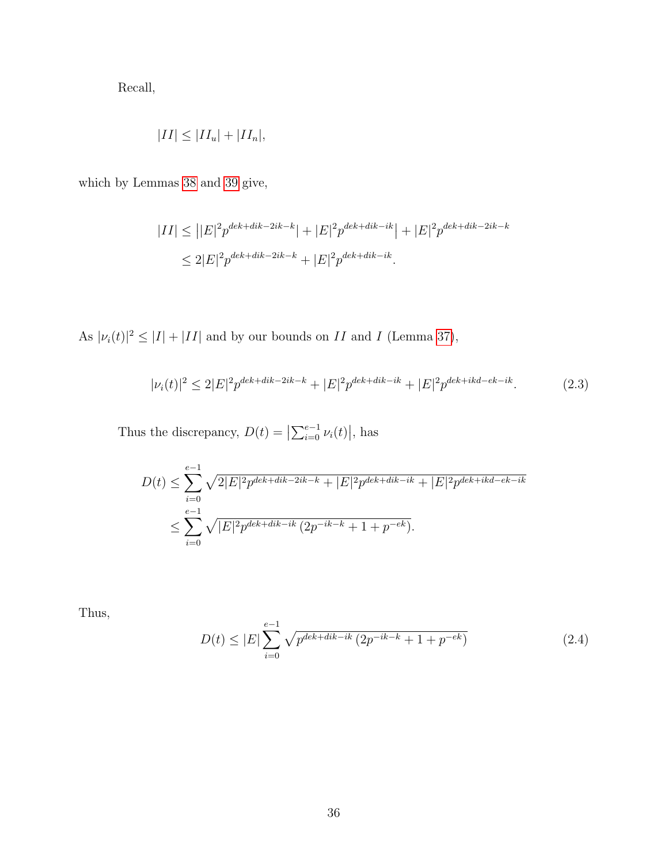Recall,

$$
|II| \leq |II_u| + |II_n|,
$$

which by Lemmas [38](#page-37-0) and [39](#page-39-0) give,

$$
|II| \leq |E|^2 p^{dek + dik - 2ik - k} | + |E|^2 p^{dek + dik - ik} | + |E|^2 p^{dek + dik - 2ik - k}
$$
  

$$
\leq 2|E|^2 p^{dek + dik - 2ik - k} + |E|^2 p^{dek + dik - ik}.
$$

As  $|\nu_i(t)|^2 \leq |I| + |II|$  and by our bounds on II and I (Lemma [37\)](#page-35-0),

<span id="page-42-0"></span>
$$
|\nu_i(t)|^2 \le 2|E|^2 p^{dek + dik - 2ik - k} + |E|^2 p^{dek + dik - ik} + |E|^2 p^{dek + ikd - ek - ik}.
$$
 (2.3)

Thus the discrepancy,  $D(t) = \left| \sum_{i=0}^{e-1} \nu_i(t) \right|$ , has

$$
D(t) \leq \sum_{i=0}^{e-1} \sqrt{2|E|^2 p^{dek+dk-2ik-k} + |E|^2 p^{dek+dk-ik} + |E|^2 p^{dek+ikd-ek-ik}}
$$
  

$$
\leq \sum_{i=0}^{e-1} \sqrt{|E|^2 p^{dek+dk-ik} (2p^{-ik-k} + 1 + p^{-ek})}.
$$

Thus,

<span id="page-42-1"></span>
$$
D(t) \le |E| \sum_{i=0}^{e-1} \sqrt{p^{dek+dk-ik} \left( 2p^{-ik-k} + 1 + p^{-ek} \right)} \tag{2.4}
$$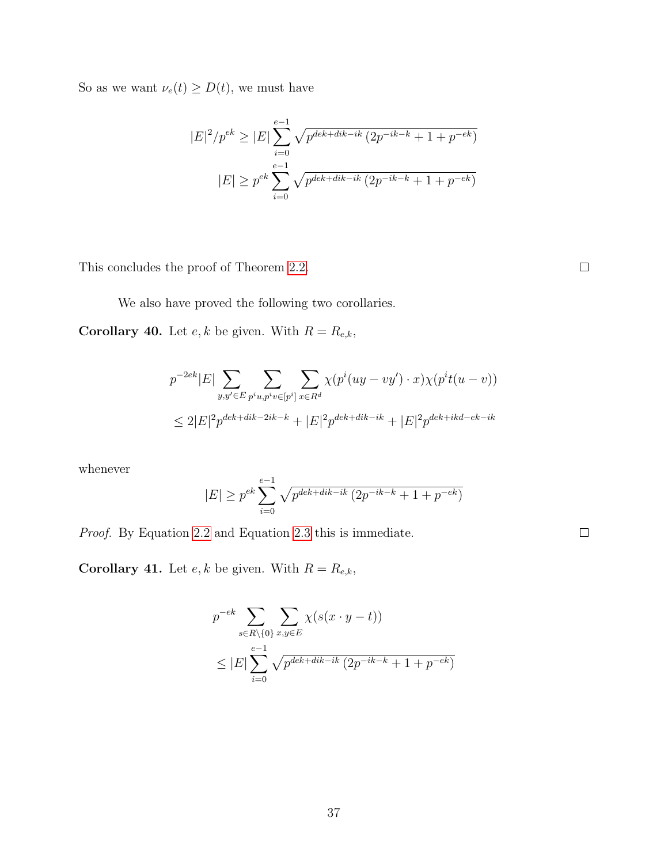So as we want  $\nu_e(t) \ge D(t)$ , we must have

$$
|E|^2/p^{ek} \ge |E| \sum_{i=0}^{e-1} \sqrt{p^{dek+dk-ik} (2p^{-ik-k} + 1 + p^{-ek})}
$$

$$
|E| \ge p^{ek} \sum_{i=0}^{e-1} \sqrt{p^{dek+dk-ik} (2p^{-ik-k} + 1 + p^{-ek})}
$$

This concludes the proof of Theorem [2.2.](#page-29-2)

We also have proved the following two corollaries.

<span id="page-43-0"></span>**Corollary 40.** Let  $e, k$  be given. With  $R = R_{e,k}$ ,

$$
p^{-2ek}|E| \sum_{y,y' \in E} \sum_{p^i u, p^i v \in [p^i]} \sum_{x \in R^d} \chi(p^i (uy - vy') \cdot x) \chi(p^i t(u - v))
$$
  

$$
\leq 2|E|^2 p^{dek + dik - 2ik - k} + |E|^2 p^{dek + dik - ik} + |E|^2 p^{dek + ikd - ek - ik}
$$

whenever

$$
|E| \ge p^{ek} \sum_{i=0}^{e-1} \sqrt{p^{dek+dk-ik} (2p^{-ik-k} + 1 + p^{-ek})}
$$

Proof. By Equation [2.2](#page-34-0) and Equation [2.3](#page-42-0) this is immediate.

**Corollary 41.** Let  $e, k$  be given. With  $R = R_{e,k}$ ,

$$
p^{-ek} \sum_{s \in R \setminus \{0\}} \sum_{x,y \in E} \chi(s(x \cdot y - t))
$$
  
 
$$
\leq |E| \sum_{i=0}^{e-1} \sqrt{p^{dek+dk-ik} (2p^{-ik-k} + 1 + p^{-ek})}
$$

37

 $\Box$ 

 $\Box$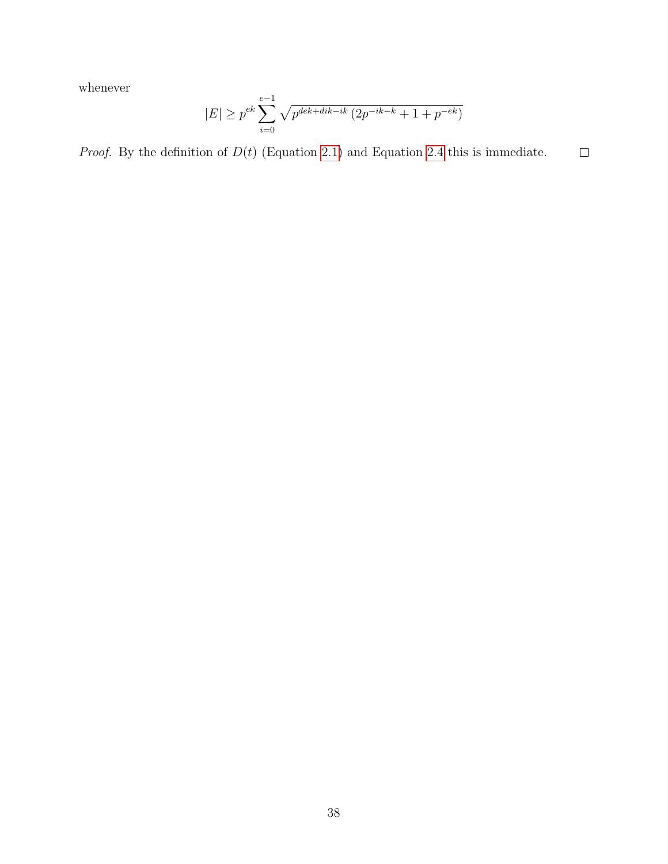whenever

$$
|E| \ge p^{ek} \sum_{i=0}^{e-1} \sqrt{p^{dek+dk-ik} (2p^{-ik-k} + 1 + p^{-ek})}
$$

*Proof.* By the definition of  $D(t)$  (Equation [2.1\)](#page-33-0) and Equation [2.4](#page-42-1) this is immediate.  $\Box$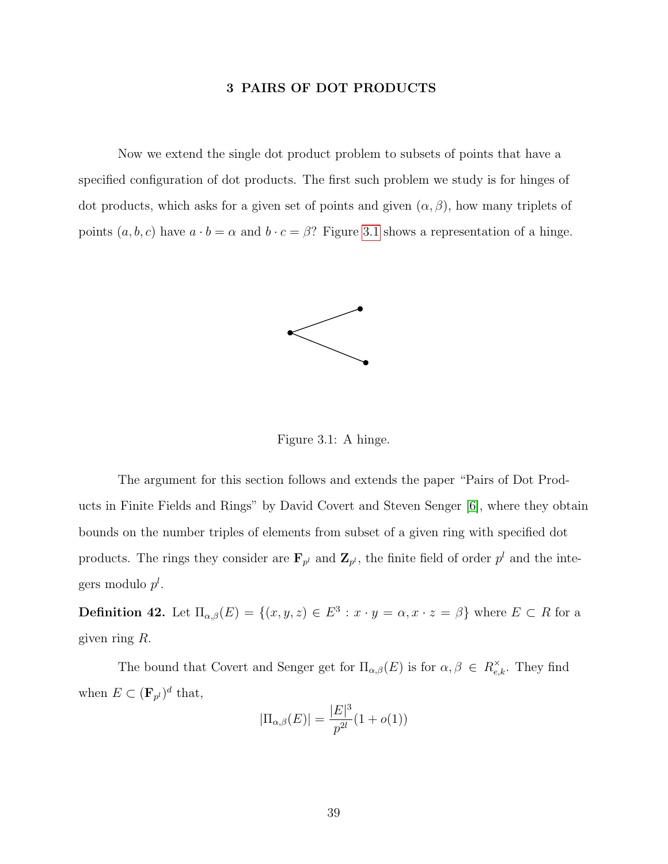#### 3 PAIRS OF DOT PRODUCTS

<span id="page-45-0"></span>Now we extend the single dot product problem to subsets of points that have a specified configuration of dot products. The first such problem we study is for hinges of dot products, which asks for a given set of points and given  $(\alpha, \beta)$ , how many triplets of points  $(a, b, c)$  have  $a \cdot b = \alpha$  and  $b \cdot c = \beta$ ? Figure [3.1](#page-45-1) shows a representation of a hinge.



<span id="page-45-1"></span>Figure 3.1: A hinge.

The argument for this section follows and extends the paper "Pairs of Dot Products in Finite Fields and Rings" by David Covert and Steven Senger [\[6\]](#page-56-5), where they obtain bounds on the number triples of elements from subset of a given ring with specified dot products. The rings they consider are  $\mathbf{F}_{p^l}$  and  $\mathbf{Z}_{p^l}$ , the finite field of order  $p^l$  and the integers modulo  $p<sup>l</sup>$ .

**Definition 42.** Let  $\Pi_{\alpha,\beta}(E) = \{(x,y,z) \in E^3 : x \cdot y = \alpha, x \cdot z = \beta\}$  where  $E \subset R$  for a given ring R.

The bound that Covert and Senger get for  $\Pi_{\alpha,\beta}(E)$  is for  $\alpha,\beta \in R_{e,k}^{\times}$ . They find when  $E \subset (\mathbf{F}_{p^l})^d$  that,

$$
|\Pi_{\alpha,\beta}(E)| = \frac{|E|^3}{p^{2l}}(1+o(1))
$$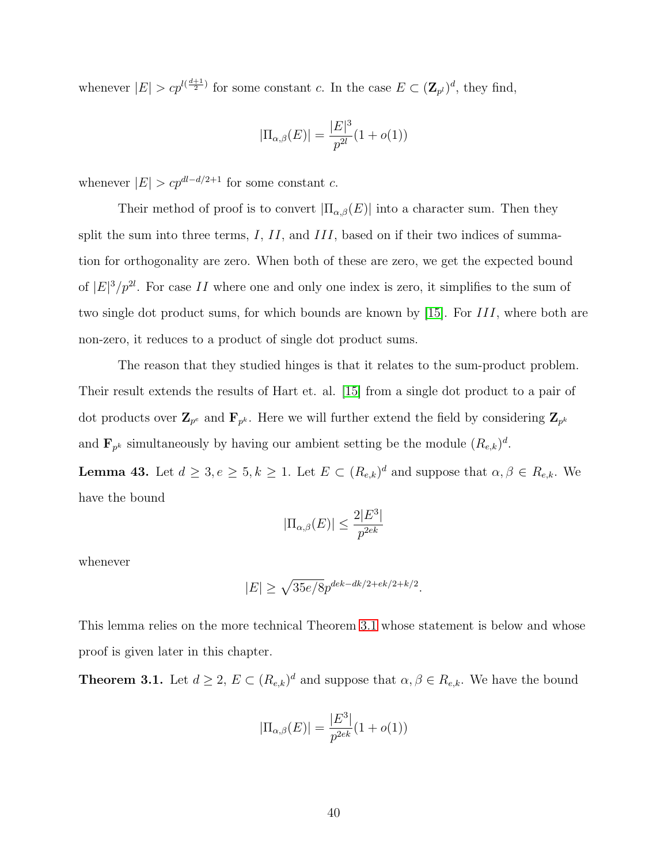whenever  $|E| > c p^{l(\frac{d+1}{2})}$  for some constant c. In the case  $E \subset (\mathbf{Z}_{p^l})^d$ , they find,

$$
|\Pi_{\alpha,\beta}(E)| = \frac{|E|^3}{p^{2l}}(1+o(1))
$$

whenever  $|E| > cp^{dl-d/2+1}$  for some constant c.

Their method of proof is to convert  $|\Pi_{\alpha,\beta}(E)|$  into a character sum. Then they split the sum into three terms,  $I, II$ , and  $III$ , based on if their two indices of summation for orthogonality are zero. When both of these are zero, we get the expected bound of  $|E|^3/p^{2l}$ . For case II where one and only one index is zero, it simplifies to the sum of two single dot product sums, for which bounds are known by [\[15\]](#page-57-4). For *III*, where both are non-zero, it reduces to a product of single dot product sums.

The reason that they studied hinges is that it relates to the sum-product problem. Their result extends the results of Hart et. al. [\[15\]](#page-57-4) from a single dot product to a pair of dot products over  $\mathbf{Z}_{p^e}$  and  $\mathbf{F}_{p^k}$ . Here we will further extend the field by considering  $\mathbf{Z}_{p^k}$ and  $\mathbf{F}_{p^k}$  simultaneously by having our ambient setting be the module  $(R_{e,k})^d$ .

<span id="page-46-1"></span>**Lemma 43.** Let  $d \geq 3, e \geq 5, k \geq 1$ . Let  $E \subset (R_{e,k})^d$  and suppose that  $\alpha, \beta \in R_{e,k}$ . We have the bound

$$
|\Pi_{\alpha,\beta}(E)| \le \frac{2|E^3|}{p^{2ek}}
$$

whenever

$$
|E| \geq \sqrt{35e/8} p^{dek-dk/2 + ek/2 + k/2}.
$$

This lemma relies on the more technical Theorem [3.1](#page-46-0) whose statement is below and whose proof is given later in this chapter.

<span id="page-46-0"></span>**Theorem 3.1.** Let  $d \geq 2$ ,  $E \subset (R_{e,k})^d$  and suppose that  $\alpha, \beta \in R_{e,k}$ . We have the bound

$$
|\Pi_{\alpha,\beta}(E)| = \frac{|E^3|}{p^{2ek}}(1+o(1))
$$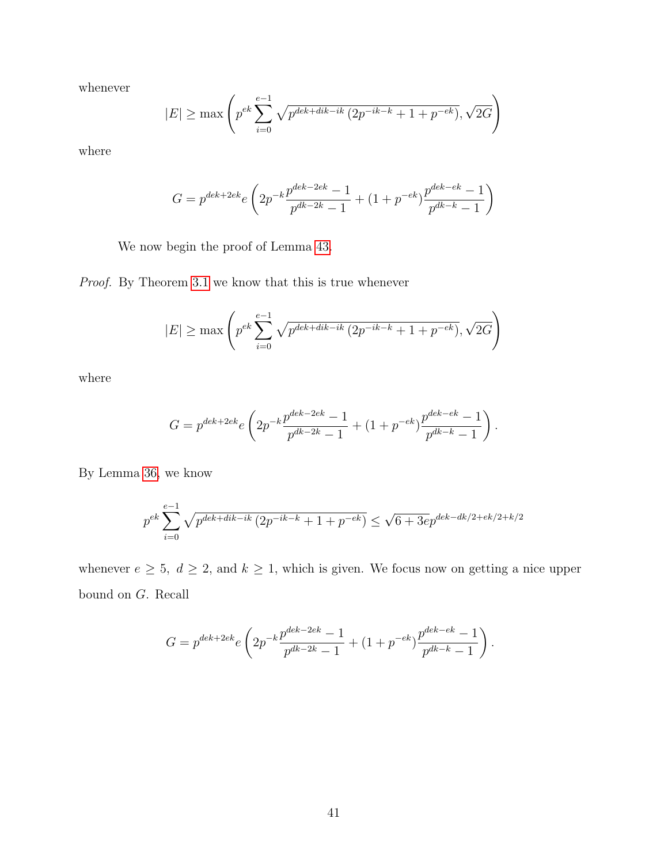whenever

$$
|E| \ge \max\left( p^{ek} \sum_{i=0}^{e-1} \sqrt{p^{dek+dk-ik} (2p^{-ik-k} + 1 + p^{-ek})}, \sqrt{2G} \right)
$$

where

$$
G = p^{dek + 2ek} e \left( 2p^{-k} \frac{p^{dek - 2ek} - 1}{p^{dk - 2k} - 1} + (1 + p^{-ek}) \frac{p^{dek - ek} - 1}{p^{dk - k} - 1} \right)
$$

We now begin the proof of Lemma [43.](#page-46-1)

Proof. By Theorem [3.1](#page-46-0) we know that this is true whenever

$$
|E| \ge \max\left(p^{ek} \sum_{i=0}^{e-1} \sqrt{p^{dek+dk-ik} (2p^{-ik-k} + 1 + p^{-ek})}, \sqrt{2G}\right)
$$

where

$$
G = p^{dek + 2ek} e \left( 2p^{-k} \frac{p^{dek - 2ek} - 1}{p^{dk - 2k} - 1} + (1 + p^{-ek}) \frac{p^{dek - ek} - 1}{p^{dk - k} - 1} \right).
$$

By Lemma [36,](#page-29-1) we know

$$
p^{ek} \sum_{i=0}^{e-1} \sqrt{p^{dek+dk-ik} (2p^{-ik-k} + 1 + p^{-ek})} \le \sqrt{6 + 3e} p^{dek-dk/2 + ek/2 + k/2}
$$

whenever  $e \ge 5$ ,  $d \ge 2$ , and  $k \ge 1$ , which is given. We focus now on getting a nice upper bound on G. Recall

$$
G = p^{dek + 2ek} e \left( 2p^{-k} \frac{p^{dek - 2ek} - 1}{p^{dk - 2k} - 1} + (1 + p^{-ek}) \frac{p^{dek - ek} - 1}{p^{dk - k} - 1} \right).
$$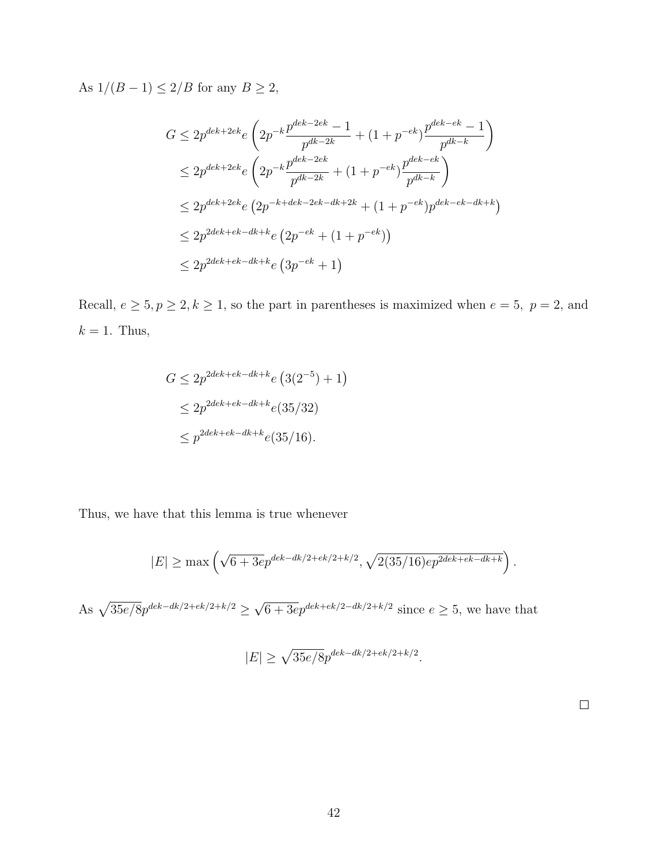As  $1/(B-1)\leq 2/B$  for any  $B\geq 2,$ 

$$
G \le 2p^{dek + 2ek} e \left( 2p^{-k} \frac{p^{dek - 2ek} - 1}{p^{dk - 2k}} + (1 + p^{-ek}) \frac{p^{dek - ek} - 1}{p^{dk - k}} \right)
$$
  
\n
$$
\le 2p^{dek + 2ek} e \left( 2p^{-k} \frac{p^{dek - 2ek}}{p^{dk - 2k}} + (1 + p^{-ek}) \frac{p^{dek - ek}}{p^{dk - k}} \right)
$$
  
\n
$$
\le 2p^{dek + 2ek} e \left( 2p^{-k + dek - 2ek - dek + 2k} + (1 + p^{-ek}) p^{dek - ek - dek + k} \right)
$$
  
\n
$$
\le 2p^{2dek + ek - dk + ke} \left( 2p^{-ek} + (1 + p^{-ek}) \right)
$$
  
\n
$$
\le 2p^{2dek + ek - dk + ke} \left( 3p^{-ek} + 1 \right)
$$

Recall,  $e \ge 5, p \ge 2, k \ge 1$ , so the part in parentheses is maximized when  $e = 5, p = 2$ , and  $k = 1$ . Thus,

$$
G \le 2p^{2dek+ek-dk+k}e(3(2^{-5})+1)
$$
  
\n
$$
\le 2p^{2dek+ek-dk+k}e(35/32)
$$
  
\n
$$
\le p^{2dek+ek-dk+k}e(35/16).
$$

Thus, we have that this lemma is true whenever

$$
|E| \ge \max\left(\sqrt{6 + 3e} p^{dek - dk/2 + ek/2 + k/2}, \sqrt{2(35/16)e} p^{2dek + ek - dk + k}\right).
$$

As  $\sqrt{35e/8}p^{dek-dk/2+ek/2+k/2}$ √  $6 + 3e^{e^{4\epsilon + \epsilon k/2 - d k/2 + k/2}}$  since  $e \ge 5$ , we have that

$$
|E| \ge \sqrt{35e/8} p^{dek-dk/2+ek/2+k/2}.
$$

 $\Box$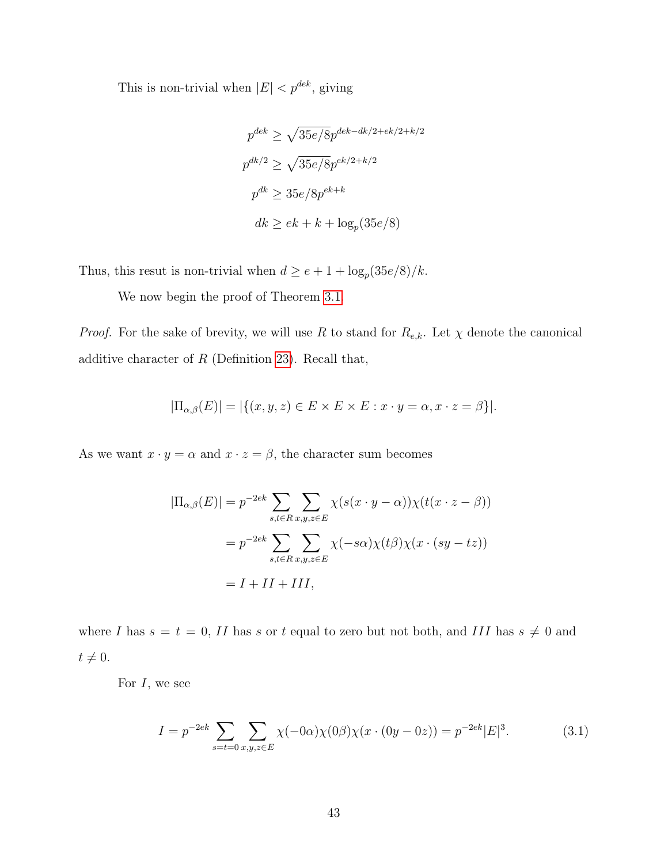This is non-trivial when  $|E| < p^{dek}$ , giving

$$
p^{dek} \ge \sqrt{35e/8} p^{dek-dk/2+ek/2+k/2}
$$
  

$$
p^{dk/2} \ge \sqrt{35e/8} p^{ek/2+k/2}
$$
  

$$
p^{dk} \ge 35e/8p^{ek+k}
$$
  

$$
dk \ge ek + k + \log_p(35e/8)
$$

Thus, this resut is non-trivial when  $d \ge e + 1 + \log_p(35e/8)/k$ .

We now begin the proof of Theorem [3.1.](#page-46-0)

*Proof.* For the sake of brevity, we will use R to stand for  $R_{e,k}$ . Let  $\chi$  denote the canonical additive character of  $R$  (Definition [23\)](#page-21-0). Recall that,

$$
|\Pi_{\alpha,\beta}(E)| = |\{(x,y,z) \in E \times E \times E : x \cdot y = \alpha, x \cdot z = \beta\}|.
$$

As we want  $x \cdot y = \alpha$  and  $x \cdot z = \beta$ , the character sum becomes

$$
|\Pi_{\alpha,\beta}(E)| = p^{-2ek} \sum_{s,t \in R} \sum_{x,y,z \in E} \chi(s(x \cdot y - \alpha)) \chi(t(x \cdot z - \beta))
$$
  
=  $p^{-2ek} \sum_{s,t \in R} \sum_{x,y,z \in E} \chi(-s\alpha) \chi(t\beta) \chi(x \cdot (sy - tz))$   
=  $I + II + III$ ,

where I has  $s = t = 0$ , II has s or t equal to zero but not both, and III has  $s \neq 0$  and  $t \neq 0.$ 

For  $I$ , we see

$$
I = p^{-2ek} \sum_{s=t=0} \sum_{x,y,z \in E} \chi(-0\alpha) \chi(0\beta) \chi(x \cdot (0y - 0z)) = p^{-2ek} |E|^3.
$$
 (3.1)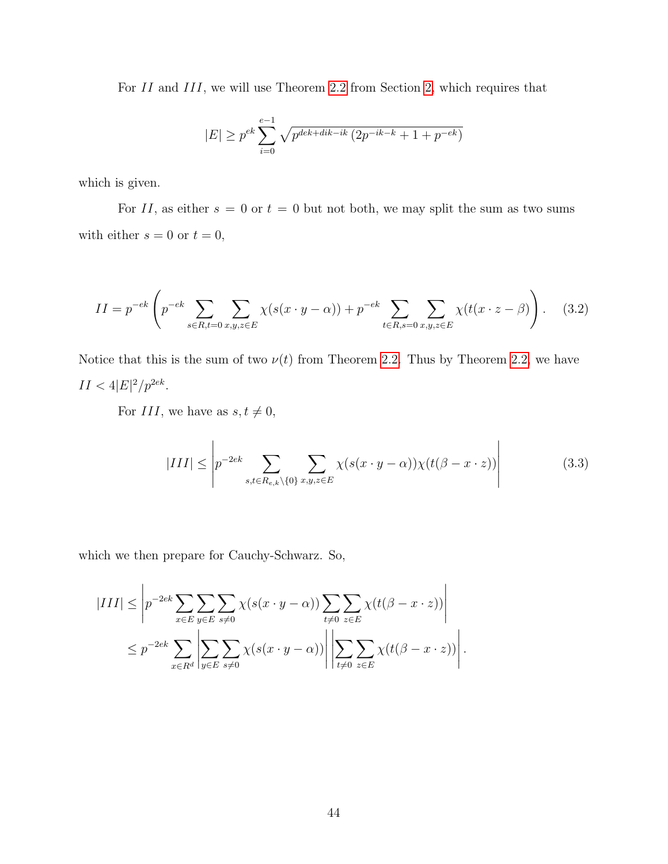For II and III, we will use Theorem [2.2](#page-29-2) from Section [2,](#page-29-0) which requires that

$$
|E| \ge p^{ek} \sum_{i=0}^{e-1} \sqrt{p^{dek+dk-ik} (2p^{-ik-k} + 1 + p^{-ek})}
$$

which is given.

For II, as either  $s = 0$  or  $t = 0$  but not both, we may split the sum as two sums with either  $s = 0$  or  $t = 0$ ,

$$
II = p^{-ek} \left( p^{-ek} \sum_{s \in R, t=0} \sum_{x,y,z \in E} \chi(s(x \cdot y - \alpha)) + p^{-ek} \sum_{t \in R, s=0} \sum_{x,y,z \in E} \chi(t(x \cdot z - \beta)) \right). \tag{3.2}
$$

Notice that this is the sum of two  $\nu(t)$  from Theorem [2.2.](#page-29-2) Thus by Theorem [2.2,](#page-29-2) we have  $II < 4|E|^2/p^{2ek}$ .

For III, we have as  $s, t \neq 0$ ,

$$
|III| \leq \left| p^{-2ek} \sum_{s,t \in R_{e,k} \setminus \{0\}} \sum_{x,y,z \in E} \chi(s(x \cdot y - \alpha)) \chi(t(\beta - x \cdot z)) \right| \tag{3.3}
$$

which we then prepare for Cauchy-Schwarz. So,

$$
|III| \leq \left| p^{-2ek} \sum_{x \in E} \sum_{y \in E} \sum_{s \neq 0} \chi(s(x \cdot y - \alpha)) \sum_{t \neq 0} \sum_{z \in E} \chi(t(\beta - x \cdot z)) \right|
$$
  

$$
\leq p^{-2ek} \sum_{x \in R^d} \left| \sum_{y \in E} \sum_{s \neq 0} \chi(s(x \cdot y - \alpha)) \right| \left| \sum_{t \neq 0} \sum_{z \in E} \chi(t(\beta - x \cdot z)) \right|.
$$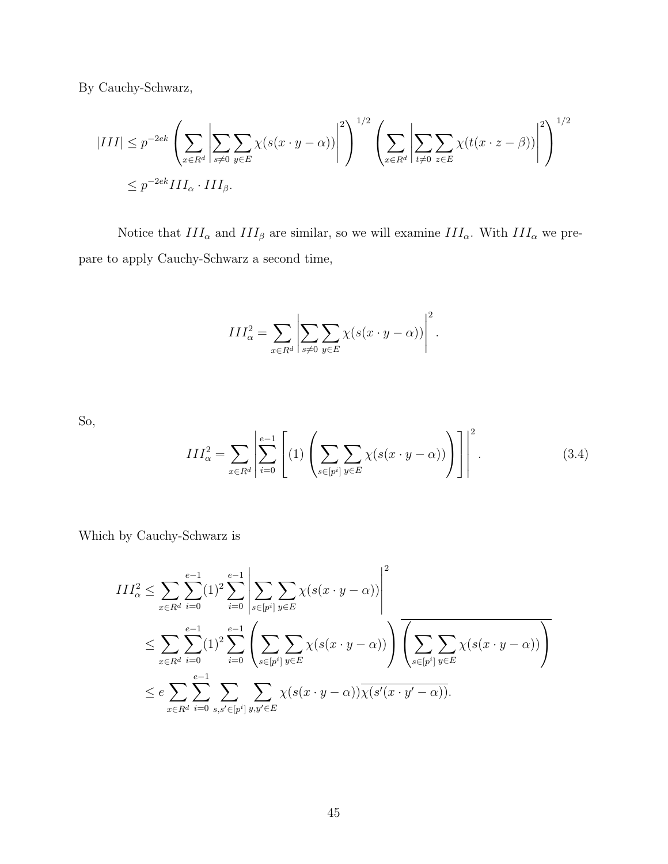By Cauchy-Schwarz,

$$
|III| \le p^{-2ek} \left( \sum_{x \in R^d} \left| \sum_{s \neq 0} \sum_{y \in E} \chi(s(x \cdot y - \alpha)) \right|^2 \right)^{1/2} \left( \sum_{x \in R^d} \left| \sum_{t \neq 0} \sum_{z \in E} \chi(t(x \cdot z - \beta)) \right|^2 \right)^{1/2}
$$
  

$$
\le p^{-2ek} III_{\alpha} \cdot III_{\beta}.
$$

Notice that  $III_{\alpha}$  and  $III_{\beta}$  are similar, so we will examine  $III_{\alpha}$ . With  $III_{\alpha}$  we prepare to apply Cauchy-Schwarz a second time,

$$
III_{\alpha}^{2} = \sum_{x \in R^{d}} \left| \sum_{s \neq 0} \sum_{y \in E} \chi(s(x \cdot y - \alpha)) \right|^{2}.
$$

So,

<span id="page-51-0"></span>
$$
III_{\alpha}^{2} = \sum_{x \in R^{d}} \left| \sum_{i=0}^{e-1} \left[ (1) \left( \sum_{s \in [p^{i}]} \sum_{y \in E} \chi(s(x \cdot y - \alpha)) \right) \right] \right|^{2}.
$$
 (3.4)

Which by Cauchy-Schwarz is

$$
III_{\alpha}^{2} \leq \sum_{x \in R^{d}} \sum_{i=0}^{e-1} (1)^{2} \sum_{i=0}^{e-1} \left| \sum_{s \in [p^{i}]} \sum_{y \in E} \chi(s(x \cdot y - \alpha)) \right|^{2}
$$
  

$$
\leq \sum_{x \in R^{d}} \sum_{i=0}^{e-1} (1)^{2} \sum_{i=0}^{e-1} \left( \sum_{s \in [p^{i}]} \sum_{y \in E} \chi(s(x \cdot y - \alpha)) \right) \overline{\left( \sum_{s \in [p^{i}]} \sum_{y \in E} \chi(s(x \cdot y - \alpha)) \right)}
$$
  

$$
\leq e \sum_{x \in R^{d}} \sum_{i=0}^{e-1} \sum_{s,s' \in [p^{i}]} \sum_{y,y' \in E} \chi(s(x \cdot y - \alpha)) \overline{\chi(s'(x \cdot y' - \alpha))}.
$$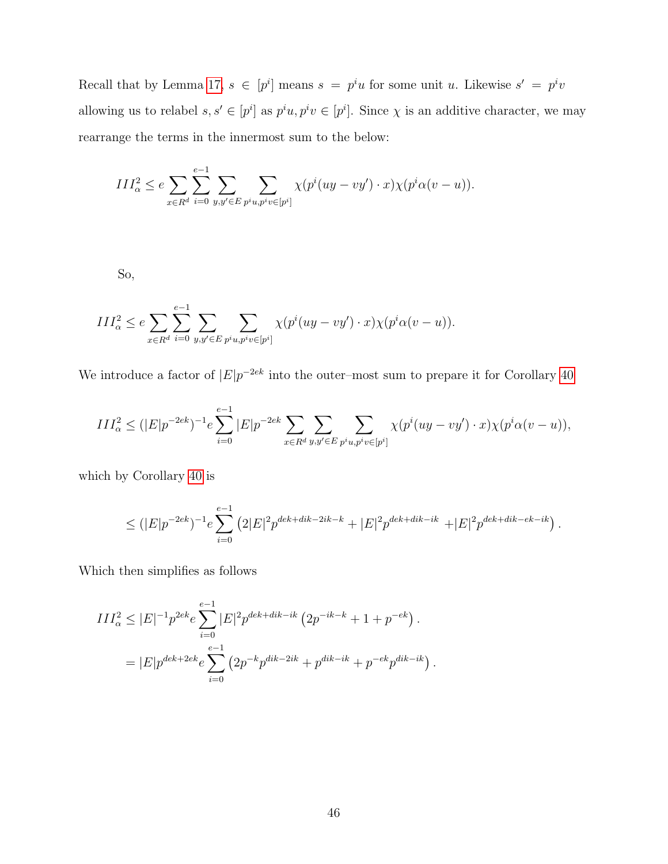Recall that by Lemma [17,](#page-19-0)  $s \in [p^i]$  means  $s = p^i u$  for some unit u. Likewise  $s' = p^i v$ allowing us to relabel  $s, s' \in [p^i]$  as  $p^i u, p^i v \in [p^i]$ . Since  $\chi$  is an additive character, we may rearrange the terms in the innermost sum to the below:

$$
III_{\alpha}^{2} \le e \sum_{x \in R^{d}} \sum_{i=0}^{e-1} \sum_{y,y' \in E} \sum_{p^{i}u, p^{i}v \in [p^{i}]} \chi(p^{i}(uy - vy') \cdot x) \chi(p^{i} \alpha(v - u)).
$$

So,

$$
III_{\alpha}^2 \le e \sum_{x \in R^d} \sum_{i=0}^{e-1} \sum_{y,y' \in E} \sum_{p^i u, p^i v \in [p^i]} \chi(p^i (uy - vy') \cdot x) \chi(p^i \alpha (v - u)).
$$

We introduce a factor of  $|E|p^{-2ek}$  into the outer–most sum to prepare it for Corollary [40](#page-43-0)

$$
III_{\alpha}^{2} \le (|E|p^{-2ek})^{-1} e \sum_{i=0}^{e-1} |E|p^{-2ek} \sum_{x \in R^{d}} \sum_{y, y' \in E} \sum_{p^{i}u, p^{i}v \in [p^{i}]} \chi(p^{i}(uy - vy') \cdot x) \chi(p^{i}\alpha(v - u)),
$$

which by Corollary [40](#page-43-0) is

$$
\leq (|E|p^{-2ek})^{-1} e \sum_{i=0}^{e-1} (2|E|^2 p^{dek+dk-2ik-k} + |E|^2 p^{dek+dk-ik} + |E|^2 p^{dek+dk-ek-ik}).
$$

Which then simplifies as follows

$$
III_{\alpha}^{2} \leq |E|^{-1} p^{2ek} e \sum_{i=0}^{e-1} |E|^{2} p^{dek+dk-ik} \left( 2p^{-ik-k} + 1 + p^{-ek} \right).
$$
  
= 
$$
|E| p^{dek+2ek} e \sum_{i=0}^{e-1} \left( 2p^{-k} p^{dik-2ik} + p^{dik-ik} + p^{-ek} p^{dik-ik} \right).
$$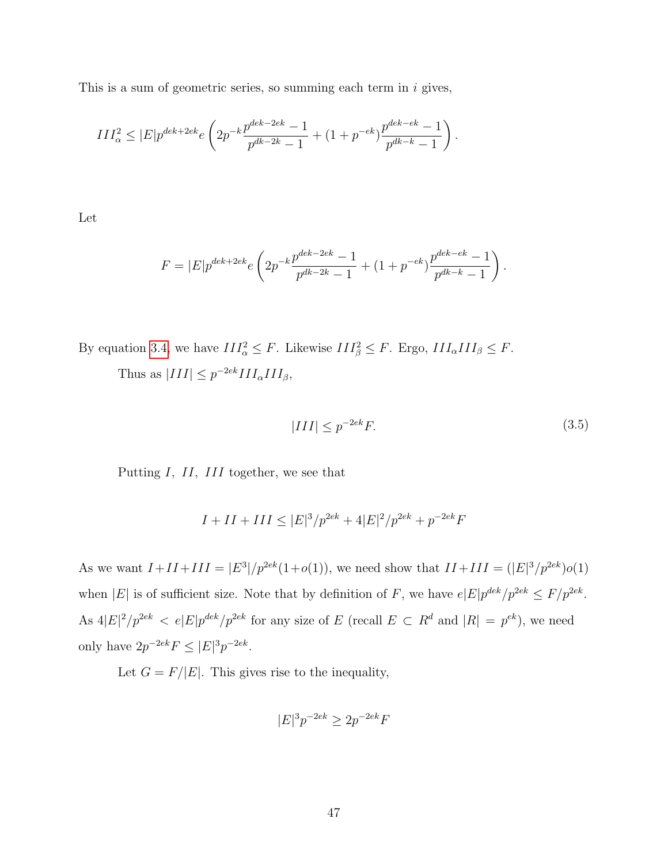This is a sum of geometric series, so summing each term in  $i$  gives,

$$
III_{\alpha}^{2} \leq |E| p^{dek + 2ek} e \left( 2p^{-k} \frac{p^{dek - 2ek} - 1}{p^{dk - 2k} - 1} + (1 + p^{-ek}) \frac{p^{dek - ek} - 1}{p^{dk - k} - 1} \right)
$$

Let

$$
F = |E|p^{dek + 2ek}e\left(2p^{-k}\frac{p^{dek - 2ek} - 1}{p^{dk - 2k} - 1} + (1 + p^{-ek})\frac{p^{dek - ek} - 1}{p^{dk - k} - 1}\right).
$$

By equation [3.4,](#page-51-0) we have  $III_\alpha^2 \leq F$ . Likewise  $III_\beta^2 \leq F$ . Ergo,  $III_\alpha III_\beta \leq F$ .

Thus as  $|III| \leq p^{-2ek} III_{\alpha} III_{\beta}$ ,

$$
|III| \le p^{-2ek}F. \tag{3.5}
$$

.

Putting I, II, III together, we see that

$$
I + II + III \leq |E|^3 / p^{2ek} + 4|E|^2 / p^{2ek} + p^{-2ek}F
$$

As we want  $I + II + III = |E^3|/p^{2ek}(1+o(1))$ , we need show that  $II + III = (|E|^3/p^{2ek})o(1)$ when |E| is of sufficient size. Note that by definition of F, we have  $e|E|p^{dek}/p^{2ek} \leq F/p^{2ek}$ . As  $4|E|^2/p^{2ek} < e|E|p^{dek}/p^{2ek}$  for any size of E (recall  $E \subset R^d$  and  $|R| = p^{ek}$ ), we need only have  $2p^{-2ek} F \leq |E|^3 p^{-2ek}$ .

Let  $G = F/|E|$ . This gives rise to the inequality,

$$
|E|^3 p^{-2ek} \ge 2p^{-2ek}F
$$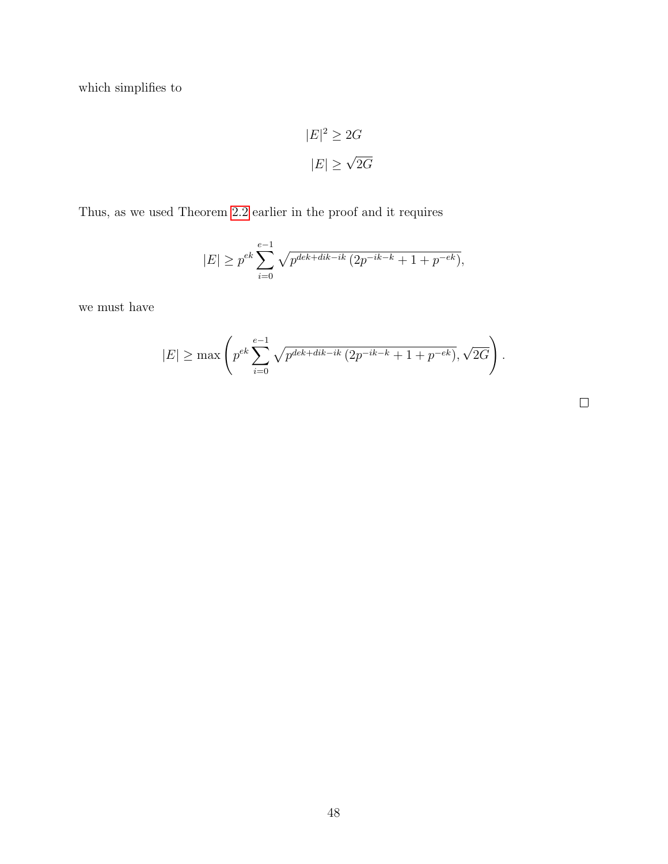which simplifies to

$$
|E|^2 \ge 2G
$$

$$
|E| \ge \sqrt{2G}
$$

Thus, as we used Theorem [2.2](#page-29-2) earlier in the proof and it requires

$$
|E| \ge p^{ek} \sum_{i=0}^{e-1} \sqrt{p^{dek+dk-ik} (2p^{-ik-k} + 1 + p^{-ek})},
$$

we must have

$$
|E| \ge \max\left(p^{ek} \sum_{i=0}^{e-1} \sqrt{p^{dek+dk-ik} (2p^{-ik-k} + 1 + p^{-ek})}, \sqrt{2G}\right).
$$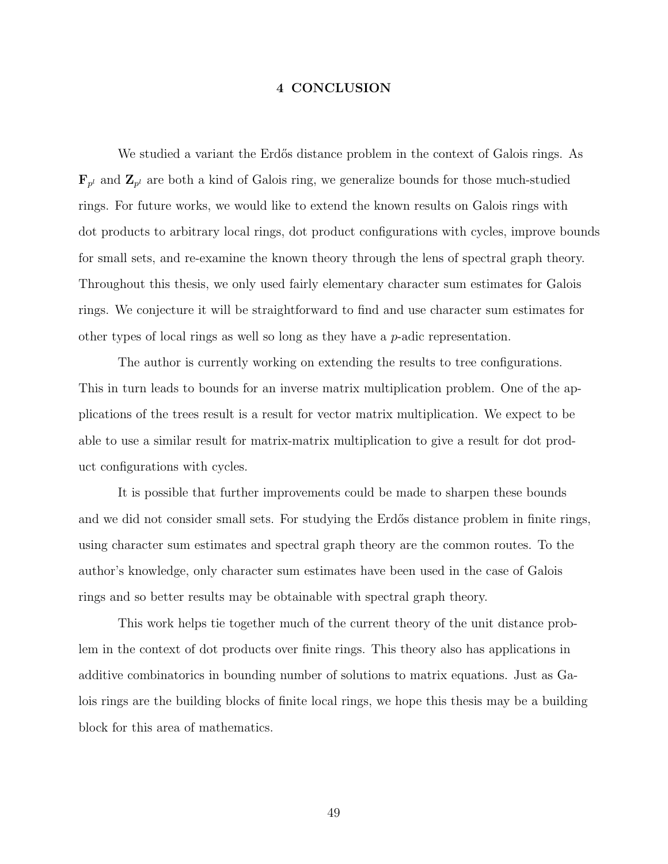#### 4 CONCLUSION

<span id="page-55-0"></span>We studied a variant the Erdős distance problem in the context of Galois rings. As  $\mathbf{F}_{p^l}$  and  $\mathbf{Z}_{p^l}$  are both a kind of Galois ring, we generalize bounds for those much-studied rings. For future works, we would like to extend the known results on Galois rings with dot products to arbitrary local rings, dot product configurations with cycles, improve bounds for small sets, and re-examine the known theory through the lens of spectral graph theory. Throughout this thesis, we only used fairly elementary character sum estimates for Galois rings. We conjecture it will be straightforward to find and use character sum estimates for other types of local rings as well so long as they have a  $p$ -adic representation.

The author is currently working on extending the results to tree configurations. This in turn leads to bounds for an inverse matrix multiplication problem. One of the applications of the trees result is a result for vector matrix multiplication. We expect to be able to use a similar result for matrix-matrix multiplication to give a result for dot product configurations with cycles.

It is possible that further improvements could be made to sharpen these bounds and we did not consider small sets. For studying the Erdős distance problem in finite rings, using character sum estimates and spectral graph theory are the common routes. To the author's knowledge, only character sum estimates have been used in the case of Galois rings and so better results may be obtainable with spectral graph theory.

This work helps tie together much of the current theory of the unit distance problem in the context of dot products over finite rings. This theory also has applications in additive combinatorics in bounding number of solutions to matrix equations. Just as Galois rings are the building blocks of finite local rings, we hope this thesis may be a building block for this area of mathematics.

49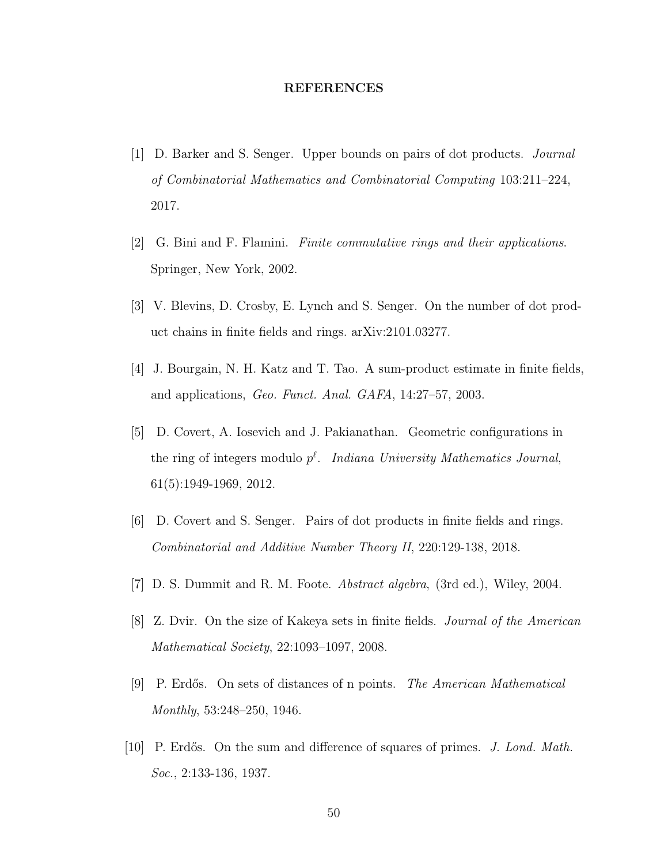#### REFERENCES

- <span id="page-56-4"></span>[1] D. Barker and S. Senger. Upper bounds on pairs of dot products. Journal of Combinatorial Mathematics and Combinatorial Computing 103:211–224, 2017.
- <span id="page-56-6"></span>[2] G. Bini and F. Flamini. Finite commutative rings and their applications. Springer, New York, 2002.
- [3] V. Blevins, D. Crosby, E. Lynch and S. Senger. On the number of dot product chains in finite fields and rings. arXiv:2101.03277.
- <span id="page-56-2"></span>[4] J. Bourgain, N. H. Katz and T. Tao. A sum-product estimate in finite fields, and applications, Geo. Funct. Anal. GAFA, 14:27–57, 2003.
- <span id="page-56-3"></span>[5] D. Covert, A. Iosevich and J. Pakianathan. Geometric configurations in the ring of integers modulo  $p^{\ell}$ . Indiana University Mathematics Journal, 61(5):1949-1969, 2012.
- <span id="page-56-5"></span>[6] D. Covert and S. Senger. Pairs of dot products in finite fields and rings. Combinatorial and Additive Number Theory II, 220:129-138, 2018.
- <span id="page-56-8"></span><span id="page-56-7"></span>[7] D. S. Dummit and R. M. Foote. Abstract algebra, (3rd ed.), Wiley, 2004.
- [8] Z. Dvir. On the size of Kakeya sets in finite fields. Journal of the American Mathematical Society, 22:1093–1097, 2008.
- <span id="page-56-0"></span>[9] P. Erdős. On sets of distances of n points. The American Mathematical Monthly, 53:248–250, 1946.
- <span id="page-56-1"></span>[10] P. Erdős. On the sum and difference of squares of primes. J. Lond. Math. Soc., 2:133-136, 1937.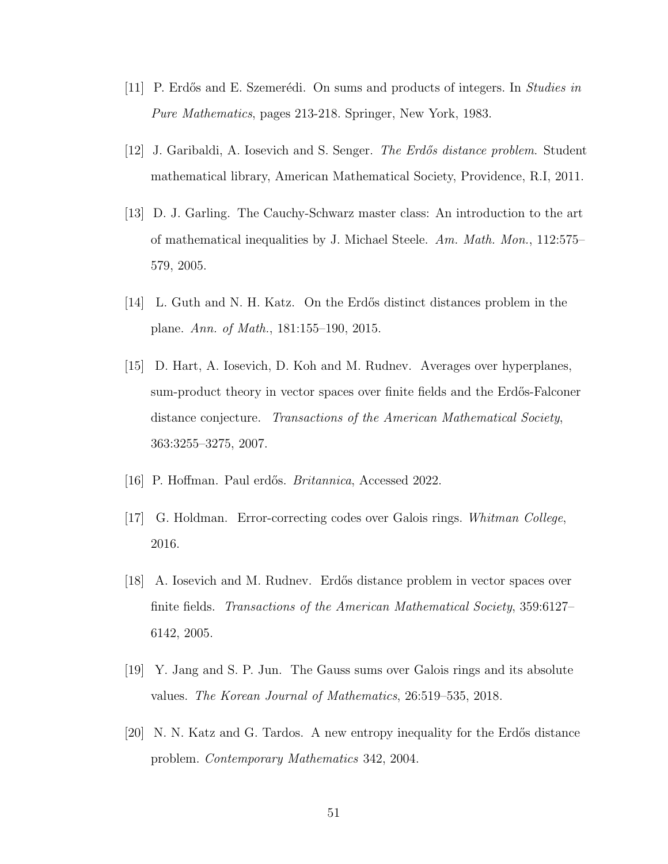- <span id="page-57-5"></span>[11] P. Erdős and E. Szemerédi. On sums and products of integers. In Studies in Pure Mathematics, pages 213-218. Springer, New York, 1983.
- [12] J. Garibaldi, A. Iosevich and S. Senger. *The Erdős distance problem*. Student mathematical library, American Mathematical Society, Providence, R.I, 2011.
- [13] D. J. Garling. The Cauchy-Schwarz master class: An introduction to the art of mathematical inequalities by J. Michael Steele. Am. Math. Mon., 112:575– 579, 2005.
- <span id="page-57-2"></span>[14] L. Guth and N. H. Katz. On the Erdős distinct distances problem in the plane. Ann. of Math., 181:155–190, 2015.
- <span id="page-57-4"></span>[15] D. Hart, A. Iosevich, D. Koh and M. Rudnev. Averages over hyperplanes, sum-product theory in vector spaces over finite fields and the Erdős-Falconer distance conjecture. Transactions of the American Mathematical Society, 363:3255–3275, 2007.
- <span id="page-57-6"></span><span id="page-57-0"></span>[16] P. Hoffman. Paul erdős. *Britannica*, Accessed 2022.
- [17] G. Holdman. Error-correcting codes over Galois rings. Whitman College, 2016.
- <span id="page-57-3"></span>[18] A. Iosevich and M. Rudnev. Erdős distance problem in vector spaces over finite fields. Transactions of the American Mathematical Society, 359:6127– 6142, 2005.
- <span id="page-57-7"></span>[19] Y. Jang and S. P. Jun. The Gauss sums over Galois rings and its absolute values. The Korean Journal of Mathematics, 26:519–535, 2018.
- <span id="page-57-1"></span>[20] N. N. Katz and G. Tardos. A new entropy inequality for the Erdős distance problem. Contemporary Mathematics 342, 2004.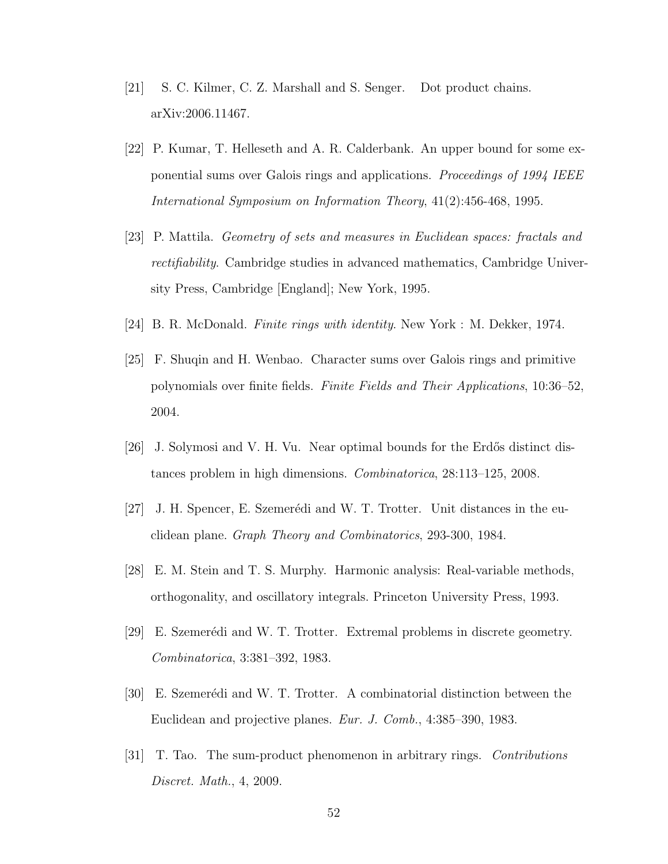- <span id="page-58-2"></span>[21] S. C. Kilmer, C. Z. Marshall and S. Senger. Dot product chains. arXiv:2006.11467.
- [22] P. Kumar, T. Helleseth and A. R. Calderbank. An upper bound for some exponential sums over Galois rings and applications. Proceedings of 1994 IEEE International Symposium on Information Theory, 41(2):456-468, 1995.
- [23] P. Mattila. Geometry of sets and measures in Euclidean spaces: fractals and rectifiability. Cambridge studies in advanced mathematics, Cambridge University Press, Cambridge [England]; New York, 1995.
- <span id="page-58-5"></span><span id="page-58-4"></span>[24] B. R. McDonald. Finite rings with identity. New York : M. Dekker, 1974.
- [25] F. Shuqin and H. Wenbao. Character sums over Galois rings and primitive polynomials over finite fields. Finite Fields and Their Applications, 10:36–52, 2004.
- <span id="page-58-1"></span>[26] J. Solymosi and V. H. Vu. Near optimal bounds for the Erdős distinct distances problem in high dimensions. Combinatorica, 28:113–125, 2008.
- <span id="page-58-0"></span>[27] J. H. Spencer, E. Szemerédi and W. T. Trotter. Unit distances in the euclidean plane. Graph Theory and Combinatorics, 293-300, 1984.
- [28] E. M. Stein and T. S. Murphy. Harmonic analysis: Real-variable methods, orthogonality, and oscillatory integrals. Princeton University Press, 1993.
- [29] E. Szemerédi and W. T. Trotter. Extremal problems in discrete geometry. Combinatorica, 3:381–392, 1983.
- [30] E. Szemerédi and W. T. Trotter. A combinatorial distinction between the Euclidean and projective planes. Eur. J. Comb., 4:385–390, 1983.
- <span id="page-58-3"></span>[31] T. Tao. The sum-product phenomenon in arbitrary rings. Contributions Discret. Math., 4, 2009.